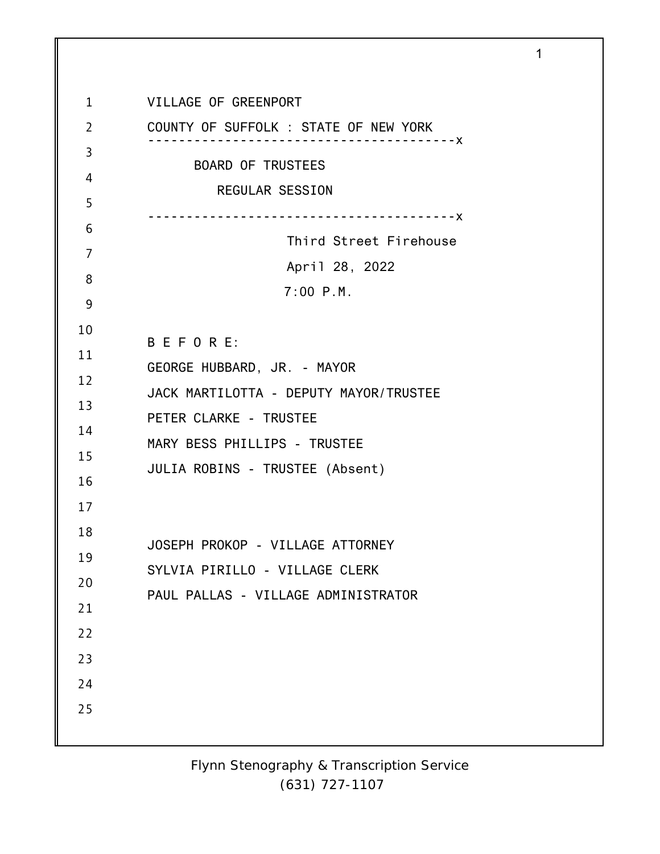1 2 3 4 5 6 7 8 9 10 11 12 13 14 15 16 17 18 19 20 21 22 23 24 25 VILLAGE OF GREENPORT COUNTY OF SUFFOLK : STATE OF NEW YORK ----------------------------------------x BOARD OF TRUSTEES REGULAR SESSION ----------------------------------------x Third Street Firehouse April 28, 2022 7:00 P.M. B E F O R E: GEORGE HUBBARD, JR. - MAYOR JACK MARTILOTTA - DEPUTY MAYOR/TRUSTEE PETER CLARKE - TRUSTEE MARY BESS PHILLIPS - TRUSTEE JULIA ROBINS - TRUSTEE (Absent) JOSEPH PROKOP - VILLAGE ATTORNEY SYLVIA PIRILLO - VILLAGE CLERK PAUL PALLAS - VILLAGE ADMINISTRATOR

1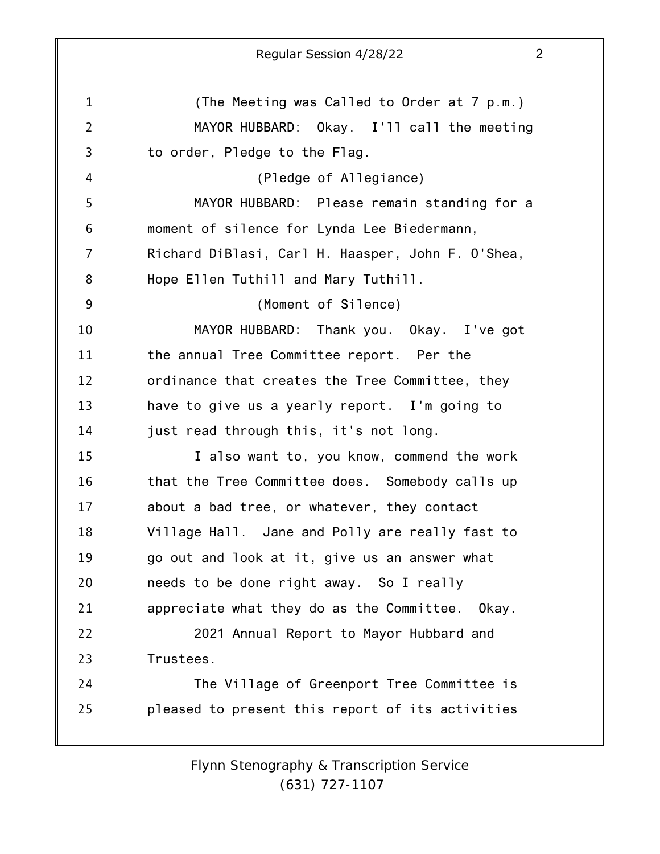1 2 3 4 5 6 7 8 9 10 11 12 13 14 15 16 17 18 19 20 21 22 23 24 25 Regular Session 4/28/22 2 (The Meeting was Called to Order at 7 p.m.) MAYOR HUBBARD: Okay. I'll call the meeting to order, Pledge to the Flag. (Pledge of Allegiance) MAYOR HUBBARD: Please remain standing for a moment of silence for Lynda Lee Biedermann, Richard DiBlasi, Carl H. Haasper, John F. O'Shea, Hope Ellen Tuthill and Mary Tuthill. (Moment of Silence) MAYOR HUBBARD: Thank you. Okay. I've got the annual Tree Committee report. Per the ordinance that creates the Tree Committee, they have to give us a yearly report. I'm going to just read through this, it's not long. I also want to, you know, commend the work that the Tree Committee does. Somebody calls up about a bad tree, or whatever, they contact Village Hall. Jane and Polly are really fast to go out and look at it, give us an answer what needs to be done right away. So I really appreciate what they do as the Committee. Okay. 2021 Annual Report to Mayor Hubbard and Trustees. The Village of Greenport Tree Committee is pleased to present this report of its activities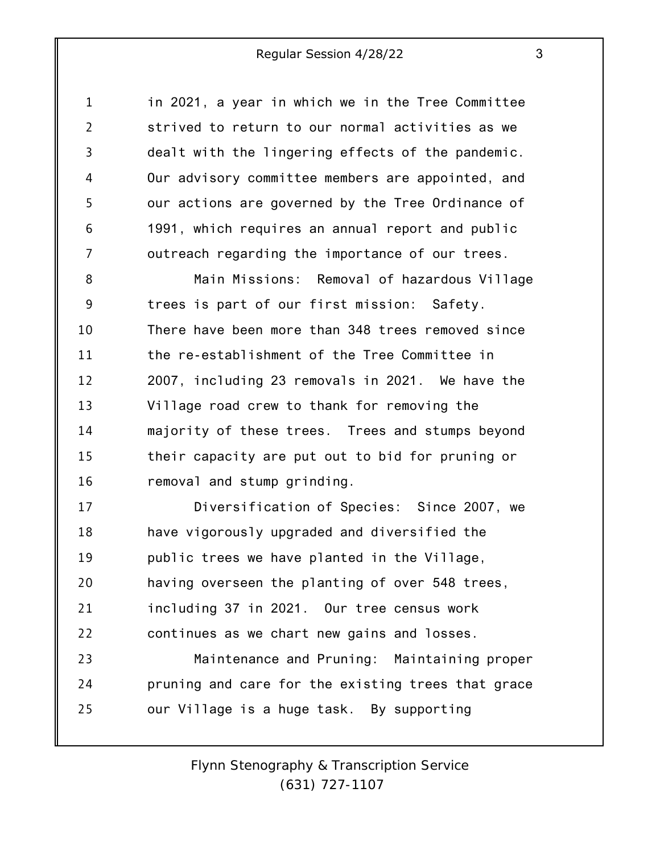1 2 3 4 5 6 7 in 2021, a year in which we in the Tree Committee strived to return to our normal activities as we dealt with the lingering effects of the pandemic. Our advisory committee members are appointed, and our actions are governed by the Tree Ordinance of 1991, which requires an annual report and public outreach regarding the importance of our trees.

8 9 10 11 12 13 14 15 16 Main Missions: Removal of hazardous Village trees is part of our first mission: Safety. There have been more than 348 trees removed since the re-establishment of the Tree Committee in 2007, including 23 removals in 2021. We have the Village road crew to thank for removing the majority of these trees. Trees and stumps beyond their capacity are put out to bid for pruning or removal and stump grinding.

17 18 19 20 21 22 Diversification of Species: Since 2007, we have vigorously upgraded and diversified the public trees we have planted in the Village, having overseen the planting of over 548 trees, including 37 in 2021. Our tree census work continues as we chart new gains and losses.

23 24 25 Maintenance and Pruning: Maintaining proper pruning and care for the existing trees that grace our Village is a huge task. By supporting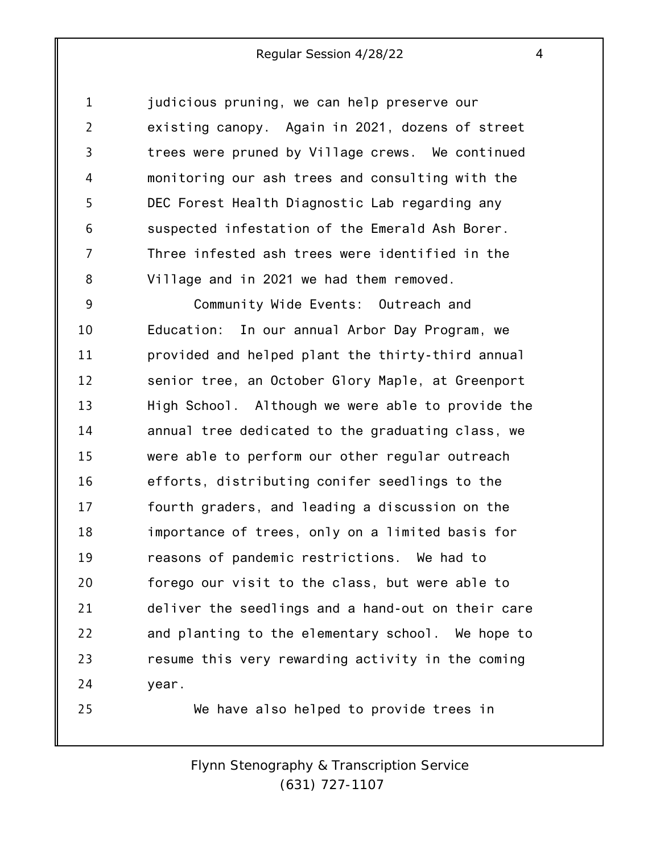1 2 3 4 5 6 7 8 judicious pruning, we can help preserve our existing canopy. Again in 2021, dozens of street trees were pruned by Village crews. We continued monitoring our ash trees and consulting with the DEC Forest Health Diagnostic Lab regarding any suspected infestation of the Emerald Ash Borer. Three infested ash trees were identified in the Village and in 2021 we had them removed.

9 10 11 12 13 14 15 16 17 18 19 20 21 22 23 24 Community Wide Events: Outreach and Education: In our annual Arbor Day Program, we provided and helped plant the thirty-third annual senior tree, an October Glory Maple, at Greenport High School. Although we were able to provide the annual tree dedicated to the graduating class, we were able to perform our other regular outreach efforts, distributing conifer seedlings to the fourth graders, and leading a discussion on the importance of trees, only on a limited basis for reasons of pandemic restrictions. We had to forego our visit to the class, but were able to deliver the seedlings and a hand-out on their care and planting to the elementary school. We hope to resume this very rewarding activity in the coming year.

We have also helped to provide trees in

25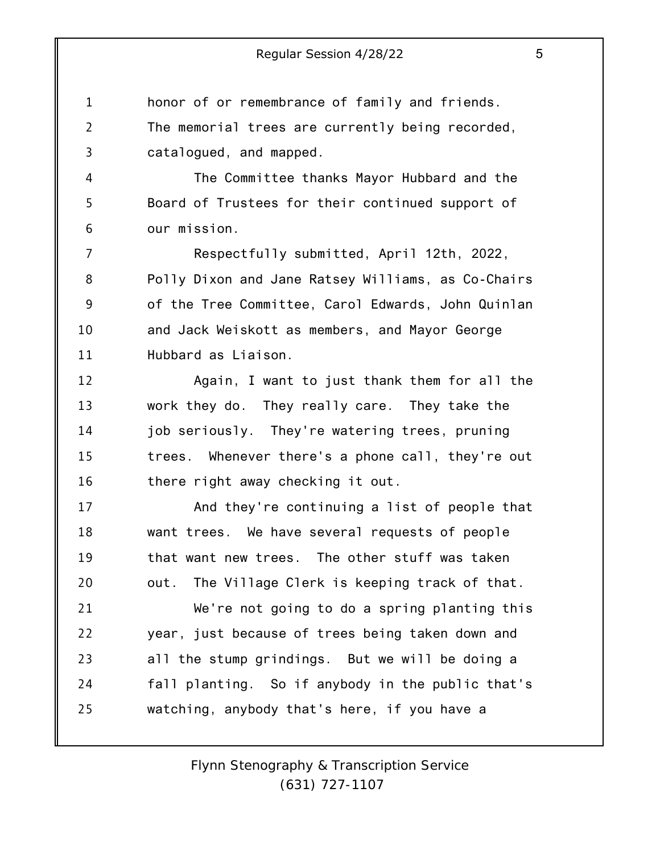1 2 3 honor of or remembrance of family and friends. The memorial trees are currently being recorded, catalogued, and mapped.

4

5

6

The Committee thanks Mayor Hubbard and the Board of Trustees for their continued support of our mission.

7 8 9 10 11 Respectfully submitted, April 12th, 2022, Polly Dixon and Jane Ratsey Williams, as Co-Chairs of the Tree Committee, Carol Edwards, John Quinlan and Jack Weiskott as members, and Mayor George Hubbard as Liaison.

12 13 14 15 16 Again, I want to just thank them for all the work they do. They really care. They take the job seriously. They're watering trees, pruning trees. Whenever there's a phone call, they're out there right away checking it out.

17 18 19 20 And they're continuing a list of people that want trees. We have several requests of people that want new trees. The other stuff was taken out. The Village Clerk is keeping track of that.

21 22 23 24 25 We're not going to do a spring planting this year, just because of trees being taken down and all the stump grindings. But we will be doing a fall planting. So if anybody in the public that's watching, anybody that's here, if you have a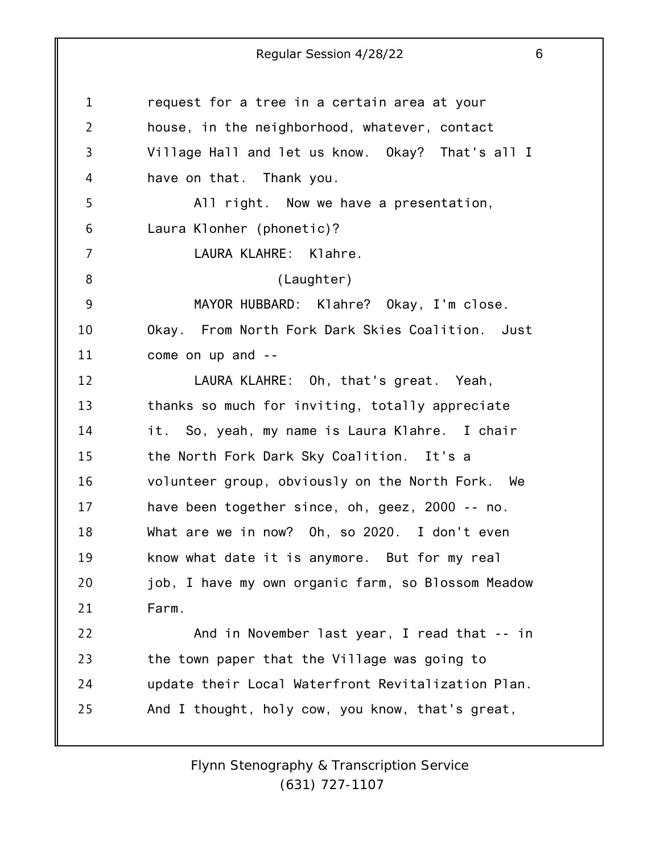| $\mathbf{1}$   | request for a tree in a certain area at your       |
|----------------|----------------------------------------------------|
| $\overline{2}$ | house, in the neighborhood, whatever, contact      |
| 3              | Village Hall and let us know. Okay? That's all I   |
| 4              | have on that. Thank you.                           |
| 5              | All right. Now we have a presentation,             |
| 6              | Laura Klonher (phonetic)?                          |
| $\overline{7}$ | LAURA KLAHRE: Klahre.                              |
| 8              | (Laughter)                                         |
| 9              | MAYOR HUBBARD: Klahre? Okay, I'm close.            |
| 10             | Okay. From North Fork Dark Skies Coalition. Just   |
| 11             | come on up and --                                  |
| 12             | LAURA KLAHRE: Oh, that's great. Yeah,              |
| 13             | thanks so much for inviting, totally appreciate    |
| 14             | it. So, yeah, my name is Laura Klahre. I chair     |
| 15             | the North Fork Dark Sky Coalition. It's a          |
| 16             | volunteer group, obviously on the North Fork. We   |
| 17             | have been together since, oh, geez, 2000 -- no.    |
| 18             | What are we in now? Oh, so 2020. I don't even      |
| 19             | know what date it is anymore. But for my real      |
| 20             | job, I have my own organic farm, so Blossom Meadow |
| 21             | Farm.                                              |
| 22             | And in November last year, I read that -- in       |
| 23             | the town paper that the Village was going to       |
| 24             | update their Local Waterfront Revitalization Plan. |
| 25             | And I thought, holy cow, you know, that's great,   |
|                |                                                    |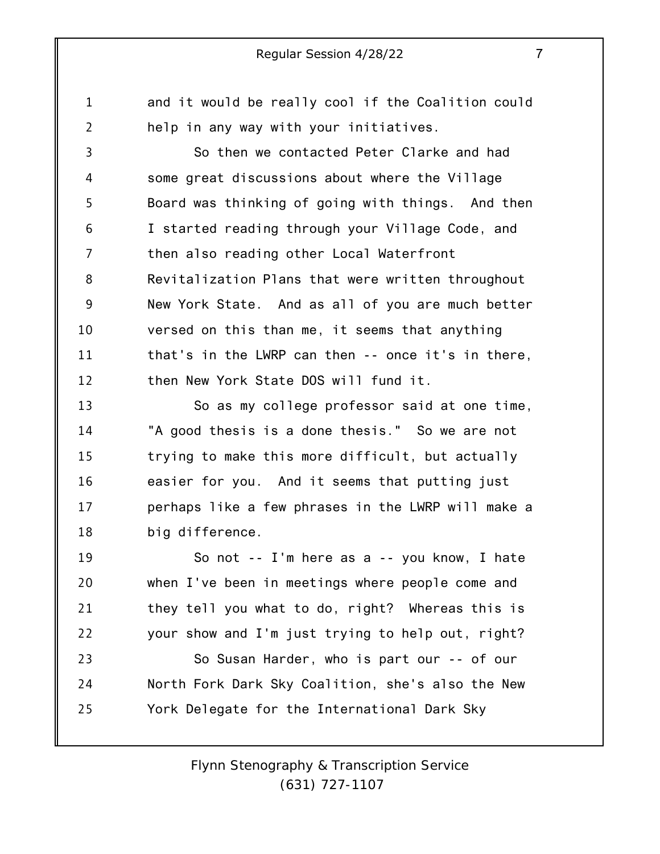and it would be really cool if the Coalition could help in any way with your initiatives.

1

2

3 4 5 6 7 8 9 10 11 12 So then we contacted Peter Clarke and had some great discussions about where the Village Board was thinking of going with things. And then I started reading through your Village Code, and then also reading other Local Waterfront Revitalization Plans that were written throughout New York State. And as all of you are much better versed on this than me, it seems that anything that's in the LWRP can then -- once it's in there, then New York State DOS will fund it.

13 14 15 16 17 18 So as my college professor said at one time, "A good thesis is a done thesis." So we are not trying to make this more difficult, but actually easier for you. And it seems that putting just perhaps like a few phrases in the LWRP will make a big difference.

19 20 21 22 So not -- I'm here as a -- you know, I hate when I've been in meetings where people come and they tell you what to do, right? Whereas this is your show and I'm just trying to help out, right?

23 24 25 So Susan Harder, who is part our -- of our North Fork Dark Sky Coalition, she's also the New York Delegate for the International Dark Sky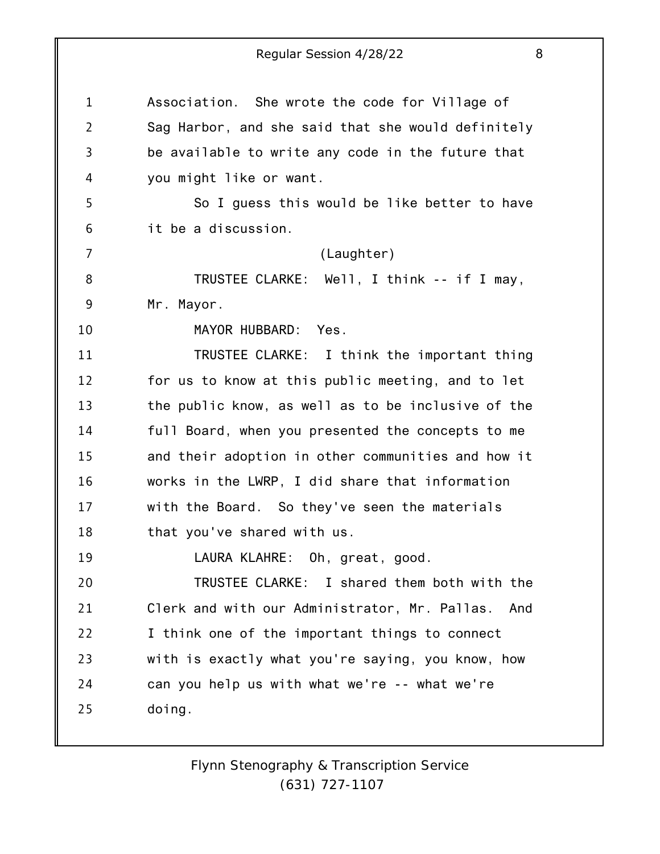1 2 3 4 5 6 7 8 9 10 11 12 13 14 15 16 17 18 19 20 21 22 23 24 25 Association. She wrote the code for Village of Sag Harbor, and she said that she would definitely be available to write any code in the future that you might like or want. So I guess this would be like better to have it be a discussion. (Laughter) TRUSTEE CLARKE: Well, I think -- if I may, Mr. Mayor. MAYOR HUBBARD: Yes. TRUSTEE CLARKE: I think the important thing for us to know at this public meeting, and to let the public know, as well as to be inclusive of the full Board, when you presented the concepts to me and their adoption in other communities and how it works in the LWRP, I did share that information with the Board. So they've seen the materials that you've shared with us. LAURA KLAHRE: Oh, great, good. TRUSTEE CLARKE: I shared them both with the Clerk and with our Administrator, Mr. Pallas. And I think one of the important things to connect with is exactly what you're saying, you know, how can you help us with what we're -- what we're doing.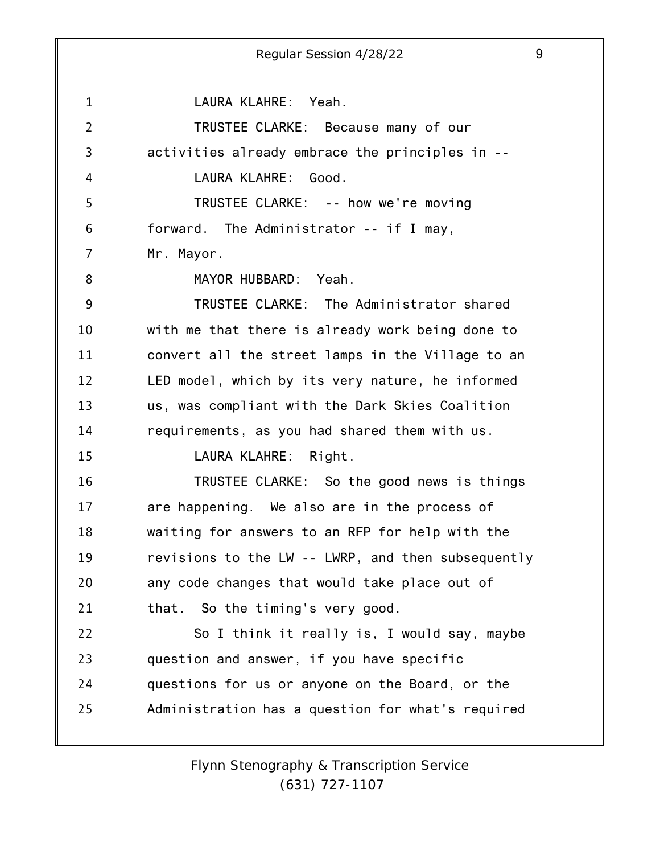1 2 3 4 5 6 7 8 9 10 11 12 13 14 15 16 17 18 19 20 21 22 23 24 25 Regular Session 4/28/22 9 LAURA KLAHRE: Yeah. TRUSTEE CLARKE: Because many of our activities already embrace the principles in -- LAURA KLAHRE: Good. TRUSTEE CLARKE: -- how we're moving forward. The Administrator -- if I may, Mr. Mayor. MAYOR HUBBARD: Yeah. TRUSTEE CLARKE: The Administrator shared with me that there is already work being done to convert all the street lamps in the Village to an LED model, which by its very nature, he informed us, was compliant with the Dark Skies Coalition requirements, as you had shared them with us. LAURA KLAHRE: Right. TRUSTEE CLARKE: So the good news is things are happening. We also are in the process of waiting for answers to an RFP for help with the revisions to the LW -- LWRP, and then subsequently any code changes that would take place out of that. So the timing's very good. So I think it really is, I would say, maybe question and answer, if you have specific questions for us or anyone on the Board, or the Administration has a question for what's required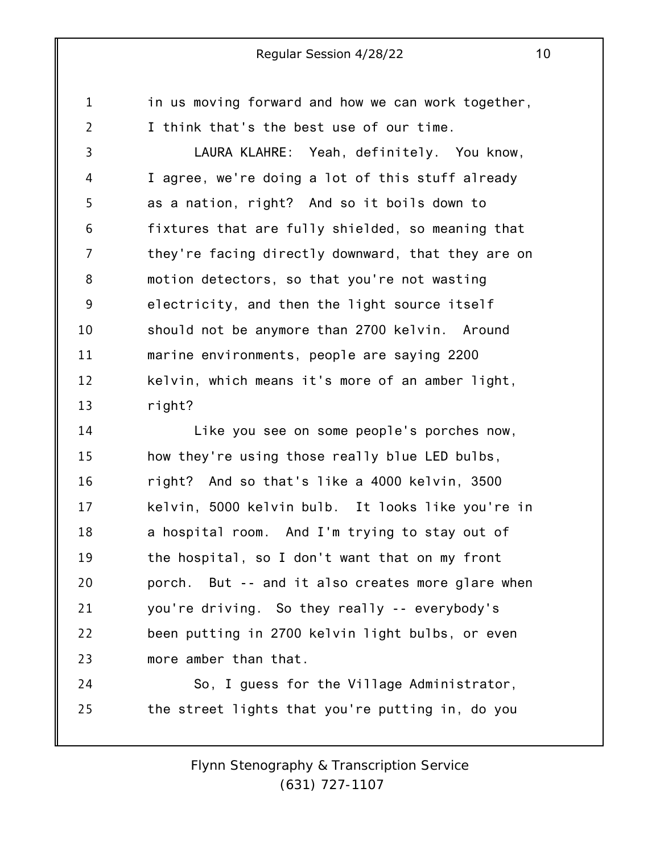in us moving forward and how we can work together, I think that's the best use of our time.

1

2

3 4 5 6 7 8 9 10 11 12 13 LAURA KLAHRE: Yeah, definitely. You know, I agree, we're doing a lot of this stuff already as a nation, right? And so it boils down to fixtures that are fully shielded, so meaning that they're facing directly downward, that they are on motion detectors, so that you're not wasting electricity, and then the light source itself should not be anymore than 2700 kelvin. Around marine environments, people are saying 2200 kelvin, which means it's more of an amber light, right?

14 15 16 17 18 19 20 21 22 23 Like you see on some people's porches now, how they're using those really blue LED bulbs, right? And so that's like a 4000 kelvin, 3500 kelvin, 5000 kelvin bulb. It looks like you're in a hospital room. And I'm trying to stay out of the hospital, so I don't want that on my front porch. But -- and it also creates more glare when you're driving. So they really -- everybody's been putting in 2700 kelvin light bulbs, or even more amber than that.

24 25 So, I guess for the Village Administrator, the street lights that you're putting in, do you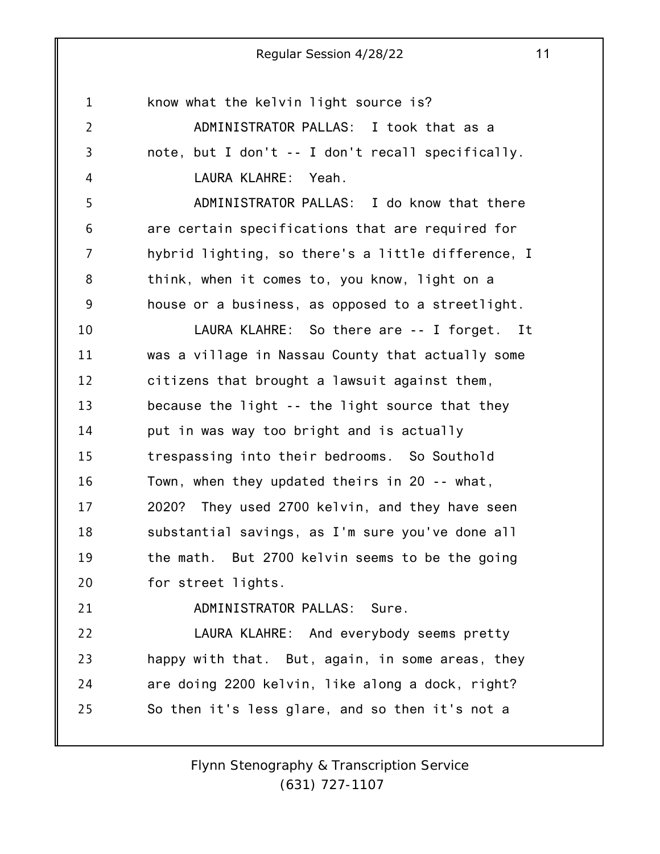1 2 3 4 5 6 7 8 9 10 11 12 13 14 15 16 17 18 19 20 21 22 23 24 25 know what the kelvin light source is? ADMINISTRATOR PALLAS: I took that as a note, but I don't -- I don't recall specifically. LAURA KLAHRE: Yeah. ADMINISTRATOR PALLAS: I do know that there are certain specifications that are required for hybrid lighting, so there's a little difference, I think, when it comes to, you know, light on a house or a business, as opposed to a streetlight. LAURA KLAHRE: So there are -- I forget. It was a village in Nassau County that actually some citizens that brought a lawsuit against them, because the light -- the light source that they put in was way too bright and is actually trespassing into their bedrooms. So Southold Town, when they updated theirs in 20 -- what, 2020? They used 2700 kelvin, and they have seen substantial savings, as I'm sure you've done all the math. But 2700 kelvin seems to be the going for street lights. ADMINISTRATOR PALLAS: Sure. LAURA KLAHRE: And everybody seems pretty happy with that. But, again, in some areas, they are doing 2200 kelvin, like along a dock, right? So then it's less glare, and so then it's not a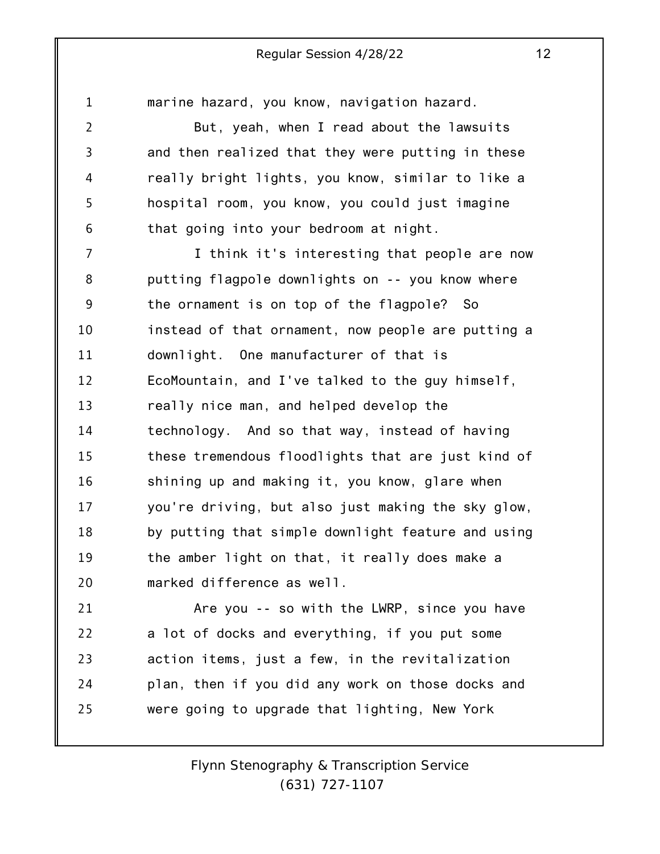1 2 3 4 5 6 7 8 9 10 11 12 13 14 15 16 17 18 19 20 21 22 marine hazard, you know, navigation hazard. But, yeah, when I read about the lawsuits and then realized that they were putting in these really bright lights, you know, similar to like a hospital room, you know, you could just imagine that going into your bedroom at night. I think it's interesting that people are now putting flagpole downlights on -- you know where the ornament is on top of the flagpole? So instead of that ornament, now people are putting a downlight. One manufacturer of that is EcoMountain, and I've talked to the guy himself, really nice man, and helped develop the technology. And so that way, instead of having these tremendous floodlights that are just kind of shining up and making it, you know, glare when you're driving, but also just making the sky glow, by putting that simple downlight feature and using the amber light on that, it really does make a marked difference as well. Are you -- so with the LWRP, since you have a lot of docks and everything, if you put some

23 24 25 action items, just a few, in the revitalization plan, then if you did any work on those docks and were going to upgrade that lighting, New York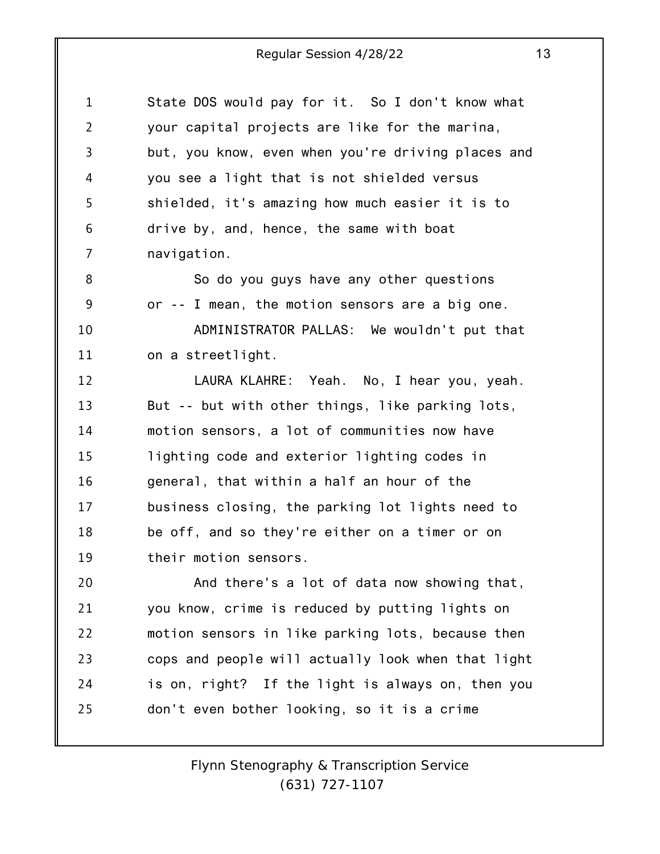1 2 3 4 5 6 7 State DOS would pay for it. So I don't know what your capital projects are like for the marina, but, you know, even when you're driving places and you see a light that is not shielded versus shielded, it's amazing how much easier it is to drive by, and, hence, the same with boat navigation.

8 9 10 11 So do you guys have any other questions or -- I mean, the motion sensors are a big one. ADMINISTRATOR PALLAS: We wouldn't put that on a streetlight.

12 13 14 15 16 17 18 19 LAURA KLAHRE: Yeah. No, I hear you, yeah. But -- but with other things, like parking lots, motion sensors, a lot of communities now have lighting code and exterior lighting codes in general, that within a half an hour of the business closing, the parking lot lights need to be off, and so they're either on a timer or on their motion sensors.

20 21 22 23 24 25 And there's a lot of data now showing that, you know, crime is reduced by putting lights on motion sensors in like parking lots, because then cops and people will actually look when that light is on, right? If the light is always on, then you don't even bother looking, so it is a crime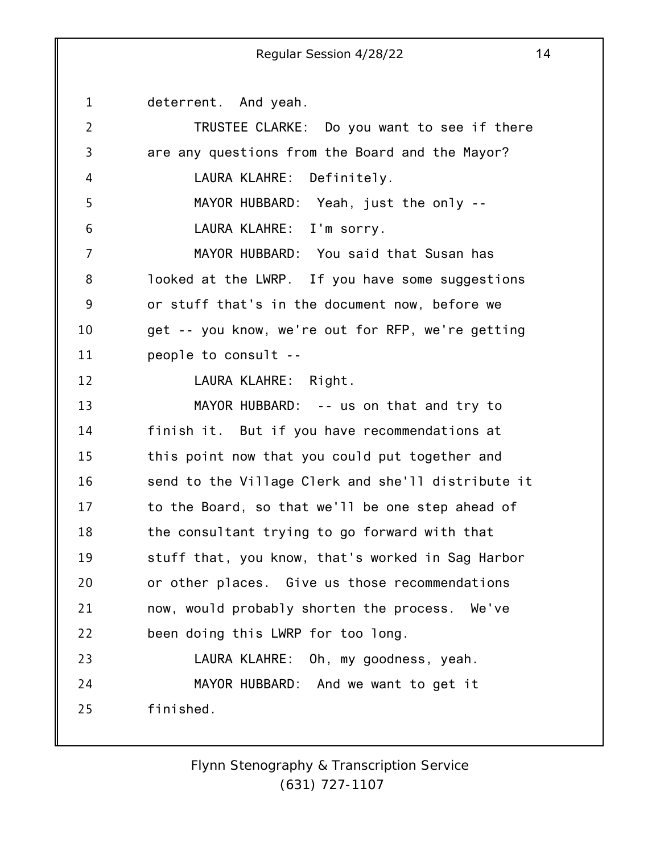1 2 3 4 5 6 7 8 9 10 11 12 13 14 15 16 17 18 19 20 21 22 23 24 25 deterrent. And yeah. TRUSTEE CLARKE: Do you want to see if there are any questions from the Board and the Mayor? LAURA KLAHRE: Definitely. MAYOR HUBBARD: Yeah, just the only -- LAURA KLAHRE: I'm sorry. MAYOR HUBBARD: You said that Susan has looked at the LWRP. If you have some suggestions or stuff that's in the document now, before we get -- you know, we're out for RFP, we're getting people to consult -- LAURA KLAHRE: Right. MAYOR HUBBARD: -- us on that and try to finish it. But if you have recommendations at this point now that you could put together and send to the Village Clerk and she'll distribute it to the Board, so that we'll be one step ahead of the consultant trying to go forward with that stuff that, you know, that's worked in Sag Harbor or other places. Give us those recommendations now, would probably shorten the process. We've been doing this LWRP for too long. LAURA KLAHRE: Oh, my goodness, yeah. MAYOR HUBBARD: And we want to get it finished.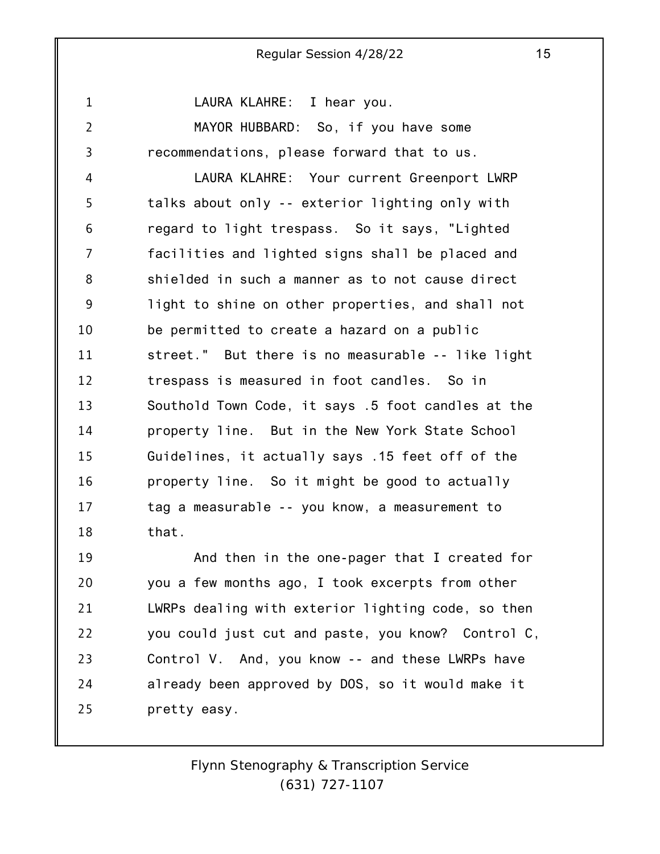1

2

3

LAURA KLAHRE: I hear you.

MAYOR HUBBARD: So, if you have some recommendations, please forward that to us.

4 5 6 7 8 9 10 11 12 13 14 15 16 17 18 LAURA KLAHRE: Your current Greenport LWRP talks about only -- exterior lighting only with regard to light trespass. So it says, "Lighted facilities and lighted signs shall be placed and shielded in such a manner as to not cause direct light to shine on other properties, and shall not be permitted to create a hazard on a public street." But there is no measurable -- like light trespass is measured in foot candles. So in Southold Town Code, it says .5 foot candles at the property line. But in the New York State School Guidelines, it actually says .15 feet off of the property line. So it might be good to actually tag a measurable -- you know, a measurement to that.

19 20 21 22 23 24 25 And then in the one-pager that I created for you a few months ago, I took excerpts from other LWRPs dealing with exterior lighting code, so then you could just cut and paste, you know? Control C, Control V. And, you know -- and these LWRPs have already been approved by DOS, so it would make it pretty easy.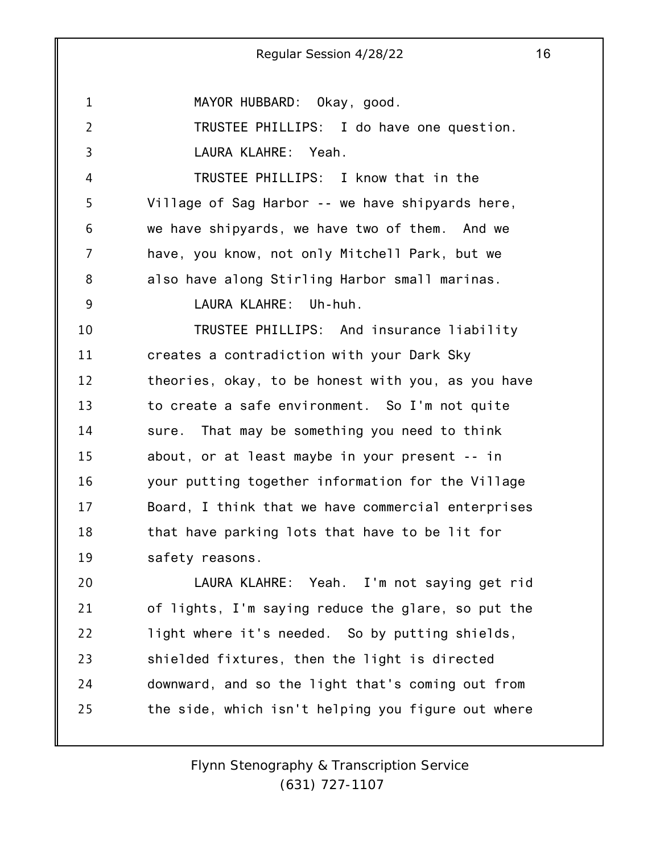1 2 3 4 5 6 7 8 9 10 11 12 13 14 15 16 17 18 19 20 21 22 23 24 25 Regular Session 4/28/22 16 MAYOR HUBBARD: Okay, good. TRUSTEE PHILLIPS: I do have one question. LAURA KLAHRE: Yeah. TRUSTEE PHILLIPS: I know that in the Village of Sag Harbor -- we have shipyards here, we have shipyards, we have two of them. And we have, you know, not only Mitchell Park, but we also have along Stirling Harbor small marinas. LAURA KLAHRE: Uh-huh. TRUSTEE PHILLIPS: And insurance liability creates a contradiction with your Dark Sky theories, okay, to be honest with you, as you have to create a safe environment. So I'm not quite sure. That may be something you need to think about, or at least maybe in your present -- in your putting together information for the Village Board, I think that we have commercial enterprises that have parking lots that have to be lit for safety reasons. LAURA KLAHRE: Yeah. I'm not saying get rid of lights, I'm saying reduce the glare, so put the light where it's needed. So by putting shields, shielded fixtures, then the light is directed downward, and so the light that's coming out from the side, which isn't helping you figure out where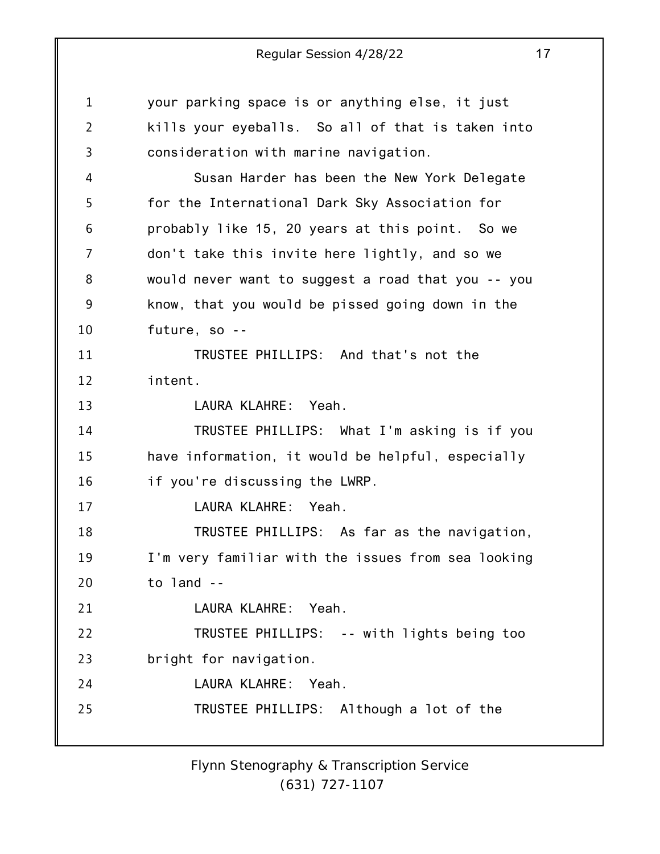| $\mathbf{1}$   | your parking space is or anything else, it just    |
|----------------|----------------------------------------------------|
| $\overline{2}$ | kills your eyeballs. So all of that is taken into  |
| 3              | consideration with marine navigation.              |
| 4              | Susan Harder has been the New York Delegate        |
| 5              | for the International Dark Sky Association for     |
| 6              | probably like 15, 20 years at this point. So we    |
| 7              | don't take this invite here lightly, and so we     |
| 8              | would never want to suggest a road that you -- you |
| 9              | know, that you would be pissed going down in the   |
| 10             | future, so --                                      |
| 11             | TRUSTEE PHILLIPS: And that's not the               |
| 12             | intent.                                            |
| 13             | LAURA KLAHRE: Yeah.                                |
| 14             | TRUSTEE PHILLIPS: What I'm asking is if you        |
| 15             | have information, it would be helpful, especially  |
| 16             | if you're discussing the LWRP.                     |
| 17             | LAURA KLAHRE: Yeah.                                |
| 18             | TRUSTEE PHILLIPS: As far as the navigation,        |
| 19             | I'm very familiar with the issues from sea looking |
| 20             | to land --                                         |
| 21             | LAURA KLAHRE: Yeah.                                |
| 22             | TRUSTEE PHILLIPS: -- with lights being too         |
| 23             | bright for navigation.                             |
| 24             | LAURA KLAHRE: Yeah.                                |
| 25             | TRUSTEE PHILLIPS: Although a lot of the            |
|                |                                                    |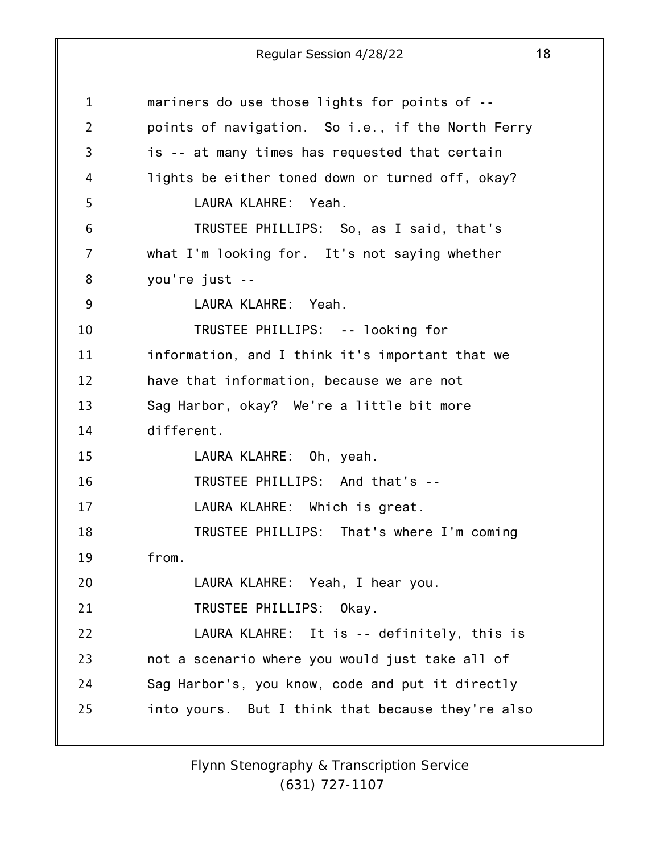| $\mathbf 1$    | mariners do use those lights for points of --     |
|----------------|---------------------------------------------------|
| $\overline{2}$ | points of navigation. So i.e., if the North Ferry |
| 3              | is -- at many times has requested that certain    |
| 4              | lights be either toned down or turned off, okay?  |
| 5              | LAURA KLAHRE: Yeah.                               |
| 6              | TRUSTEE PHILLIPS: So, as I said, that's           |
| 7              | what I'm looking for. It's not saying whether     |
| 8              | you're just --                                    |
| 9              | LAURA KLAHRE: Yeah.                               |
| 10             | TRUSTEE PHILLIPS: -- looking for                  |
| 11             | information, and I think it's important that we   |
| 12             | have that information, because we are not         |
| 13             | Sag Harbor, okay? We're a little bit more         |
| 14             | different.                                        |
| 15             | LAURA KLAHRE: Oh, yeah.                           |
| 16             | TRUSTEE PHILLIPS: And that's --                   |
| 17             | LAURA KLAHRE: Which is great.                     |
| 18             | TRUSTEE PHILLIPS: That's where I'm coming         |
| 19             | from.                                             |
| 20             | LAURA KLAHRE: Yeah, I hear you.                   |
| 21             | TRUSTEE PHILLIPS: Okay.                           |
| 22             | LAURA KLAHRE: It is -- definitely, this is        |
| 23             | not a scenario where you would just take all of   |
| 24             | Sag Harbor's, you know, code and put it directly  |
| 25             | into yours. But I think that because they're also |
|                |                                                   |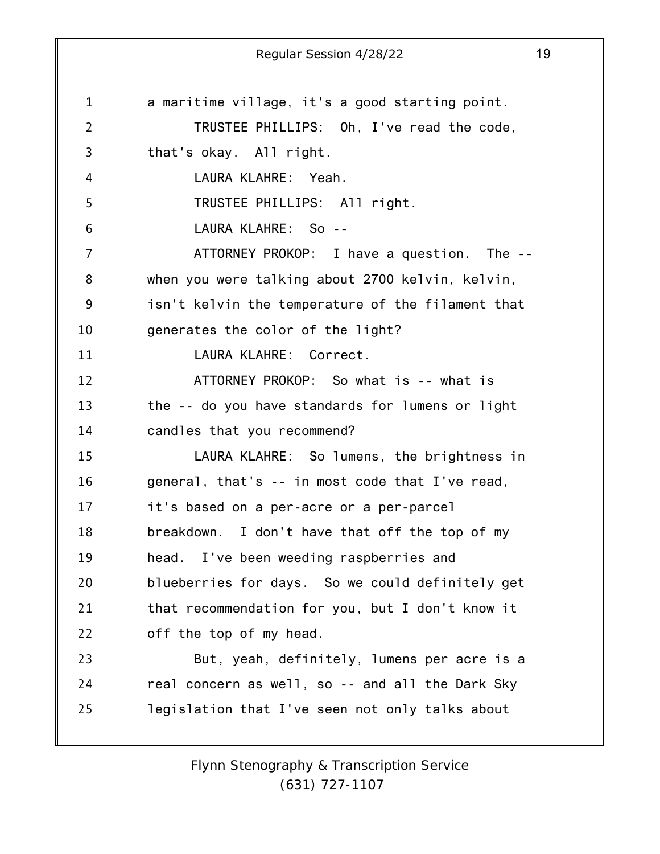1 2 3 4 5 6 7 8 9 10 11 12 13 14 15 16 17 18 19 20 21 22 23 24 25 Regular Session 4/28/22 19 a maritime village, it's a good starting point. TRUSTEE PHILLIPS: Oh, I've read the code, that's okay. All right. LAURA KLAHRE: Yeah. TRUSTEE PHILLIPS: All right. LAURA KLAHRE: So -- ATTORNEY PROKOP: I have a question. The - when you were talking about 2700 kelvin, kelvin, isn't kelvin the temperature of the filament that generates the color of the light? LAURA KLAHRE: Correct. ATTORNEY PROKOP: So what is -- what is the -- do you have standards for lumens or light candles that you recommend? LAURA KLAHRE: So lumens, the brightness in general, that's -- in most code that I've read, it's based on a per-acre or a per-parcel breakdown. I don't have that off the top of my head. I've been weeding raspberries and blueberries for days. So we could definitely get that recommendation for you, but I don't know it off the top of my head. But, yeah, definitely, lumens per acre is a real concern as well, so -- and all the Dark Sky legislation that I've seen not only talks about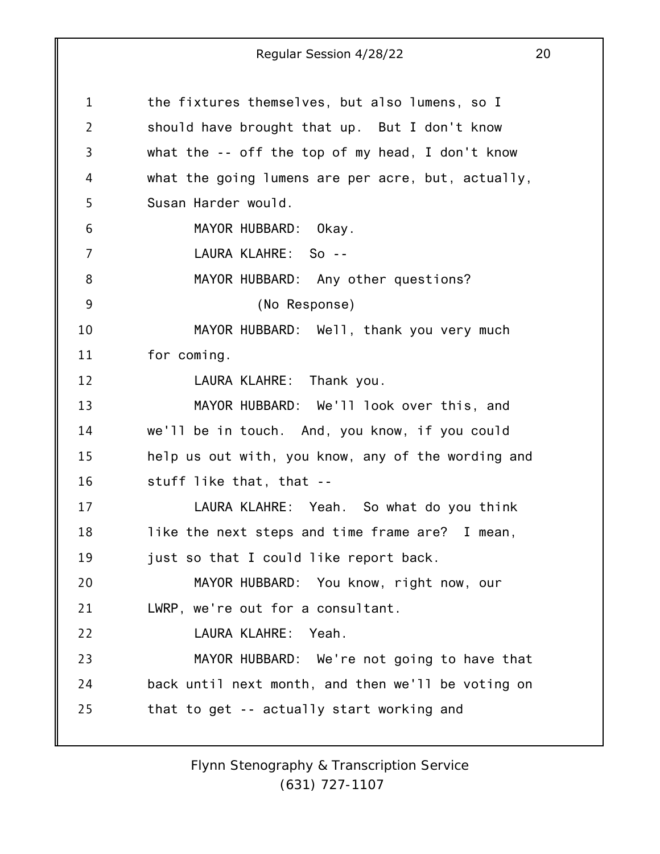| $\mathbf 1$    | the fixtures themselves, but also lumens, so I      |
|----------------|-----------------------------------------------------|
| $\overline{2}$ | should have brought that up. But I don't know       |
| 3              | what the $-$ - off the top of my head, I don't know |
| 4              | what the going lumens are per acre, but, actually,  |
| 5              | Susan Harder would.                                 |
| 6              | MAYOR HUBBARD: Okay.                                |
| 7              | LAURA KLAHRE: So --                                 |
| 8              | MAYOR HUBBARD: Any other questions?                 |
| 9              | (No Response)                                       |
| 10             | MAYOR HUBBARD: Well, thank you very much            |
| 11             | for coming.                                         |
| 12             | LAURA KLAHRE: Thank you.                            |
| 13             | MAYOR HUBBARD: We'll look over this, and            |
| 14             | we'll be in touch. And, you know, if you could      |
| 15             | help us out with, you know, any of the wording and  |
| 16             | stuff like that, that --                            |
| 17             | LAURA KLAHRE: Yeah. So what do you think            |
| 18             | like the next steps and time frame are? I mean,     |
| 19             | just so that I could like report back.              |
| 20             | MAYOR HUBBARD: You know, right now, our             |
| 21             | LWRP, we're out for a consultant.                   |
| 22             | LAURA KLAHRE: Yeah.                                 |
| 23             | MAYOR HUBBARD: We're not going to have that         |
| 24             | back until next month, and then we'll be voting on  |
| 25             | that to get -- actually start working and           |
|                |                                                     |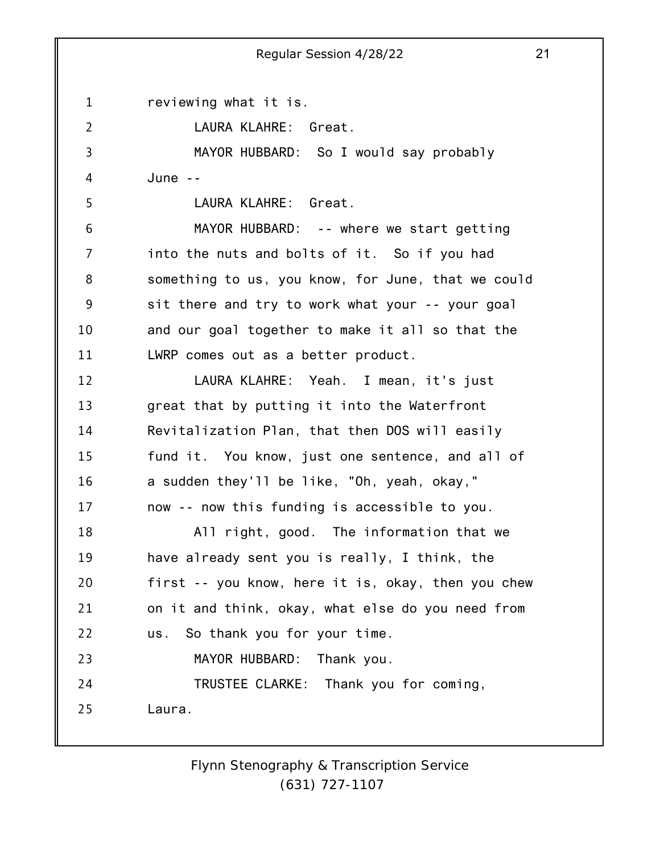1 2 3 4 5 6 7 8 9 10 11 12 13 14 15 16 17 18 19 20 21 22 23 24 25 Regular Session 4/28/22 21 reviewing what it is. LAURA KLAHRE: Great. MAYOR HUBBARD: So I would say probably June -- LAURA KLAHRE: Great. MAYOR HUBBARD: -- where we start getting into the nuts and bolts of it. So if you had something to us, you know, for June, that we could sit there and try to work what your -- your goal and our goal together to make it all so that the LWRP comes out as a better product. LAURA KLAHRE: Yeah. I mean, it's just great that by putting it into the Waterfront Revitalization Plan, that then DOS will easily fund it. You know, just one sentence, and all of a sudden they'll be like, "Oh, yeah, okay," now -- now this funding is accessible to you. All right, good. The information that we have already sent you is really, I think, the first -- you know, here it is, okay, then you chew on it and think, okay, what else do you need from us. So thank you for your time. MAYOR HUBBARD: Thank you. TRUSTEE CLARKE: Thank you for coming, Laura.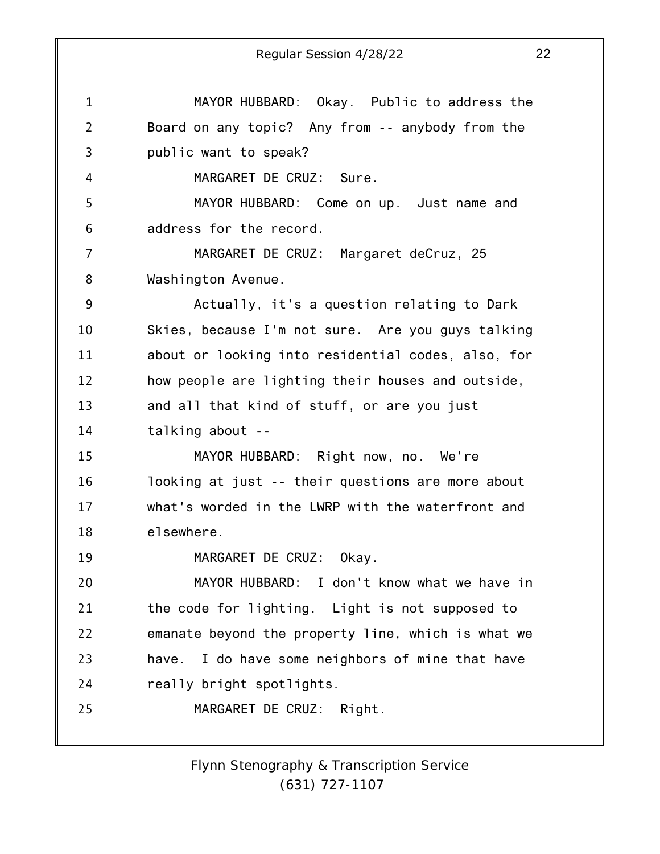1 2 3 4 5 6 7 8 9 10 11 12 13 14 15 16 17 18 19 20 21 22 23 24 25 Regular Session 4/28/22 22 MAYOR HUBBARD: Okay. Public to address the Board on any topic? Any from -- anybody from the public want to speak? MARGARET DE CRUZ: Sure. MAYOR HUBBARD: Come on up. Just name and address for the record. MARGARET DE CRUZ: Margaret deCruz, 25 Washington Avenue. Actually, it's a question relating to Dark Skies, because I'm not sure. Are you guys talking about or looking into residential codes, also, for how people are lighting their houses and outside, and all that kind of stuff, or are you just talking about -- MAYOR HUBBARD: Right now, no. We're looking at just -- their questions are more about what's worded in the LWRP with the waterfront and elsewhere. MARGARET DE CRUZ: Okay. MAYOR HUBBARD: I don't know what we have in the code for lighting. Light is not supposed to emanate beyond the property line, which is what we have. I do have some neighbors of mine that have really bright spotlights. MARGARET DE CRUZ: Right.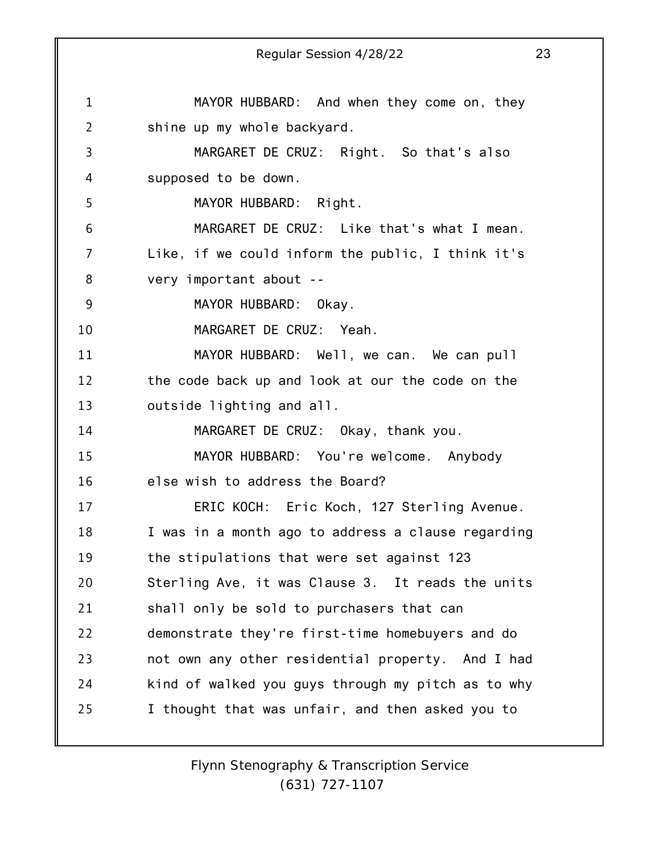1 2 3 4 5 6 7 8 9 10 11 12 13 14 15 16 17 18 19 20 21 22 23 24 25 Regular Session 4/28/22 23 MAYOR HUBBARD: And when they come on, they shine up my whole backyard. MARGARET DE CRUZ: Right. So that's also supposed to be down. MAYOR HUBBARD: Right. MARGARET DE CRUZ: Like that's what I mean. Like, if we could inform the public, I think it's very important about -- MAYOR HUBBARD: Okay. MARGARET DE CRUZ: Yeah. MAYOR HUBBARD: Well, we can. We can pull the code back up and look at our the code on the outside lighting and all. MARGARET DE CRUZ: Okay, thank you. MAYOR HUBBARD: You're welcome. Anybody else wish to address the Board? ERIC KOCH: Eric Koch, 127 Sterling Avenue. I was in a month ago to address a clause regarding the stipulations that were set against 123 Sterling Ave, it was Clause 3. It reads the units shall only be sold to purchasers that can demonstrate they're first-time homebuyers and do not own any other residential property. And I had kind of walked you guys through my pitch as to why I thought that was unfair, and then asked you to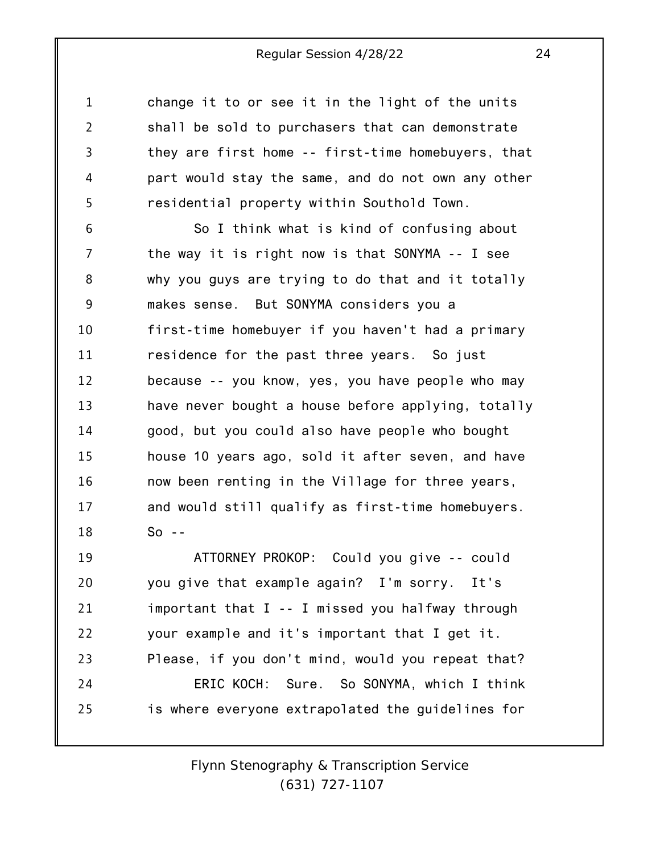1 2 3 4 5 change it to or see it in the light of the units shall be sold to purchasers that can demonstrate they are first home -- first-time homebuyers, that part would stay the same, and do not own any other residential property within Southold Town.

6 7 8 9 10 11 12 13 14 15 16 17 18 So I think what is kind of confusing about the way it is right now is that SONYMA -- I see why you guys are trying to do that and it totally makes sense. But SONYMA considers you a first-time homebuyer if you haven't had a primary residence for the past three years. So just because -- you know, yes, you have people who may have never bought a house before applying, totally good, but you could also have people who bought house 10 years ago, sold it after seven, and have now been renting in the Village for three years, and would still qualify as first-time homebuyers.  $So - -$ 

19 20 21 22 23 24 25 ATTORNEY PROKOP: Could you give -- could you give that example again? I'm sorry. It's important that I -- I missed you halfway through your example and it's important that I get it. Please, if you don't mind, would you repeat that? ERIC KOCH: Sure. So SONYMA, which I think is where everyone extrapolated the guidelines for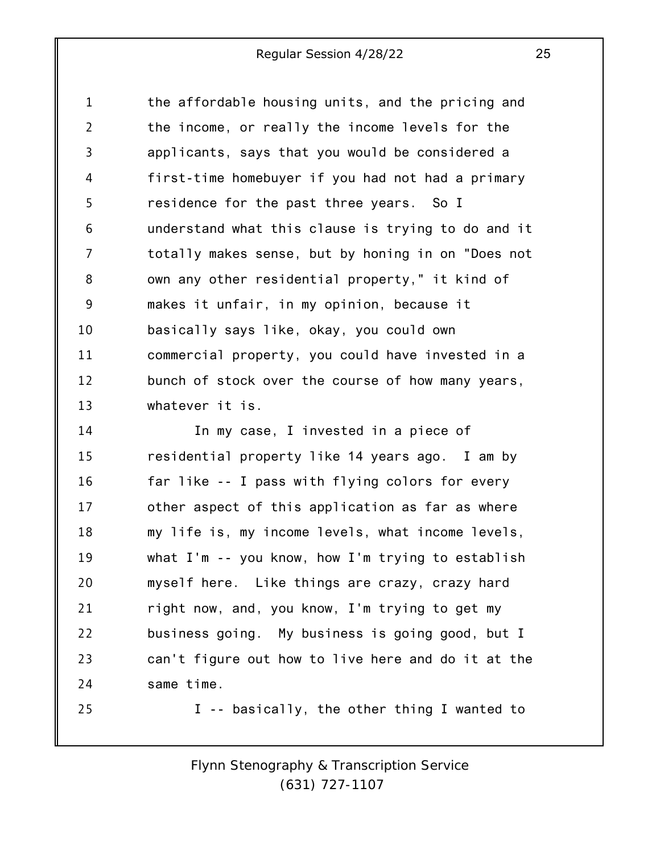1 2 3 4 5 6 7 8 9 10 11 12 13 the affordable housing units, and the pricing and the income, or really the income levels for the applicants, says that you would be considered a first-time homebuyer if you had not had a primary residence for the past three years. So I understand what this clause is trying to do and it totally makes sense, but by honing in on "Does not own any other residential property," it kind of makes it unfair, in my opinion, because it basically says like, okay, you could own commercial property, you could have invested in a bunch of stock over the course of how many years, whatever it is.

14 15 16 17 18 19 20 21 22 23 24 25 In my case, I invested in a piece of residential property like 14 years ago. I am by far like -- I pass with flying colors for every other aspect of this application as far as where my life is, my income levels, what income levels, what I'm -- you know, how I'm trying to establish myself here. Like things are crazy, crazy hard right now, and, you know, I'm trying to get my business going. My business is going good, but I can't figure out how to live here and do it at the same time. I -- basically, the other thing I wanted to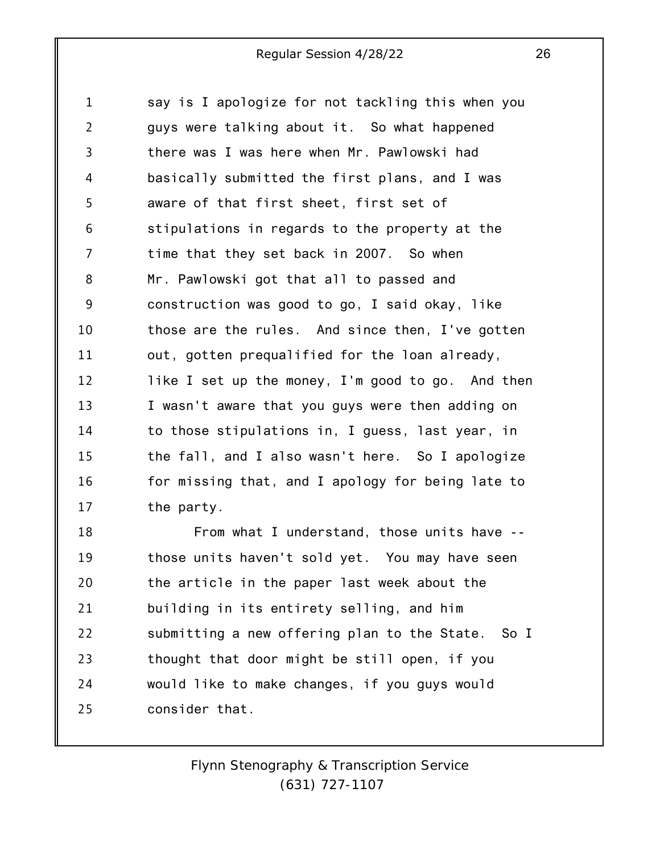1 2 3 4 5 6 7 8 9 10 11 12 13 14 15 16 17 say is I apologize for not tackling this when you guys were talking about it. So what happened there was I was here when Mr. Pawlowski had basically submitted the first plans, and I was aware of that first sheet, first set of stipulations in regards to the property at the time that they set back in 2007. So when Mr. Pawlowski got that all to passed and construction was good to go, I said okay, like those are the rules. And since then, I've gotten out, gotten prequalified for the loan already, like I set up the money, I'm good to go. And then I wasn't aware that you guys were then adding on to those stipulations in, I guess, last year, in the fall, and I also wasn't here. So I apologize for missing that, and I apology for being late to the party.

18 19 20 21 22 23 24 25 From what I understand, those units have - those units haven't sold yet. You may have seen the article in the paper last week about the building in its entirety selling, and him submitting a new offering plan to the State. So I thought that door might be still open, if you would like to make changes, if you guys would consider that.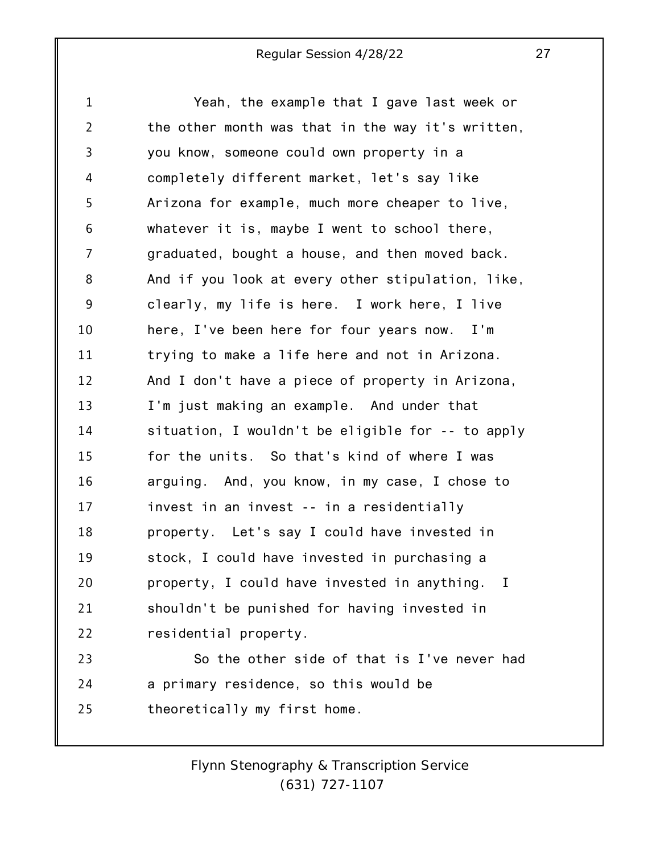1 2 3 4 5 6 7 8 9 10 11 12 13 14 15 16 17 18 19 20 21 22 23 24 Yeah, the example that I gave last week or the other month was that in the way it's written, you know, someone could own property in a completely different market, let's say like Arizona for example, much more cheaper to live, whatever it is, maybe I went to school there, graduated, bought a house, and then moved back. And if you look at every other stipulation, like, clearly, my life is here. I work here, I live here, I've been here for four years now. I'm trying to make a life here and not in Arizona. And I don't have a piece of property in Arizona, I'm just making an example. And under that situation, I wouldn't be eligible for -- to apply for the units. So that's kind of where I was arguing. And, you know, in my case, I chose to invest in an invest -- in a residentially property. Let's say I could have invested in stock, I could have invested in purchasing a property, I could have invested in anything. I shouldn't be punished for having invested in residential property. So the other side of that is I've never had a primary residence, so this would be

25 theoretically my first home.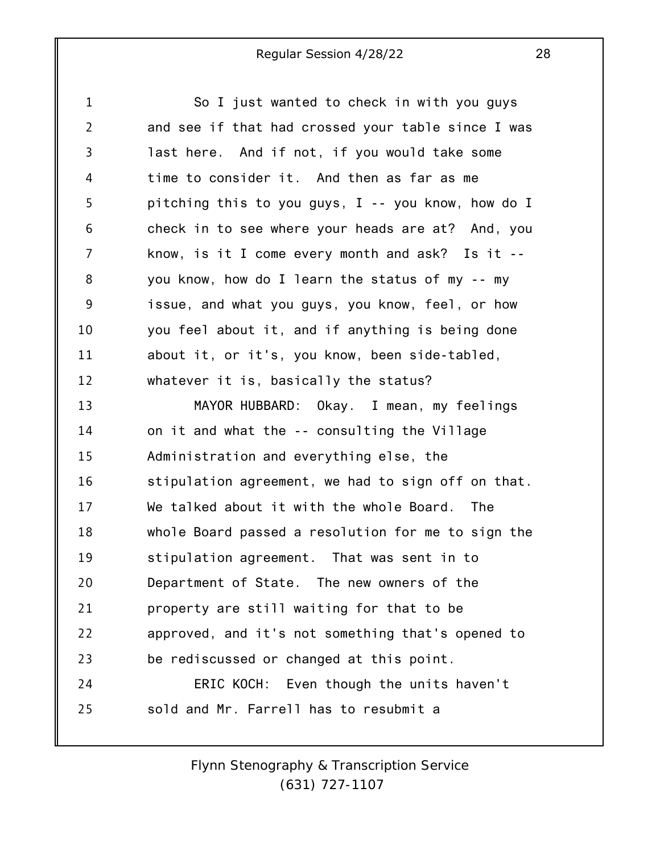1 2 3 4 5 6 7 8 9 10 11 12 13 14 15 16 17 18 19 20 21 22 23 24 25 So I just wanted to check in with you guys and see if that had crossed your table since I was last here. And if not, if you would take some time to consider it. And then as far as me pitching this to you guys, I -- you know, how do I check in to see where your heads are at? And, you know, is it I come every month and ask? Is it - you know, how do I learn the status of my -- my issue, and what you guys, you know, feel, or how you feel about it, and if anything is being done about it, or it's, you know, been side-tabled, whatever it is, basically the status? MAYOR HUBBARD: Okay. I mean, my feelings on it and what the -- consulting the Village Administration and everything else, the stipulation agreement, we had to sign off on that. We talked about it with the whole Board. The whole Board passed a resolution for me to sign the stipulation agreement. That was sent in to Department of State. The new owners of the property are still waiting for that to be approved, and it's not something that's opened to be rediscussed or changed at this point. ERIC KOCH: Even though the units haven't sold and Mr. Farrell has to resubmit a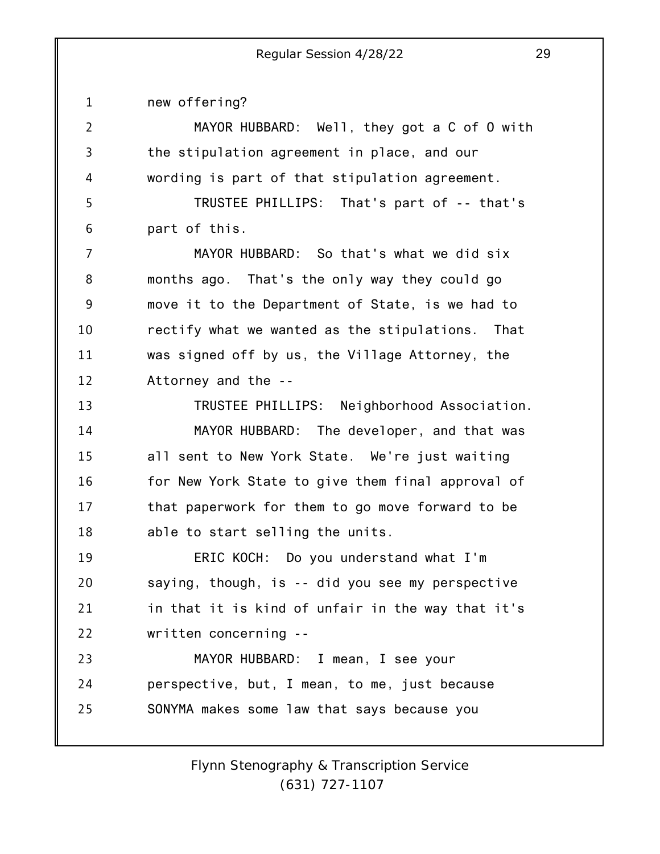1 2 3 4 5 6 7 8 9 10 11 12 13 14 15 16 17 18 19 20 21 22 23 24 25 new offering? MAYOR HUBBARD: Well, they got a C of O with the stipulation agreement in place, and our wording is part of that stipulation agreement. TRUSTEE PHILLIPS: That's part of -- that's part of this. MAYOR HUBBARD: So that's what we did six months ago. That's the only way they could go move it to the Department of State, is we had to rectify what we wanted as the stipulations. That was signed off by us, the Village Attorney, the Attorney and the -- TRUSTEE PHILLIPS: Neighborhood Association. MAYOR HUBBARD: The developer, and that was all sent to New York State. We're just waiting for New York State to give them final approval of that paperwork for them to go move forward to be able to start selling the units. ERIC KOCH: Do you understand what I'm saying, though, is -- did you see my perspective in that it is kind of unfair in the way that it's written concerning -- MAYOR HUBBARD: I mean, I see your perspective, but, I mean, to me, just because SONYMA makes some law that says because you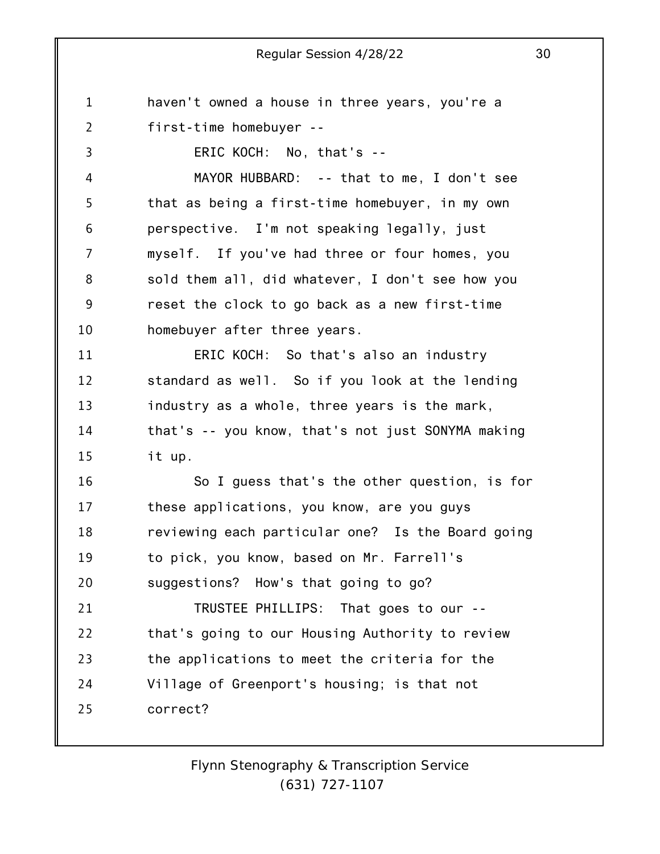1 2 3 4 5 6 7 8 9 10 11 12 13 14 15 16 17 18 19 20 21 22 23 24 25 haven't owned a house in three years, you're a first-time homebuyer -- ERIC KOCH: No, that's -- MAYOR HUBBARD: -- that to me, I don't see that as being a first-time homebuyer, in my own perspective. I'm not speaking legally, just myself. If you've had three or four homes, you sold them all, did whatever, I don't see how you reset the clock to go back as a new first-time homebuyer after three years. ERIC KOCH: So that's also an industry standard as well. So if you look at the lending industry as a whole, three years is the mark, that's -- you know, that's not just SONYMA making it up. So I guess that's the other question, is for these applications, you know, are you guys reviewing each particular one? Is the Board going to pick, you know, based on Mr. Farrell's suggestions? How's that going to go? TRUSTEE PHILLIPS: That goes to our - that's going to our Housing Authority to review the applications to meet the criteria for the Village of Greenport's housing; is that not correct?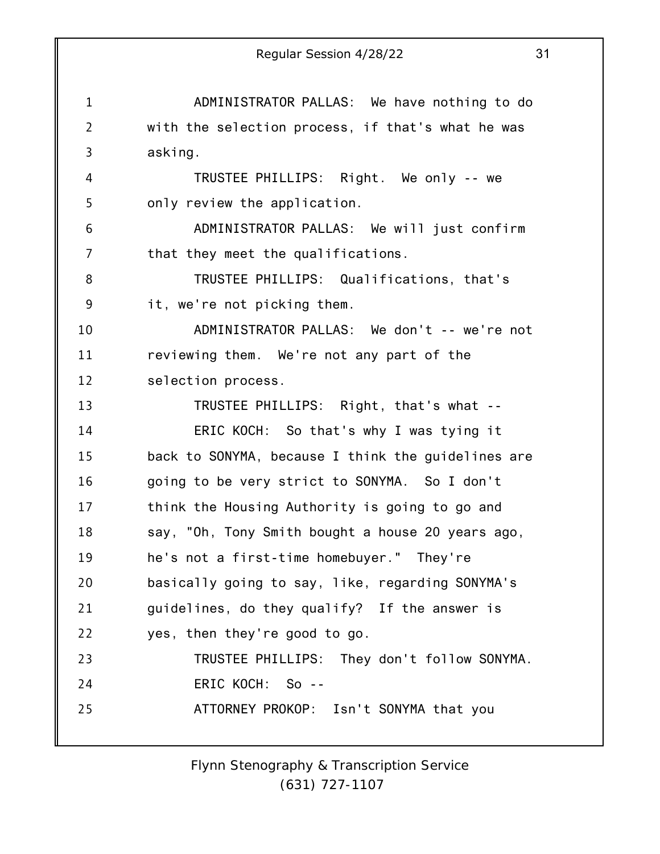1 2 3 4 5 6 7 8 9 10 11 12 13 14 15 16 17 18 19 20 21 22 23 24 25 Regular Session 4/28/22 31 ADMINISTRATOR PALLAS: We have nothing to do with the selection process, if that's what he was asking. TRUSTEE PHILLIPS: Right. We only -- we only review the application. ADMINISTRATOR PALLAS: We will just confirm that they meet the qualifications. TRUSTEE PHILLIPS: Qualifications, that's it, we're not picking them. ADMINISTRATOR PALLAS: We don't -- we're not reviewing them. We're not any part of the selection process. TRUSTEE PHILLIPS: Right, that's what -- ERIC KOCH: So that's why I was tying it back to SONYMA, because I think the guidelines are going to be very strict to SONYMA. So I don't think the Housing Authority is going to go and say, "Oh, Tony Smith bought a house 20 years ago, he's not a first-time homebuyer." They're basically going to say, like, regarding SONYMA's guidelines, do they qualify? If the answer is yes, then they're good to go. TRUSTEE PHILLIPS: They don't follow SONYMA. ERIC KOCH: So -- ATTORNEY PROKOP: Isn't SONYMA that you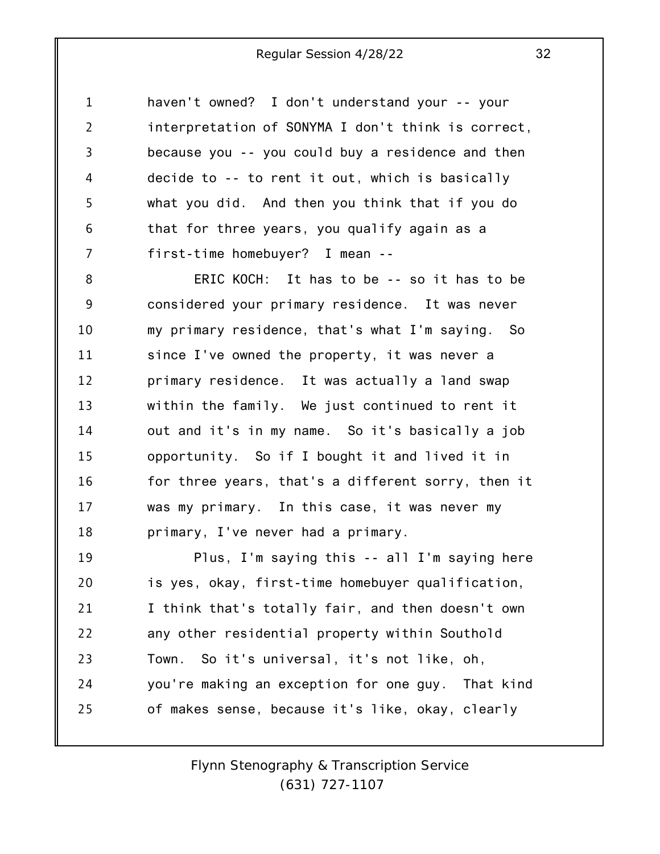1 2 3 4 5 6 7 haven't owned? I don't understand your -- your interpretation of SONYMA I don't think is correct, because you -- you could buy a residence and then decide to -- to rent it out, which is basically what you did. And then you think that if you do that for three years, you qualify again as a first-time homebuyer? I mean --

8 9 10 11 12 13 14 15 16 17 18 ERIC KOCH: It has to be -- so it has to be considered your primary residence. It was never my primary residence, that's what I'm saying. So since I've owned the property, it was never a primary residence. It was actually a land swap within the family. We just continued to rent it out and it's in my name. So it's basically a job opportunity. So if I bought it and lived it in for three years, that's a different sorry, then it was my primary. In this case, it was never my primary, I've never had a primary.

19 20 21 22 23 24 25 Plus, I'm saying this -- all I'm saying here is yes, okay, first-time homebuyer qualification, I think that's totally fair, and then doesn't own any other residential property within Southold Town. So it's universal, it's not like, oh, you're making an exception for one guy. That kind of makes sense, because it's like, okay, clearly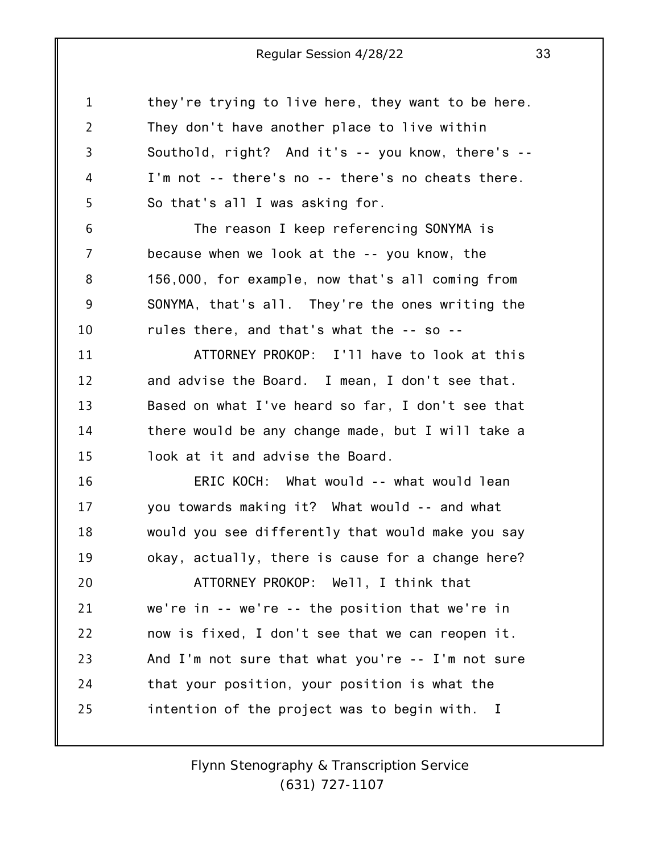1 2 3 4 5 6 7 8 9 10 11 12 13 14 15 16 17 18 19 20 21 22 23 24 25 they're trying to live here, they want to be here. They don't have another place to live within Southold, right? And it's -- you know, there's -- I'm not -- there's no -- there's no cheats there. So that's all I was asking for. The reason I keep referencing SONYMA is because when we look at the -- you know, the 156,000, for example, now that's all coming from SONYMA, that's all. They're the ones writing the rules there, and that's what the -- so -- ATTORNEY PROKOP: I'll have to look at this and advise the Board. I mean, I don't see that. Based on what I've heard so far, I don't see that there would be any change made, but I will take a look at it and advise the Board. ERIC KOCH: What would -- what would lean you towards making it? What would -- and what would you see differently that would make you say okay, actually, there is cause for a change here? ATTORNEY PROKOP: Well, I think that we're in -- we're -- the position that we're in now is fixed, I don't see that we can reopen it. And I'm not sure that what you're -- I'm not sure that your position, your position is what the intention of the project was to begin with. I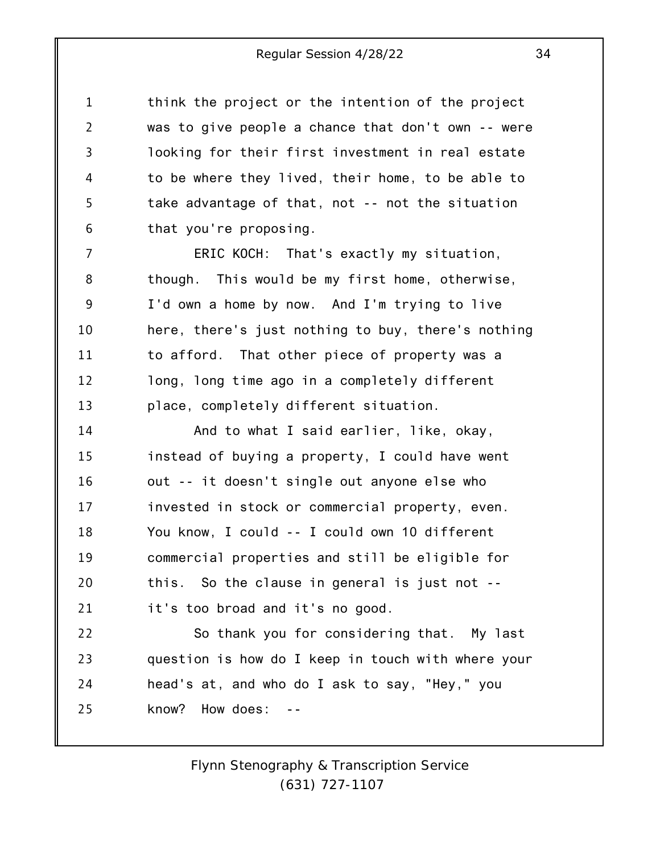1 2 3 4 5 6 think the project or the intention of the project was to give people a chance that don't own -- were looking for their first investment in real estate to be where they lived, their home, to be able to take advantage of that, not -- not the situation that you're proposing.

7 8 9 10 11 12 13 ERIC KOCH: That's exactly my situation, though. This would be my first home, otherwise, I'd own a home by now. And I'm trying to live here, there's just nothing to buy, there's nothing to afford. That other piece of property was a long, long time ago in a completely different place, completely different situation.

14 15 16 17 18 19 20 21 And to what I said earlier, like, okay, instead of buying a property, I could have went out -- it doesn't single out anyone else who invested in stock or commercial property, even. You know, I could -- I could own 10 different commercial properties and still be eligible for this. So the clause in general is just not - it's too broad and it's no good.

22 23 24 25 So thank you for considering that. My last question is how do I keep in touch with where your head's at, and who do I ask to say, "Hey," you know? How does: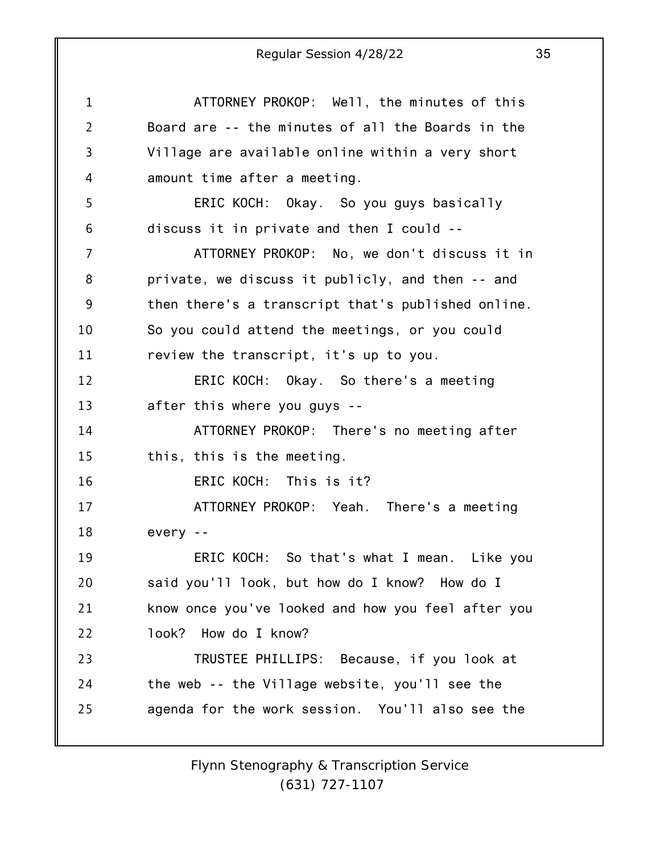1 2 3 4 5 6 7 8 9 10 11 12 13 14 15 16 17 18 19 20 21 22 23 24 25 ATTORNEY PROKOP: Well, the minutes of this Board are -- the minutes of all the Boards in the Village are available online within a very short amount time after a meeting. ERIC KOCH: Okay. So you guys basically discuss it in private and then I could -- ATTORNEY PROKOP: No, we don't discuss it in private, we discuss it publicly, and then -- and then there's a transcript that's published online. So you could attend the meetings, or you could review the transcript, it's up to you. ERIC KOCH: Okay. So there's a meeting after this where you guys -- ATTORNEY PROKOP: There's no meeting after this, this is the meeting. ERIC KOCH: This is it? ATTORNEY PROKOP: Yeah. There's a meeting every -- ERIC KOCH: So that's what I mean. Like you said you'll look, but how do I know? How do I know once you've looked and how you feel after you look? How do I know? TRUSTEE PHILLIPS: Because, if you look at the web -- the Village website, you'll see the agenda for the work session. You'll also see the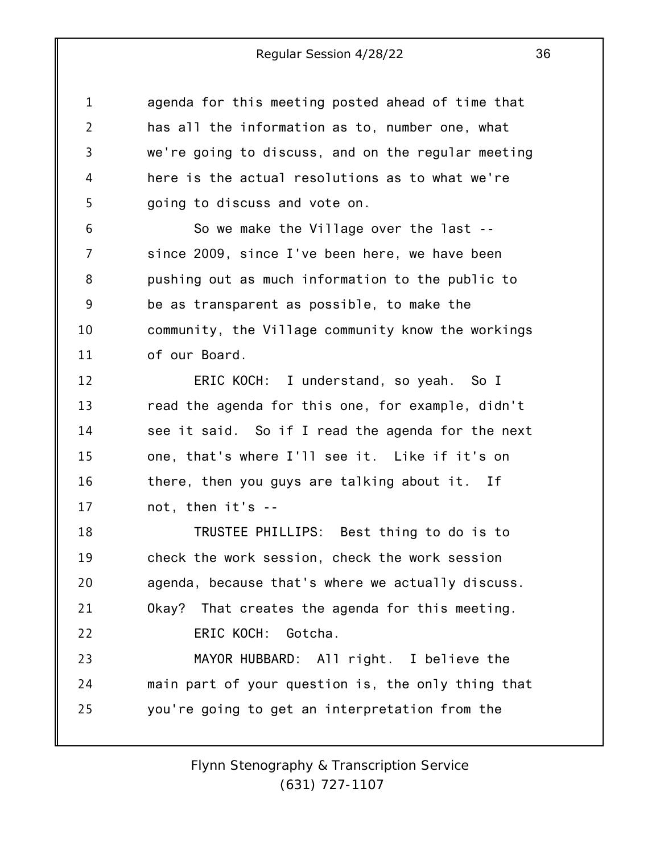1 2 3 4 5 agenda for this meeting posted ahead of time that has all the information as to, number one, what we're going to discuss, and on the regular meeting here is the actual resolutions as to what we're going to discuss and vote on.

6 7 8 9 10 11 So we make the Village over the last - since 2009, since I've been here, we have been pushing out as much information to the public to be as transparent as possible, to make the community, the Village community know the workings of our Board.

12 13 14 15 16 17 ERIC KOCH: I understand, so yeah. So I read the agenda for this one, for example, didn't see it said. So if I read the agenda for the next one, that's where I'll see it. Like if it's on there, then you guys are talking about it. If not, then it's --

18 19 20 21 22 23 TRUSTEE PHILLIPS: Best thing to do is to check the work session, check the work session agenda, because that's where we actually discuss. Okay? That creates the agenda for this meeting. ERIC KOCH: Gotcha. MAYOR HUBBARD: All right. I believe the

24 25 main part of your question is, the only thing that you're going to get an interpretation from the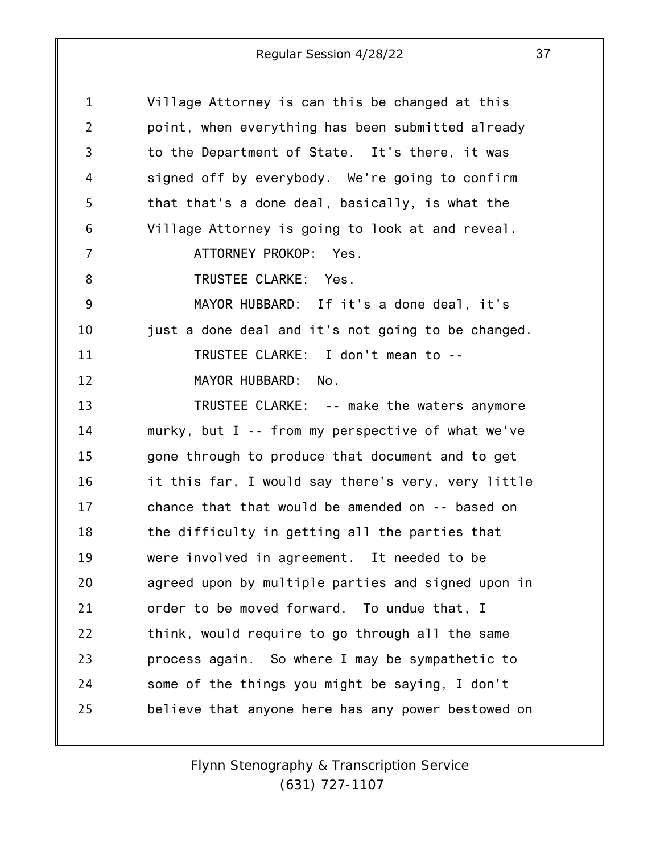| Village Attorney is can this be changed at this    |
|----------------------------------------------------|
| point, when everything has been submitted already  |
| to the Department of State. It's there, it was     |
| signed off by everybody. We're going to confirm    |
| that that's a done deal, basically, is what the    |
| Village Attorney is going to look at and reveal.   |
| ATTORNEY PROKOP: Yes.                              |
| TRUSTEE CLARKE: Yes.                               |
| MAYOR HUBBARD: If it's a done deal, it's           |
| just a done deal and it's not going to be changed. |
| TRUSTEE CLARKE: I don't mean to --                 |
| MAYOR HUBBARD:<br>No.                              |
| TRUSTEE CLARKE: -- make the waters anymore         |
| murky, but I -- from my perspective of what we've  |
| gone through to produce that document and to get   |
| it this far, I would say there's very, very little |
| chance that that would be amended on -- based on   |
| the difficulty in getting all the parties that     |
| were involved in agreement. It needed to be        |
| agreed upon by multiple parties and signed upon in |
| order to be moved forward. To undue that, I        |
| think, would require to go through all the same    |
| process again. So where I may be sympathetic to    |
| some of the things you might be saying, I don't    |
| believe that anyone here has any power bestowed on |
|                                                    |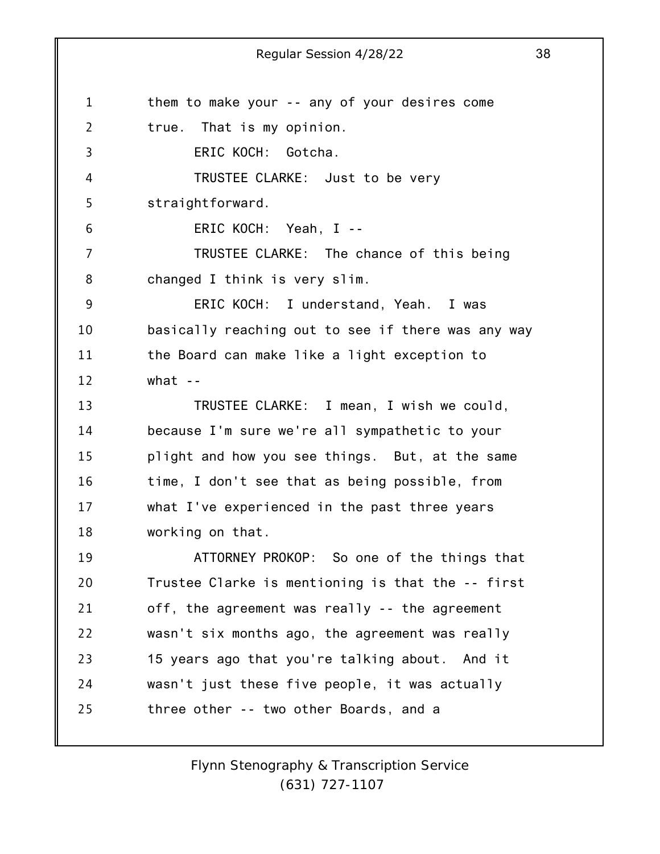1 2 3 4 5 6 7 8 9 10 11 12 13 14 15 16 17 18 19 20 21 22 23 24 25 Regular Session 4/28/22 38 them to make your -- any of your desires come true. That is my opinion. ERIC KOCH: Gotcha. TRUSTEE CLARKE: Just to be very straightforward. ERIC KOCH: Yeah, I -- TRUSTEE CLARKE: The chance of this being changed I think is very slim. ERIC KOCH: I understand, Yeah. I was basically reaching out to see if there was any way the Board can make like a light exception to what  $-$ TRUSTEE CLARKE: I mean, I wish we could, because I'm sure we're all sympathetic to your plight and how you see things. But, at the same time, I don't see that as being possible, from what I've experienced in the past three years working on that. ATTORNEY PROKOP: So one of the things that Trustee Clarke is mentioning is that the -- first off, the agreement was really -- the agreement wasn't six months ago, the agreement was really 15 years ago that you're talking about. And it wasn't just these five people, it was actually three other -- two other Boards, and a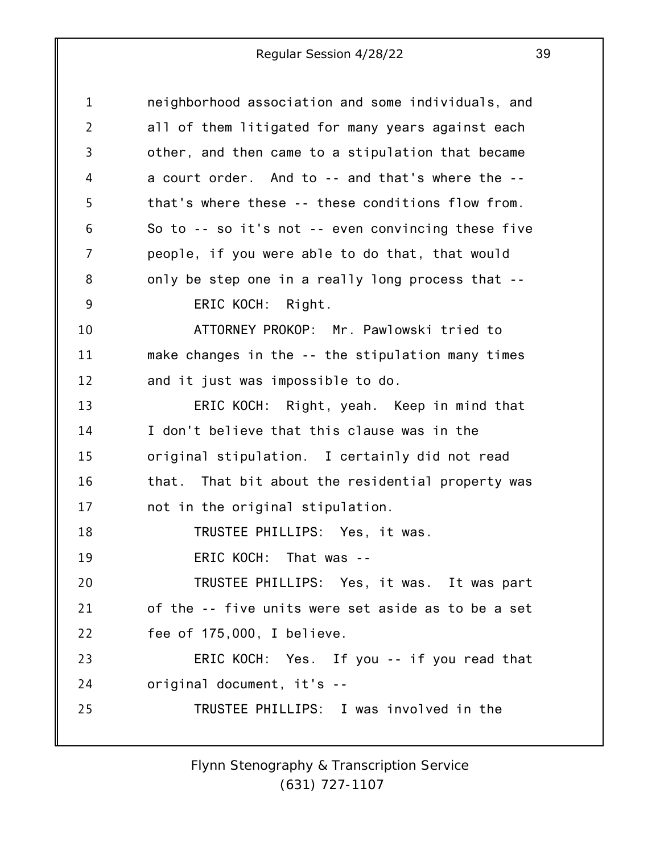| $\mathbf 1$    | neighborhood association and some individuals, and   |
|----------------|------------------------------------------------------|
| $\overline{2}$ | all of them litigated for many years against each    |
| 3              | other, and then came to a stipulation that became    |
| 4              | a court order. And to -- and that's where the --     |
| 5              | that's where these -- these conditions flow from.    |
| 6              | So to $-$ so it's not $-$ even convincing these five |
| 7              | people, if you were able to do that, that would      |
| 8              | only be step one in a really long process that --    |
| 9              | ERIC KOCH: Right.                                    |
| 10             | ATTORNEY PROKOP: Mr. Pawlowski tried to              |
| 11             | make changes in the -- the stipulation many times    |
| 12             | and it just was impossible to do.                    |
| 13             | ERIC KOCH: Right, yeah. Keep in mind that            |
| 14             | I don't believe that this clause was in the          |
| 15             | original stipulation. I certainly did not read       |
| 16             | that. That bit about the residential property was    |
| 17             | not in the original stipulation.                     |
| 18             | TRUSTEE PHILLIPS: Yes, it was.                       |
| 19             | ERIC KOCH: That was --                               |
| 20             | TRUSTEE PHILLIPS: Yes, it was. It was part           |
| 21             | of the -- five units were set aside as to be a set   |
| 22             | fee of 175,000, I believe.                           |
| 23             | ERIC KOCH: Yes. If you -- if you read that           |
| 24             | original document, it's --                           |
| 25             | TRUSTEE PHILLIPS: I was involved in the              |
|                |                                                      |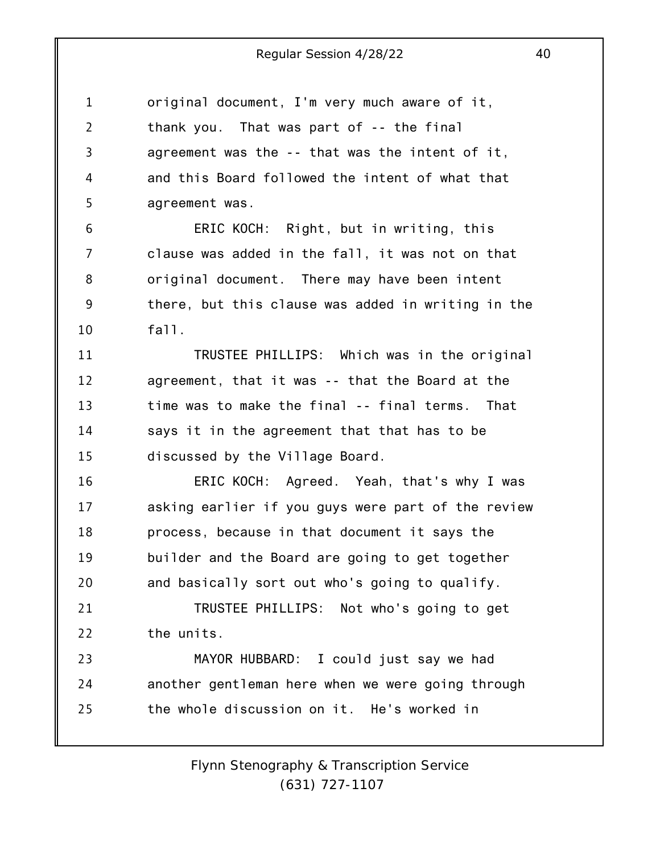1 2 3 4 5 6 7 8 9 10 11 12 13 14 15 16 17 18 19 20 21 22 23 24 25 original document, I'm very much aware of it, thank you. That was part of -- the final agreement was the -- that was the intent of it, and this Board followed the intent of what that agreement was. ERIC KOCH: Right, but in writing, this clause was added in the fall, it was not on that original document. There may have been intent there, but this clause was added in writing in the fall. TRUSTEE PHILLIPS: Which was in the original agreement, that it was -- that the Board at the time was to make the final -- final terms. That says it in the agreement that that has to be discussed by the Village Board. ERIC KOCH: Agreed. Yeah, that's why I was asking earlier if you guys were part of the review process, because in that document it says the builder and the Board are going to get together and basically sort out who's going to qualify. TRUSTEE PHILLIPS: Not who's going to get the units. MAYOR HUBBARD: I could just say we had another gentleman here when we were going through the whole discussion on it. He's worked in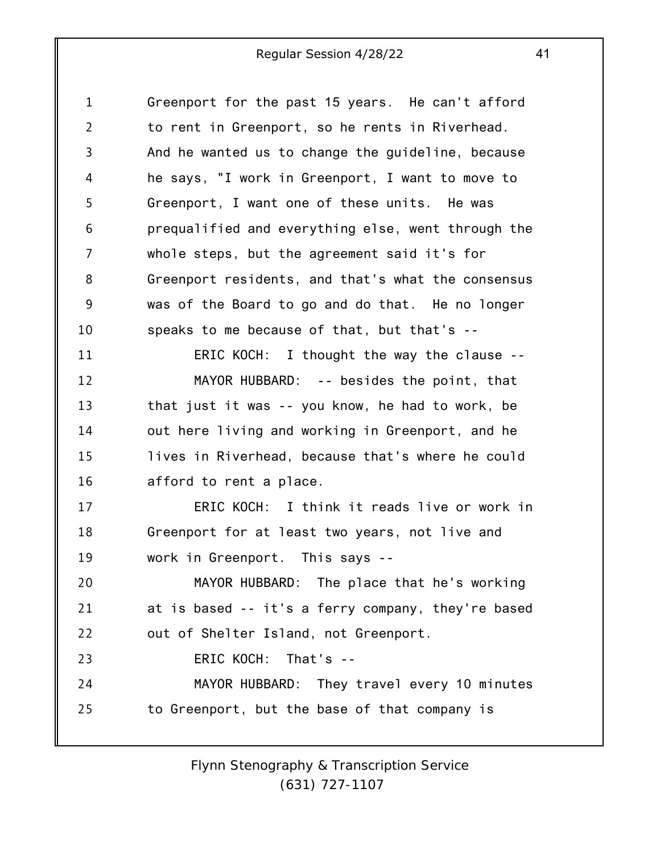1 2 3 4 5 6 7 8 9 10 11 12 13 14 15 16 17 18 19 20 21 22 23 24 25 Greenport for the past 15 years. He can't afford to rent in Greenport, so he rents in Riverhead. And he wanted us to change the guideline, because he says, "I work in Greenport, I want to move to Greenport, I want one of these units. He was prequalified and everything else, went through the whole steps, but the agreement said it's for Greenport residents, and that's what the consensus was of the Board to go and do that. He no longer speaks to me because of that, but that's -- ERIC KOCH: I thought the way the clause -- MAYOR HUBBARD: -- besides the point, that that just it was -- you know, he had to work, be out here living and working in Greenport, and he lives in Riverhead, because that's where he could afford to rent a place. ERIC KOCH: I think it reads live or work in Greenport for at least two years, not live and work in Greenport. This says -- MAYOR HUBBARD: The place that he's working at is based -- it's a ferry company, they're based out of Shelter Island, not Greenport. ERIC KOCH: That's -- MAYOR HUBBARD: They travel every 10 minutes to Greenport, but the base of that company is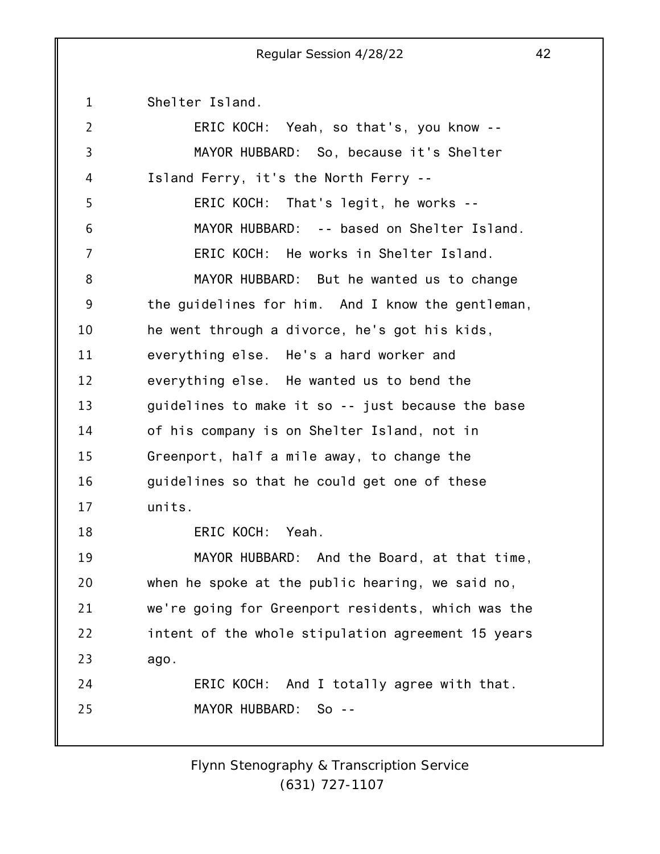1 Shelter Island.

| $\overline{2}$ | ERIC KOCH: Yeah, so that's, you know --            |
|----------------|----------------------------------------------------|
| 3              | MAYOR HUBBARD: So, because it's Shelter            |
| 4              | Island Ferry, it's the North Ferry --              |
| 5              | ERIC KOCH: That's legit, he works --               |
| 6              | MAYOR HUBBARD: -- based on Shelter Island.         |
| 7              | ERIC KOCH: He works in Shelter Island.             |
| 8              | MAYOR HUBBARD: But he wanted us to change          |
| 9              | the guidelines for him. And I know the gentleman,  |
| 10             | he went through a divorce, he's got his kids,      |
| 11             | everything else. He's a hard worker and            |
| 12             | everything else. He wanted us to bend the          |
| 13             | guidelines to make it so -- just because the base  |
| 14             | of his company is on Shelter Island, not in        |
| 15             | Greenport, half a mile away, to change the         |
| 16             | guidelines so that he could get one of these       |
| 17             | units.                                             |
| 18             | ERIC KOCH: Yeah.                                   |
| 19             | MAYOR HUBBARD: And the Board, at that time,        |
| 20             | when he spoke at the public hearing, we said no,   |
| 21             | we're going for Greenport residents, which was the |
| 22             | intent of the whole stipulation agreement 15 years |
| 23             | ago.                                               |
| 24             | ERIC KOCH: And I totally agree with that.          |
| 25             | MAYOR HUBBARD:<br>- So --                          |
|                |                                                    |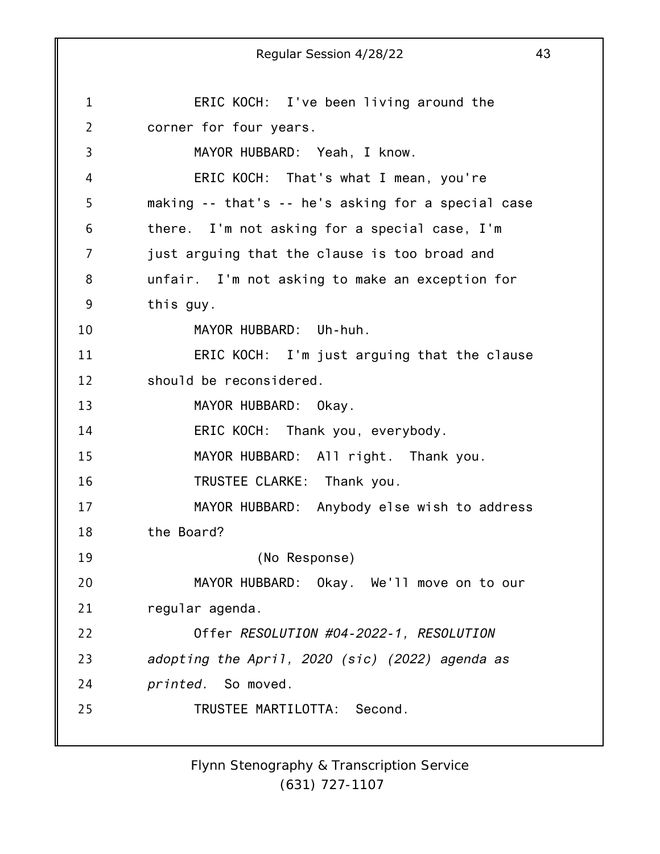1 2 3 4 5 6 7 8 9 10 11 12 13 14 15 16 17 18 19 20 21 22 23 24 25 Regular Session 4/28/22 43 ERIC KOCH: I've been living around the corner for four years. MAYOR HUBBARD: Yeah, I know. ERIC KOCH: That's what I mean, you're making -- that's -- he's asking for a special case there. I'm not asking for a special case, I'm just arguing that the clause is too broad and unfair. I'm not asking to make an exception for this guy. MAYOR HUBBARD: Uh-huh. ERIC KOCH: I'm just arguing that the clause should be reconsidered. MAYOR HUBBARD: Okay. ERIC KOCH: Thank you, everybody. MAYOR HUBBARD: All right. Thank you. TRUSTEE CLARKE: Thank you. MAYOR HUBBARD: Anybody else wish to address the Board? (No Response) MAYOR HUBBARD: Okay. We'll move on to our regular agenda. Offer *RESOLUTION #04-2022-1, RESOLUTION adopting the April, 2020 (sic) (2022) agenda as printed.* So moved. TRUSTEE MARTILOTTA: Second.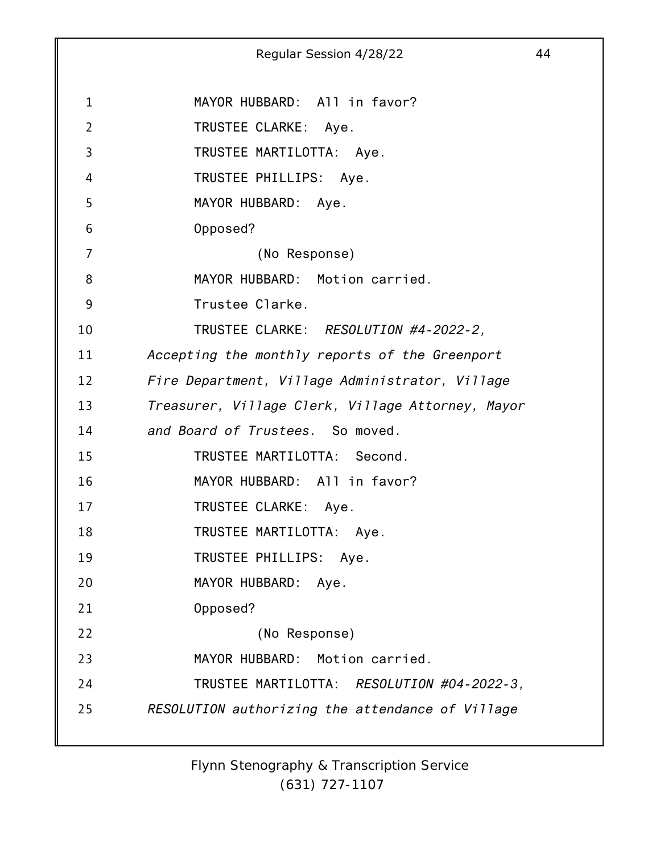1 2 3 4 5 6 7 8 9 10 11 12 13 14 15 16 17 18 19 20 21 22 23 24 25 Regular Session 4/28/22 44 MAYOR HUBBARD: All in favor? TRUSTEE CLARKE: Aye. TRUSTEE MARTILOTTA: Aye. TRUSTEE PHILLIPS: Aye. MAYOR HUBBARD: Aye. Opposed? (No Response) MAYOR HUBBARD: Motion carried. Trustee Clarke. TRUSTEE CLARKE: *RESOLUTION #4-2022-2, Accepting the monthly reports of the Greenport Fire Department, Village Administrator, Village Treasurer, Village Clerk, Village Attorney, Mayor and Board of Trustees.* So moved. TRUSTEE MARTILOTTA: Second. MAYOR HUBBARD: All in favor? TRUSTEE CLARKE: Aye. TRUSTEE MARTILOTTA: Aye. TRUSTEE PHILLIPS: Aye. MAYOR HUBBARD: Aye. Opposed? (No Response) MAYOR HUBBARD: Motion carried. TRUSTEE MARTILOTTA: *RESOLUTION #04-2022-3, RESOLUTION authorizing the attendance of Village*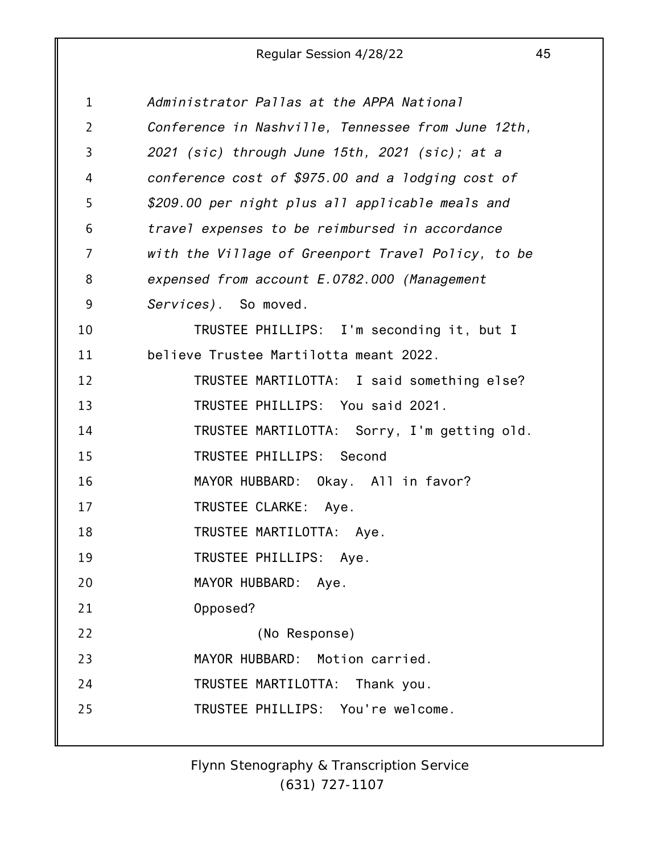| $\mathbf 1$    | Administrator Pallas at the APPA National          |
|----------------|----------------------------------------------------|
| $\overline{2}$ | Conference in Nashville, Tennessee from June 12th, |
| 3              | 2021 (sic) through June 15th, 2021 (sic); at a     |
| 4              | conference cost of \$975.00 and a lodging cost of  |
| 5              | \$209.00 per night plus all applicable meals and   |
| 6              | travel expenses to be reimbursed in accordance     |
| 7              | with the Village of Greenport Travel Policy, to be |
| 8              | expensed from account E.0782.000 (Management       |
| 9              | Services). So moved.                               |
| 10             | TRUSTEE PHILLIPS: I'm seconding it, but I          |
| 11             | believe Trustee Martilotta meant 2022.             |
| 12             | TRUSTEE MARTILOTTA: I said something else?         |
| 13             | TRUSTEE PHILLIPS: You said 2021.                   |
| 14             | TRUSTEE MARTILOTTA: Sorry, I'm getting old.        |
| 15             | TRUSTEE PHILLIPS: Second                           |
| 16             | MAYOR HUBBARD: Okay. All in favor?                 |
| 17             | TRUSTEE CLARKE: Aye.                               |
| 18             | TRUSTEE MARTILOTTA: Aye.                           |
| 19             | TRUSTEE PHILLIPS: Aye.                             |
| 20             | MAYOR HUBBARD:<br>Aye.                             |
| 21             | Opposed?                                           |
| 22             | (No Response)                                      |
| 23             | MAYOR HUBBARD: Motion carried.                     |
| 24             | TRUSTEE MARTILOTTA:<br>Thank you.                  |
| 25             | TRUSTEE PHILLIPS: You're welcome.                  |
|                |                                                    |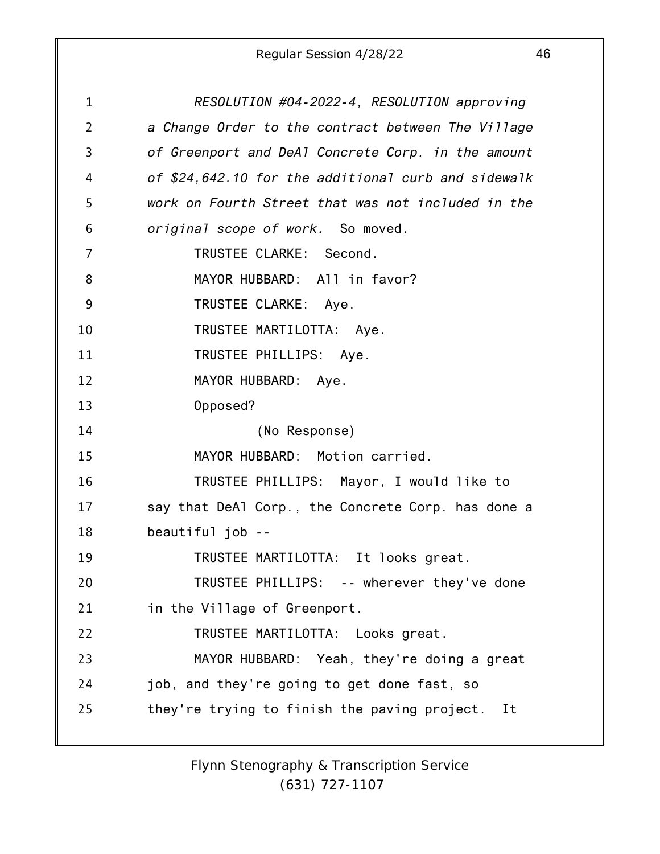1 2 3 4 5 6 7 8 9 10 11 12 13 14 15 16 17 18 19 20 21 22 23 24 25 *RESOLUTION #04-2022-4, RESOLUTION approving a Change Order to the contract between The Village of Greenport and DeAl Concrete Corp. in the amount of \$24,642.10 for the additional curb and sidewalk work on Fourth Street that was not included in the original scope of work.* So moved. TRUSTEE CLARKE: Second. MAYOR HUBBARD: All in favor? TRUSTEE CLARKE: Aye. TRUSTEE MARTILOTTA: Aye. TRUSTEE PHILLIPS: Aye. MAYOR HUBBARD: Aye. Opposed? (No Response) MAYOR HUBBARD: Motion carried. TRUSTEE PHILLIPS: Mayor, I would like to say that DeAl Corp., the Concrete Corp. has done a beautiful job -- TRUSTEE MARTILOTTA: It looks great. TRUSTEE PHILLIPS: -- wherever they've done in the Village of Greenport. TRUSTEE MARTILOTTA: Looks great. MAYOR HUBBARD: Yeah, they're doing a great job, and they're going to get done fast, so they're trying to finish the paving project. It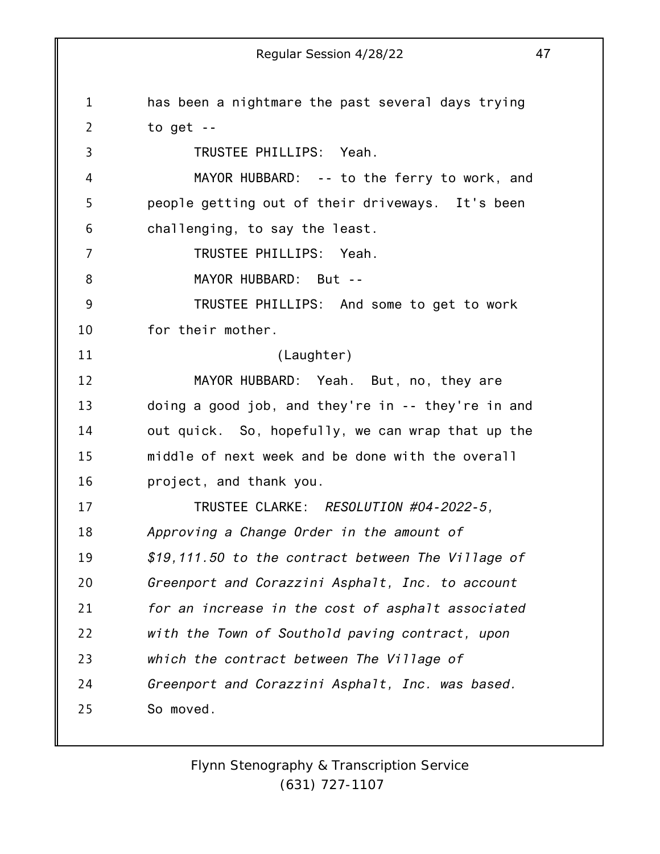1 2 3 4 5 6 7 8 9 10 11 12 13 14 15 16 17 18 19 20 21 22 23 24 25 has been a nightmare the past several days trying to get -- TRUSTEE PHILLIPS: Yeah. MAYOR HUBBARD: -- to the ferry to work, and people getting out of their driveways. It's been challenging, to say the least. TRUSTEE PHILLIPS: Yeah. MAYOR HUBBARD: But -- TRUSTEE PHILLIPS: And some to get to work for their mother. (Laughter) MAYOR HUBBARD: Yeah. But, no, they are doing a good job, and they're in -- they're in and out quick. So, hopefully, we can wrap that up the middle of next week and be done with the overall project, and thank you. TRUSTEE CLARKE: *RESOLUTION #04-2022-5, Approving a Change Order in the amount of \$19,111.50 to the contract between The Village of Greenport and Corazzini Asphalt, Inc. to account for an increase in the cost of asphalt associated with the Town of Southold paving contract, upon which the contract between The Village of Greenport and Corazzini Asphalt, Inc. was based.* So moved.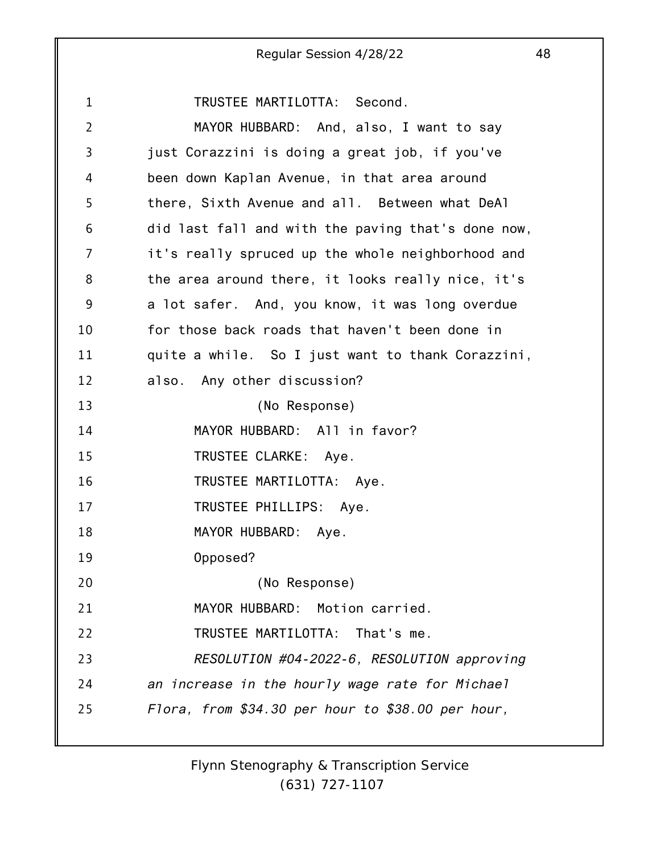1 2 3 4 5 6 7 8 9 10 11 12 13 14 15 16 17 18 19 20 21 22 23 24 25 TRUSTEE MARTILOTTA: Second. MAYOR HUBBARD: And, also, I want to say just Corazzini is doing a great job, if you've been down Kaplan Avenue, in that area around there, Sixth Avenue and all. Between what DeAl did last fall and with the paving that's done now, it's really spruced up the whole neighborhood and the area around there, it looks really nice, it's a lot safer. And, you know, it was long overdue for those back roads that haven't been done in quite a while. So I just want to thank Corazzini, also. Any other discussion? (No Response) MAYOR HUBBARD: All in favor? TRUSTEE CLARKE: Aye. TRUSTEE MARTILOTTA: Aye. TRUSTEE PHILLIPS: Aye. MAYOR HUBBARD: Aye. Opposed? (No Response) MAYOR HUBBARD: Motion carried. TRUSTEE MARTILOTTA: That's me. *RESOLUTION #04-2022-6, RESOLUTION approving an increase in the hourly wage rate for Michael Flora, from \$34.30 per hour to \$38.00 per hour,*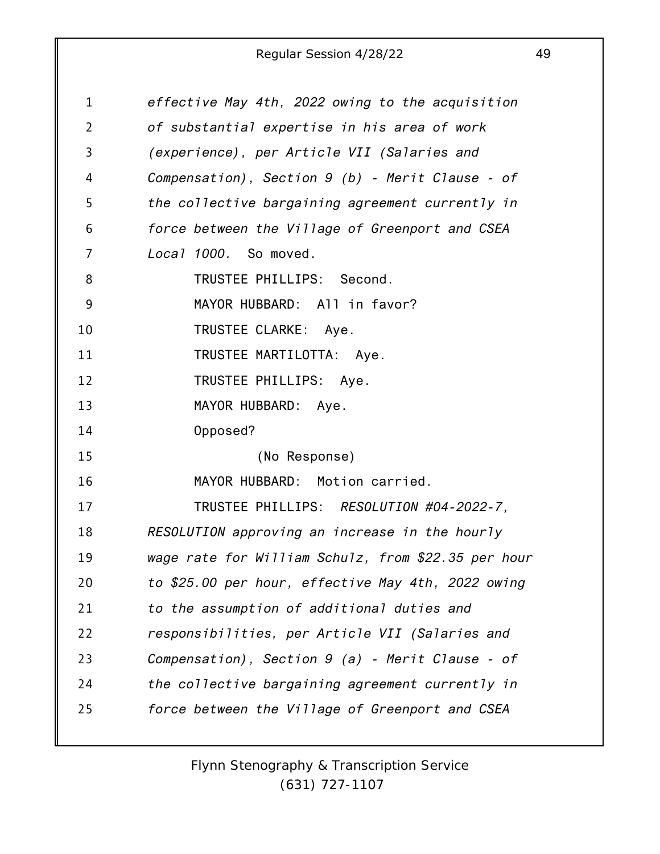| 1              | effective May 4th, 2022 owing to the acquisition    |
|----------------|-----------------------------------------------------|
| $\overline{2}$ | of substantial expertise in his area of work        |
| 3              | (experience), per Article VII (Salaries and         |
| 4              | Compensation), Section $9$ (b) - Merit Clause - of  |
| 5              | the collective bargaining agreement currently in    |
| 6              | force between the Village of Greenport and CSEA     |
| $\overline{7}$ | Local 1000. So moved.                               |
| 8              | TRUSTEE PHILLIPS: Second.                           |
| 9              | MAYOR HUBBARD: All in favor?                        |
| 10             | TRUSTEE CLARKE: Aye.                                |
| 11             | TRUSTEE MARTILOTTA: Aye.                            |
| 12             | TRUSTEE PHILLIPS: Aye.                              |
| 13             | MAYOR HUBBARD: Aye.                                 |
| 14             | Opposed?                                            |
| 15             | (No Response)                                       |
| 16             | MAYOR HUBBARD: Motion carried.                      |
| 17             | TRUSTEE PHILLIPS: RESOLUTION #04-2022-7,            |
| 18             | RESOLUTION approving an increase in the hourly      |
| 19             | wage rate for William Schulz, from \$22.35 per hour |
| 20             | to \$25.00 per hour, effective May 4th, 2022 owing  |
| 21             | to the assumption of additional duties and          |
| 22             | responsibilities, per Article VII (Salaries and     |
| 23             | Compensation), Section $9$ (a) - Merit Clause - of  |
| 24             | the collective bargaining agreement currently in    |
| 25             | force between the Village of Greenport and CSEA     |
|                |                                                     |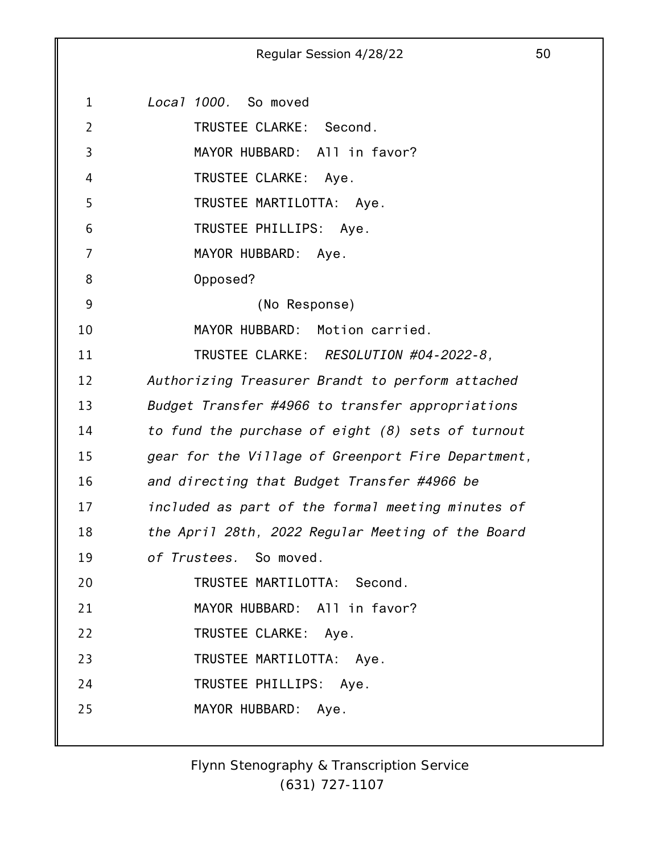1 2 3 4 5 6 7 8 9 10 11 12 13 14 15 16 17 18 19 20 21 22 23 24 25 *Local 1000.* So moved TRUSTEE CLARKE: Second. MAYOR HUBBARD: All in favor? TRUSTEE CLARKE: Aye. TRUSTEE MARTILOTTA: Aye. TRUSTEE PHILLIPS: Aye. MAYOR HUBBARD: Aye. Opposed? (No Response) MAYOR HUBBARD: Motion carried. TRUSTEE CLARKE: *RESOLUTION #04-2022-8, Authorizing Treasurer Brandt to perform attached Budget Transfer #4966 to transfer appropriations to fund the purchase of eight (8) sets of turnout gear for the Village of Greenport Fire Department, and directing that Budget Transfer #4966 be included as part of the formal meeting minutes of the April 28th, 2022 Regular Meeting of the Board of Trustees.* So moved. TRUSTEE MARTILOTTA: Second. MAYOR HUBBARD: All in favor? TRUSTEE CLARKE: Aye. TRUSTEE MARTILOTTA: Aye. TRUSTEE PHILLIPS: Aye. MAYOR HUBBARD: Aye.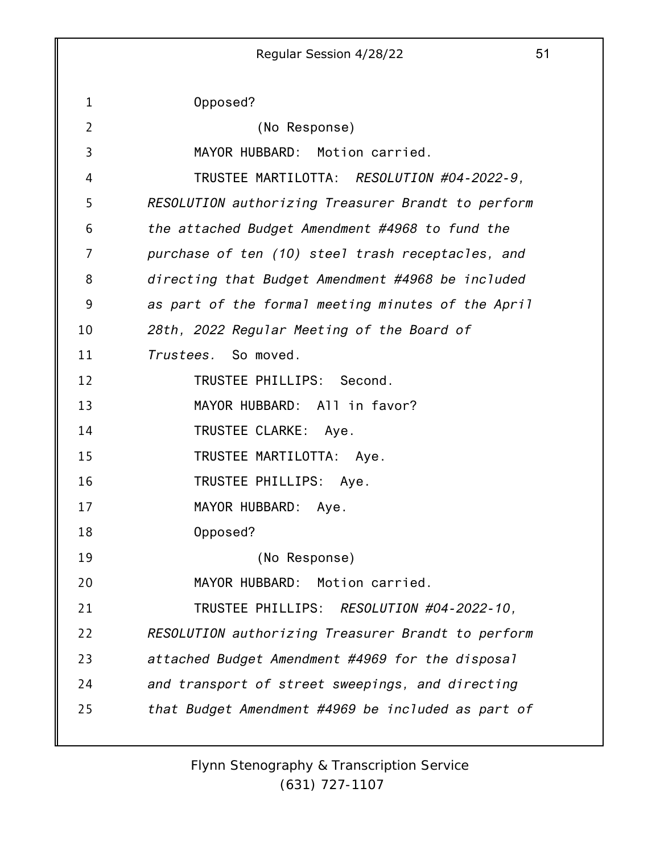1 2 3 4 5 6 7 8 9 10 11 12 13 14 15 16 17 18 19 20 21 22 23 24 25 Regular Session 4/28/22 51 Opposed? (No Response) MAYOR HUBBARD: Motion carried. TRUSTEE MARTILOTTA: *RESOLUTION #04-2022-9, RESOLUTION authorizing Treasurer Brandt to perform the attached Budget Amendment #4968 to fund the purchase of ten (10) steel trash receptacles, and directing that Budget Amendment #4968 be included as part of the formal meeting minutes of the April 28th, 2022 Regular Meeting of the Board of Trustees.* So moved. TRUSTEE PHILLIPS: Second. MAYOR HUBBARD: All in favor? TRUSTEE CLARKE: Aye. TRUSTEE MARTILOTTA: Aye. TRUSTEE PHILLIPS: Aye. MAYOR HUBBARD: Aye. Opposed? (No Response) MAYOR HUBBARD: Motion carried. TRUSTEE PHILLIPS: *RESOLUTION #04-2022-10, RESOLUTION authorizing Treasurer Brandt to perform attached Budget Amendment #4969 for the disposal and transport of street sweepings, and directing that Budget Amendment #4969 be included as part of*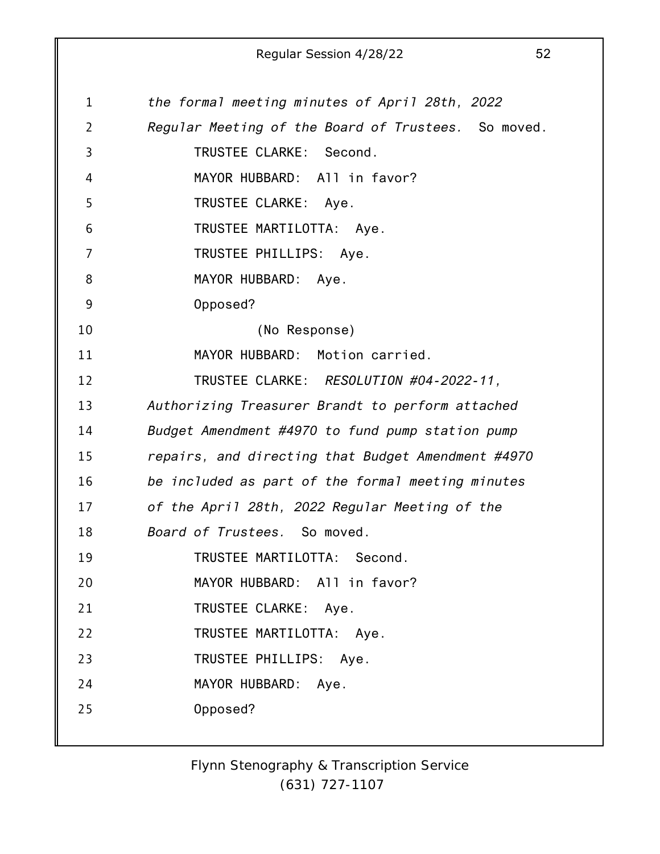1 2 3 4 5 6 7 8 9 10 11 12 13 14 15 16 17 18 19 20 21 22 23 24 25 *the formal meeting minutes of April 28th, 2022 Regular Meeting of the Board of Trustees.* So moved. TRUSTEE CLARKE: Second. MAYOR HUBBARD: All in favor? TRUSTEE CLARKE: Aye. TRUSTEE MARTILOTTA: Aye. TRUSTEE PHILLIPS: Aye. MAYOR HUBBARD: Aye. Opposed? (No Response) MAYOR HUBBARD: Motion carried. TRUSTEE CLARKE: *RESOLUTION #04-2022-11, Authorizing Treasurer Brandt to perform attached Budget Amendment #4970 to fund pump station pump repairs, and directing that Budget Amendment #4970 be included as part of the formal meeting minutes of the April 28th, 2022 Regular Meeting of the Board of Trustees.* So moved. TRUSTEE MARTILOTTA: Second. MAYOR HUBBARD: All in favor? TRUSTEE CLARKE: Aye. TRUSTEE MARTILOTTA: Aye. TRUSTEE PHILLIPS: Aye. MAYOR HUBBARD: Aye. Opposed?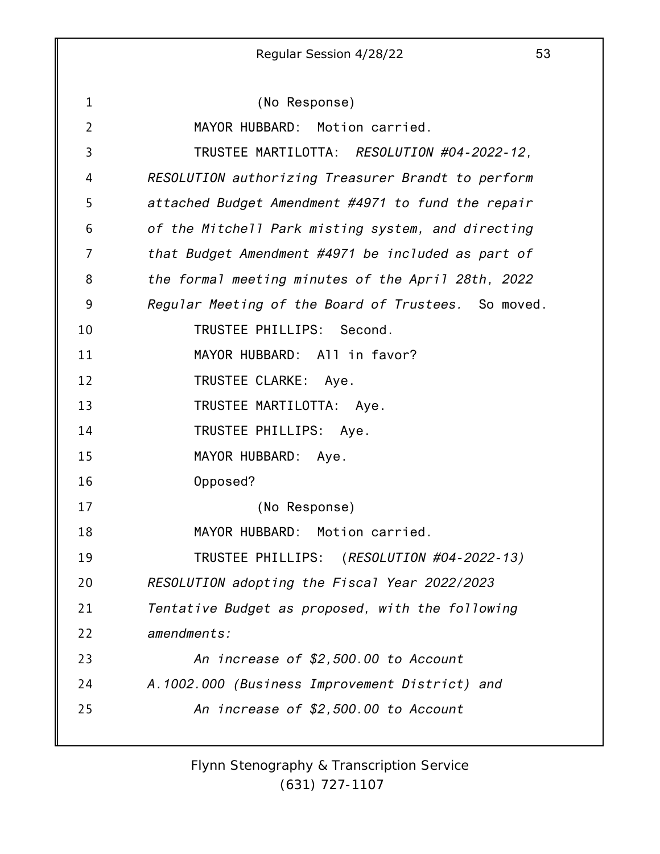1 2 3 4 5 6 7 8 9 10 11 12 13 14 15 16 17 18 19 20 21 22 23 24 25 (No Response) MAYOR HUBBARD: Motion carried. TRUSTEE MARTILOTTA: *RESOLUTION #04-2022-12, RESOLUTION authorizing Treasurer Brandt to perform attached Budget Amendment #4971 to fund the repair of the Mitchell Park misting system, and directing that Budget Amendment #4971 be included as part of the formal meeting minutes of the April 28th, 2022 Regular Meeting of the Board of Trustees.* So moved. TRUSTEE PHILLIPS: Second. MAYOR HUBBARD: All in favor? TRUSTEE CLARKE: Aye. TRUSTEE MARTILOTTA: Aye. TRUSTEE PHILLIPS: Aye. MAYOR HUBBARD: Aye. Opposed? (No Response) MAYOR HUBBARD: Motion carried. TRUSTEE PHILLIPS: (*RESOLUTION #04-2022-13) RESOLUTION adopting the Fiscal Year 2022/2023 Tentative Budget as proposed, with the following amendments: An increase of \$2,500.00 to Account A.1002.000 (Business Improvement District) and An increase of \$2,500.00 to Account*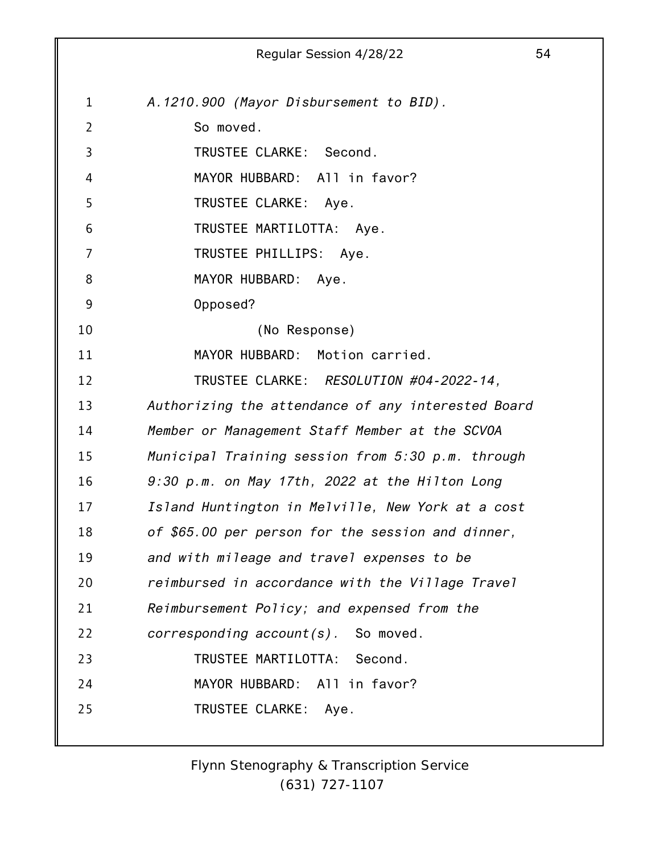|                | 54<br>Regular Session 4/28/22                      |
|----------------|----------------------------------------------------|
|                |                                                    |
| $\mathbf{1}$   | A.1210.900 (Mayor Disbursement to BID).            |
| $\overline{2}$ | So moved.                                          |
| 3              | TRUSTEE CLARKE: Second.                            |
| 4              | MAYOR HUBBARD: All in favor?                       |
| 5              | TRUSTEE CLARKE: Aye.                               |
| 6              | TRUSTEE MARTILOTTA: Aye.                           |
| 7              | TRUSTEE PHILLIPS: Aye.                             |
| 8              | MAYOR HUBBARD: Aye.                                |
| 9              | Opposed?                                           |
| 10             | (No Response)                                      |
| 11             | MAYOR HUBBARD: Motion carried.                     |
| 12             | TRUSTEE CLARKE: RESOLUTION #04-2022-14,            |
| 13             | Authorizing the attendance of any interested Board |
| 14             | Member or Management Staff Member at the SCVOA     |
| 15             | Municipal Training session from 5:30 p.m. through  |
| 16             | 9:30 p.m. on May 17th, 2022 at the Hilton Long     |
| 17             | Island Huntington in Melville, New York at a cost  |
| 18             | of \$65.00 per person for the session and dinner,  |
| 19             | and with mileage and travel expenses to be         |
| 20             | reimbursed in accordance with the Village Travel   |
| 21             | Reimbursement Policy; and expensed from the        |
| 22             | $corresponding account(s)$ . So moved.             |
| 23             | TRUSTEE MARTILOTTA: Second.                        |
| 24             | MAYOR HUBBARD: All in favor?                       |
| 25             | TRUSTEE CLARKE: Aye.                               |
|                |                                                    |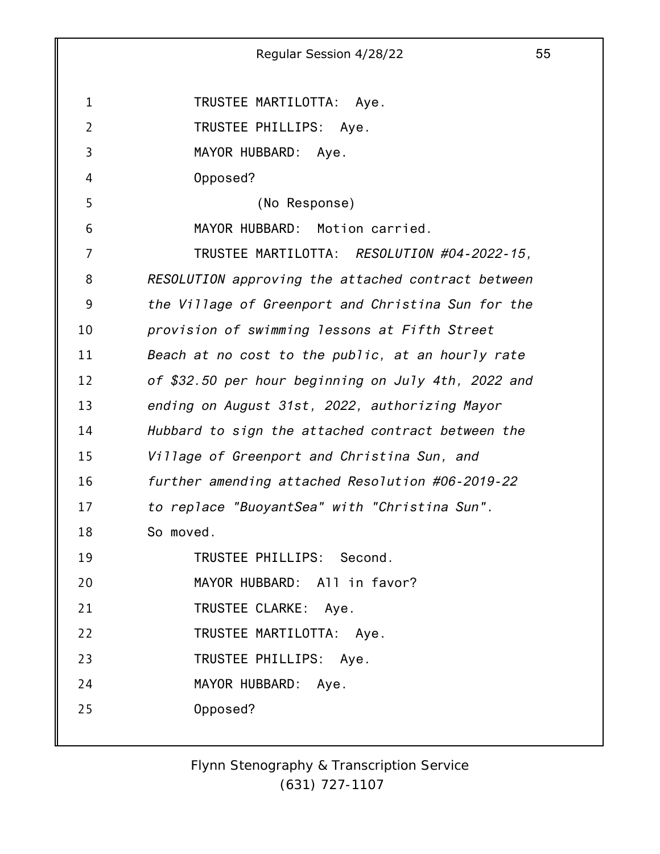1 2 3 4 5 6 7 8 9 10 11 12 13 14 15 16 17 18 19 20 21 22 23 24 25 Regular Session 4/28/22 55 TRUSTEE MARTILOTTA: Aye. TRUSTEE PHILLIPS: Aye. MAYOR HUBBARD: Aye. Opposed? (No Response) MAYOR HUBBARD: Motion carried. TRUSTEE MARTILOTTA: *RESOLUTION #04-2022-15, RESOLUTION approving the attached contract between the Village of Greenport and Christina Sun for the provision of swimming lessons at Fifth Street Beach at no cost to the public, at an hourly rate of \$32.50 per hour beginning on July 4th, 2022 and ending on August 31st, 2022, authorizing Mayor Hubbard to sign the attached contract between the Village of Greenport and Christina Sun, and further amending attached Resolution #06-2019-22 to replace "BuoyantSea" with "Christina Sun".* So moved. TRUSTEE PHILLIPS: Second. MAYOR HUBBARD: All in favor? TRUSTEE CLARKE: Aye. TRUSTEE MARTILOTTA: Aye. TRUSTEE PHILLIPS: Aye. MAYOR HUBBARD: Aye. Opposed?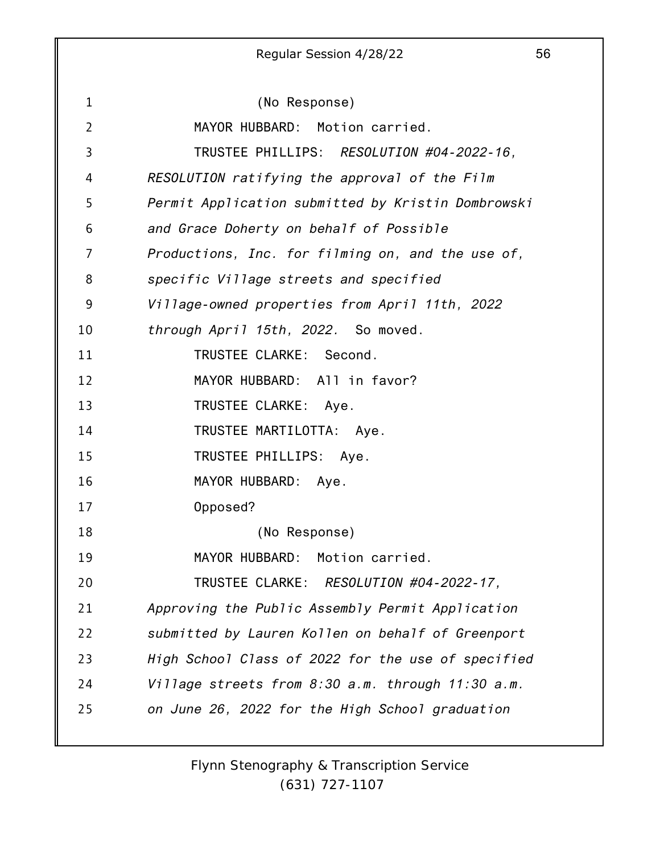1 2 3 4 5 6 7 8 9 10 11 12 13 14 15 16 17 18 19 20 21 22 23 24 25 (No Response) MAYOR HUBBARD: Motion carried. TRUSTEE PHILLIPS: *RESOLUTION #04-2022-16, RESOLUTION ratifying the approval of the Film Permit Application submitted by Kristin Dombrowski and Grace Doherty on behalf of Possible Productions, Inc. for filming on, and the use of, specific Village streets and specified Village-owned properties from April 11th, 2022 through April 15th, 2022.* So moved. TRUSTEE CLARKE: Second. MAYOR HUBBARD: All in favor? TRUSTEE CLARKE: Aye. TRUSTEE MARTILOTTA: Aye. TRUSTEE PHILLIPS: Aye. MAYOR HUBBARD: Aye. Opposed? (No Response) MAYOR HUBBARD: Motion carried. TRUSTEE CLARKE: *RESOLUTION #04-2022-17, Approving the Public Assembly Permit Application submitted by Lauren Kollen on behalf of Greenport High School Class of 2022 for the use of specified Village streets from 8:30 a.m. through 11:30 a.m. on June 26, 2022 for the High School graduation*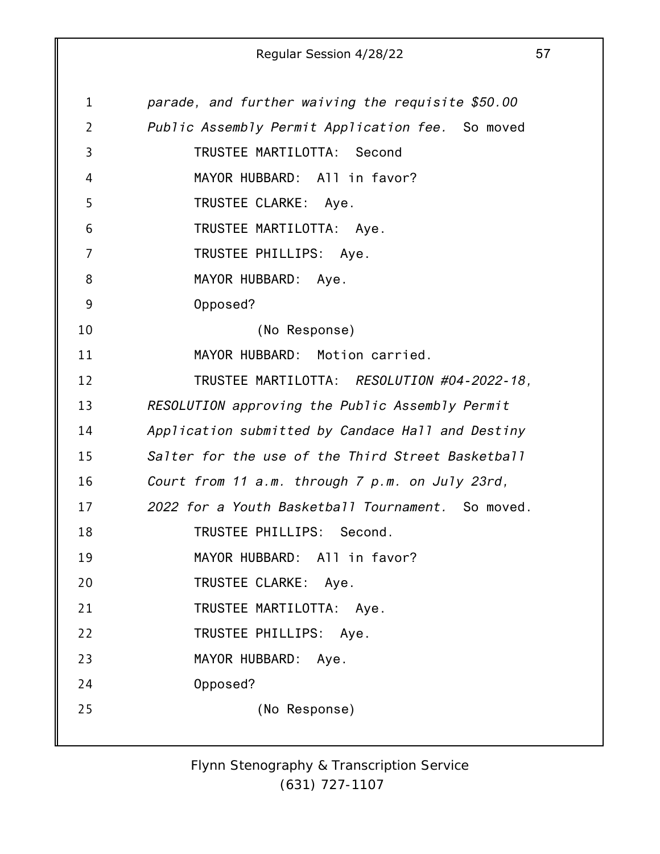| $\mathbf 1$ | parade, and further waiving the requisite \$50.00 |
|-------------|---------------------------------------------------|
| 2           | Public Assembly Permit Application fee. So moved  |
| 3           | TRUSTEE MARTILOTTA: Second                        |
| 4           | MAYOR HUBBARD: All in favor?                      |
| 5           | TRUSTEE CLARKE: Aye.                              |
| 6           | TRUSTEE MARTILOTTA: Aye.                          |
| 7           | TRUSTEE PHILLIPS: Aye.                            |
| 8           | MAYOR HUBBARD: Aye.                               |
| 9           | Opposed?                                          |
| 10          | (No Response)                                     |
| 11          | MAYOR HUBBARD: Motion carried.                    |
| 12          | TRUSTEE MARTILOTTA: RESOLUTION #04-2022-18,       |
| 13          | RESOLUTION approving the Public Assembly Permit   |
| 14          | Application submitted by Candace Hall and Destiny |
| 15          | Salter for the use of the Third Street Basketball |
| 16          | Court from 11 a.m. through 7 p.m. on July 23rd,   |
| 17          | 2022 for a Youth Basketball Tournament. So moved. |
| 18          | TRUSTEE PHILLIPS: Second.                         |
| 19          | MAYOR HUBBARD: All in favor?                      |
| 20          | TRUSTEE CLARKE: Aye.                              |
| 21          | TRUSTEE MARTILOTTA: Aye.                          |
| 22          | TRUSTEE PHILLIPS:<br>Aye.                         |
| 23          | MAYOR HUBBARD:<br>Aye.                            |
| 24          | Opposed?                                          |
| 25          | (No Response)                                     |
|             |                                                   |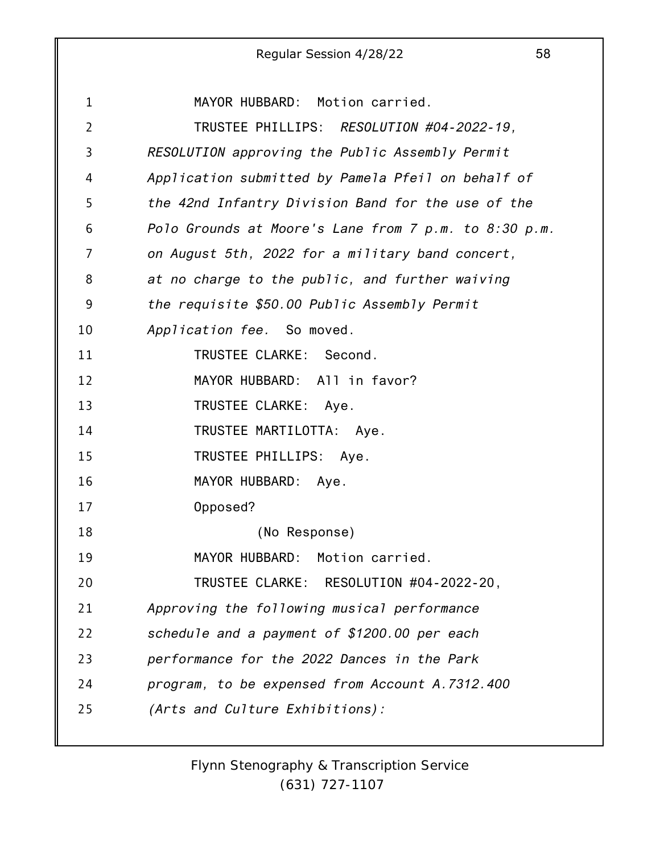|                | 58<br>Regular Session 4/28/22                         |
|----------------|-------------------------------------------------------|
|                |                                                       |
| $\mathbf{1}$   | MAYOR HUBBARD: Motion carried.                        |
| $\overline{2}$ | TRUSTEE PHILLIPS: RESOLUTION #04-2022-19,             |
| 3              | RESOLUTION approving the Public Assembly Permit       |
| 4              | Application submitted by Pamela Pfeil on behalf of    |
| 5              | the 42nd Infantry Division Band for the use of the    |
| 6              | Polo Grounds at Moore's Lane from 7 p.m. to 8:30 p.m. |
| 7              | on August 5th, 2022 for a military band concert,      |
| 8              | at no charge to the public, and further waiving       |
| 9              | the requisite \$50.00 Public Assembly Permit          |
| 10             | Application fee. So moved.                            |
| 11             | TRUSTEE CLARKE: Second.                               |
| 12             | MAYOR HUBBARD: All in favor?                          |
| 13             | TRUSTEE CLARKE: Aye.                                  |
| 14             | TRUSTEE MARTILOTTA: Aye.                              |
| 15             | TRUSTEE PHILLIPS:<br>Aye.                             |
| 16             | MAYOR HUBBARD: Aye.                                   |
| 17             | Opposed?                                              |
| 18             | (No Response)                                         |
| 19             | MAYOR HUBBARD: Motion carried.                        |
| 20             | TRUSTEE CLARKE: RESOLUTION #04-2022-20,               |
| 21             | Approving the following musical performance           |
| 22             | schedule and a payment of \$1200.00 per each          |
| 23             | performance for the 2022 Dances in the Park           |
| 24             | program, to be expensed from Account A.7312.400       |
| 25             | (Arts and Culture Exhibitions):                       |
|                |                                                       |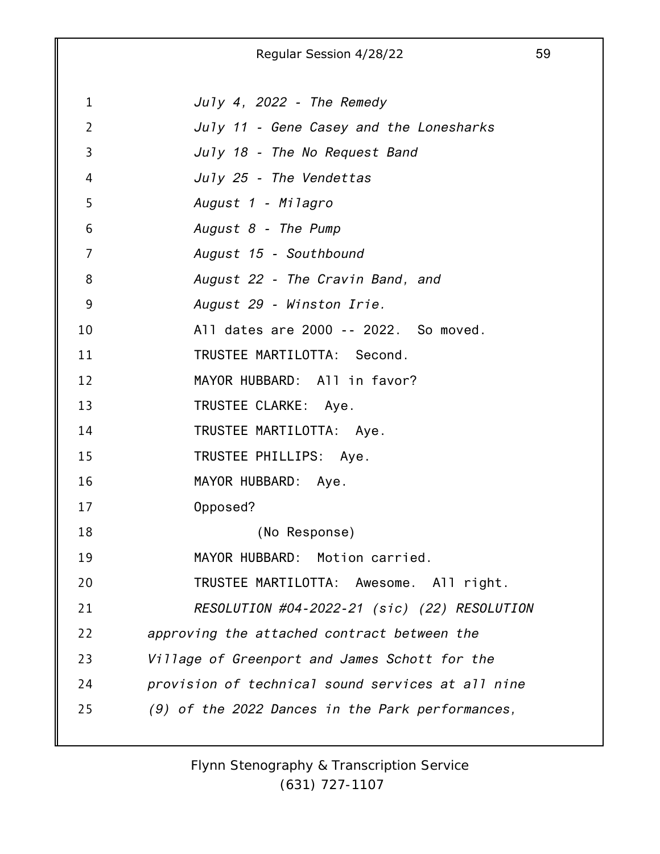1 2 3 4 5 6 7 8 9 10 11 12 13 14 15 16 17 18 19 20 21 22 23 24 25 Regular Session 4/28/22 59 *July 4, 2022 - The Remedy July 11 - Gene Casey and the Lonesharks July 18 - The No Request Band July 25 - The Vendettas August 1 - Milagro August 8 - The Pump August 15 - Southbound August 22 - The Cravin Band, and August 29 - Winston Irie.* All dates are 2000 -- 2022. So moved. TRUSTEE MARTILOTTA: Second. MAYOR HUBBARD: All in favor? TRUSTEE CLARKE: Aye. TRUSTEE MARTILOTTA: Aye. TRUSTEE PHILLIPS: Aye. MAYOR HUBBARD: Aye. Opposed? (No Response) MAYOR HUBBARD: Motion carried. TRUSTEE MARTILOTTA: Awesome. All right. *RESOLUTION #04-2022-21 (sic) (22) RESOLUTION approving the attached contract between the Village of Greenport and James Schott for the provision of technical sound services at all nine (9) of the 2022 Dances in the Park performances,*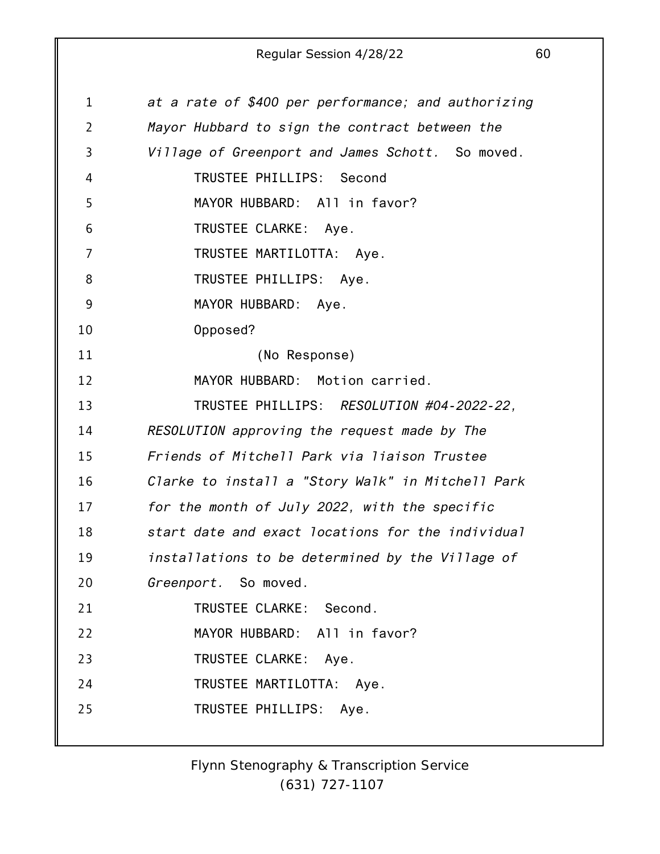| $\mathbf 1$    | at a rate of \$400 per performance; and authorizing |
|----------------|-----------------------------------------------------|
| $\overline{2}$ | Mayor Hubbard to sign the contract between the      |
| 3              | Village of Greenport and James Schott. So moved.    |
| 4              | TRUSTEE PHILLIPS: Second                            |
| 5              | MAYOR HUBBARD: All in favor?                        |
| 6              | TRUSTEE CLARKE: Aye.                                |
| 7              | TRUSTEE MARTILOTTA: Aye.                            |
| 8              | TRUSTEE PHILLIPS: Aye.                              |
| 9              | MAYOR HUBBARD: Aye.                                 |
| 10             | Opposed?                                            |
| 11             | (No Response)                                       |
| 12             | MAYOR HUBBARD: Motion carried.                      |
| 13             | TRUSTEE PHILLIPS: RESOLUTION #04-2022-22,           |
| 14             | RESOLUTION approving the request made by The        |
| 15             | Friends of Mitchell Park via liaison Trustee        |
| 16             | Clarke to install a "Story Walk" in Mitchell Park   |
| 17             | for the month of July 2022, with the specific       |
| 18             | start date and exact locations for the individual   |
| 19             | installations to be determined by the Village of    |
| 20             | Greenport. So moved.                                |
| 21             | TRUSTEE CLARKE: Second.                             |
| 22             | MAYOR HUBBARD: All in favor?                        |
| 23             | TRUSTEE CLARKE: Aye.                                |
| 24             | TRUSTEE MARTILOTTA: Aye.                            |
| 25             | TRUSTEE PHILLIPS: Aye.                              |
|                |                                                     |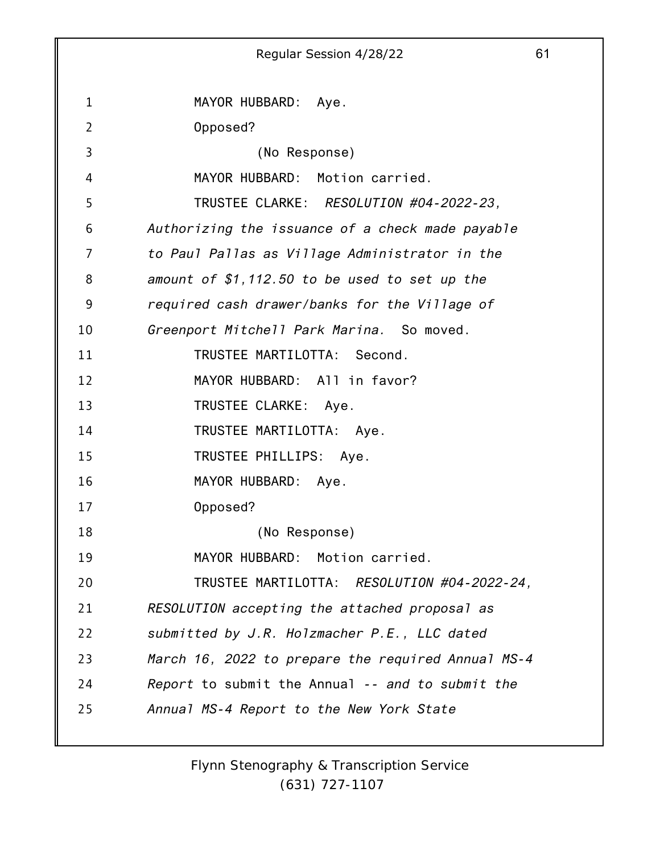|                | 61<br>Regular Session 4/28/22                      |
|----------------|----------------------------------------------------|
|                |                                                    |
| $\mathbf{1}$   | MAYOR HUBBARD: Aye.                                |
| $\overline{2}$ | Opposed?                                           |
| 3              | (No Response)                                      |
| 4              | MAYOR HUBBARD: Motion carried.                     |
| 5              | TRUSTEE CLARKE: RESOLUTION #04-2022-23,            |
| 6              | Authorizing the issuance of a check made payable   |
| $\overline{7}$ | to Paul Pallas as Village Administrator in the     |
| 8              | amount of $$1,112.50$ to be used to set up the     |
| 9              | required cash drawer/banks for the Village of      |
| 10             | Greenport Mitchell Park Marina. So moved.          |
| 11             | TRUSTEE MARTILOTTA: Second.                        |
| 12             | MAYOR HUBBARD: All in favor?                       |
| 13             | TRUSTEE CLARKE: Aye.                               |
| 14             | TRUSTEE MARTILOTTA: Aye.                           |
| 15             | TRUSTEE PHILLIPS: Aye.                             |
| 16             | MAYOR HUBBARD: Aye.                                |
| 17             | Opposed?                                           |
| 18             | (No Response)                                      |
| 19             | MAYOR HUBBARD: Motion carried.                     |
| 20             | TRUSTEE MARTILOTTA: RESOLUTION #04-2022-24,        |
| 21             | RESOLUTION accepting the attached proposal as      |
| 22             | submitted by J.R. Holzmacher P.E., LLC dated       |
| 23             | March 16, 2022 to prepare the required Annual MS-4 |
| 24             | Report to submit the Annual -- and to submit the   |
| 25             | Annual MS-4 Report to the New York State           |
|                |                                                    |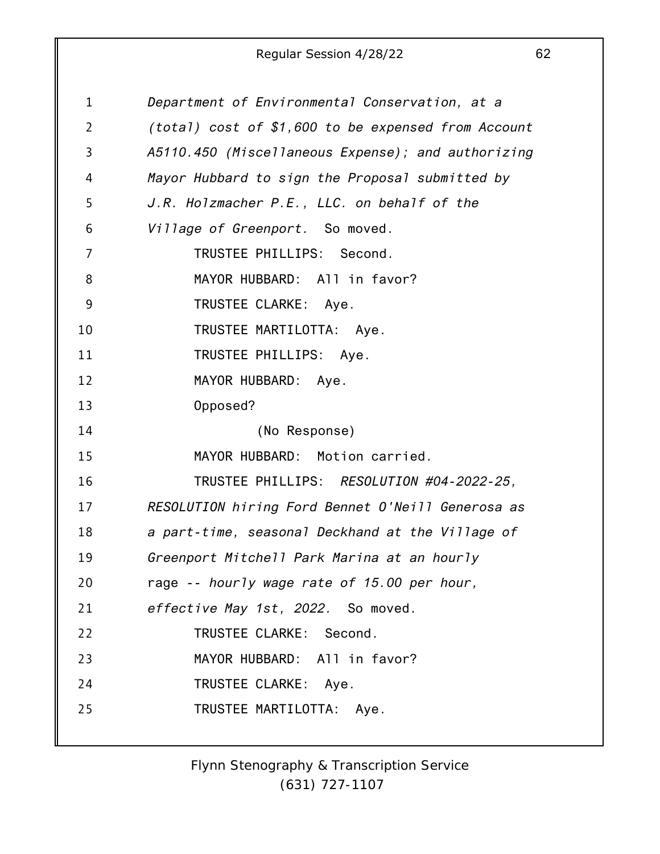| $\mathbf{1}$   | Department of Environmental Conservation, at a      |
|----------------|-----------------------------------------------------|
| $\overline{2}$ | (total) cost of \$1,600 to be expensed from Account |
| 3              | A5110.450 (Miscellaneous Expense); and authorizing  |
| 4              | Mayor Hubbard to sign the Proposal submitted by     |
| 5              | J.R. Holzmacher P.E., LLC. on behalf of the         |
| 6              | Village of Greenport. So moved.                     |
| 7              | TRUSTEE PHILLIPS: Second.                           |
| 8              | MAYOR HUBBARD: All in favor?                        |
| 9              | TRUSTEE CLARKE: Aye.                                |
| 10             | TRUSTEE MARTILOTTA: Aye.                            |
| 11             | TRUSTEE PHILLIPS: Aye.                              |
| 12             | MAYOR HUBBARD: Aye.                                 |
| 13             | Opposed?                                            |
| 14             | (No Response)                                       |
| 15             | MAYOR HUBBARD: Motion carried.                      |
| 16             | TRUSTEE PHILLIPS: RESOLUTION #04-2022-25,           |
| 17             | RESOLUTION hiring Ford Bennet O'Neill Generosa as   |
| 18             | a part-time, seasonal Deckhand at the Village of    |
| 19             | Greenport Mitchell Park Marina at an hourly         |
| 20             | rage -- hourly wage rate of 15.00 per hour,         |
| 21             | effective May 1st, 2022. So moved.                  |
| 22             | TRUSTEE CLARKE: Second.                             |
| 23             | MAYOR HUBBARD: All in favor?                        |
| 24             | TRUSTEE CLARKE: Aye.                                |
| 25             | TRUSTEE MARTILOTTA: Aye.                            |
|                |                                                     |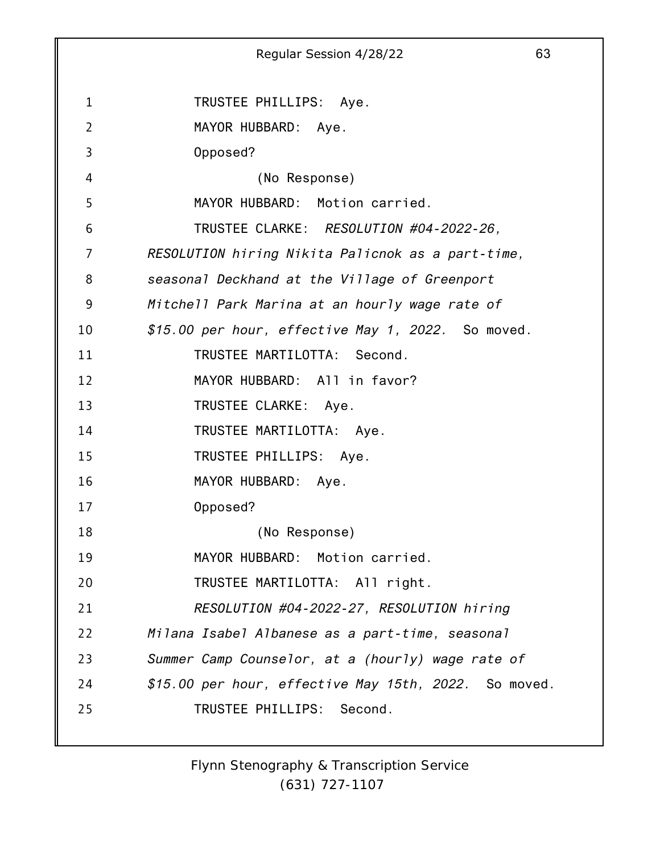1 2 3 4 5 6 7 8 9 10 11 12 13 14 15 16 17 18 19 20 21 22 23 24 25 Regular Session 4/28/22 63 TRUSTEE PHILLIPS: Aye. MAYOR HUBBARD: Aye. Opposed? (No Response) MAYOR HUBBARD: Motion carried. TRUSTEE CLARKE: *RESOLUTION #04-2022-26, RESOLUTION hiring Nikita Palicnok as a part-time, seasonal Deckhand at the Village of Greenport Mitchell Park Marina at an hourly wage rate of \$15.00 per hour, effective May 1, 2022.* So moved. TRUSTEE MARTILOTTA: Second. MAYOR HUBBARD: All in favor? TRUSTEE CLARKE: Aye. TRUSTEE MARTILOTTA: Aye. TRUSTEE PHILLIPS: Aye. MAYOR HUBBARD: Aye. Opposed? (No Response) MAYOR HUBBARD: Motion carried. TRUSTEE MARTILOTTA: All right. *RESOLUTION #04-2022-27, RESOLUTION hiring Milana Isabel Albanese as a part-time, seasonal Summer Camp Counselor, at a (hourly) wage rate of \$15.00 per hour, effective May 15th, 2022.* So moved. TRUSTEE PHILLIPS: Second.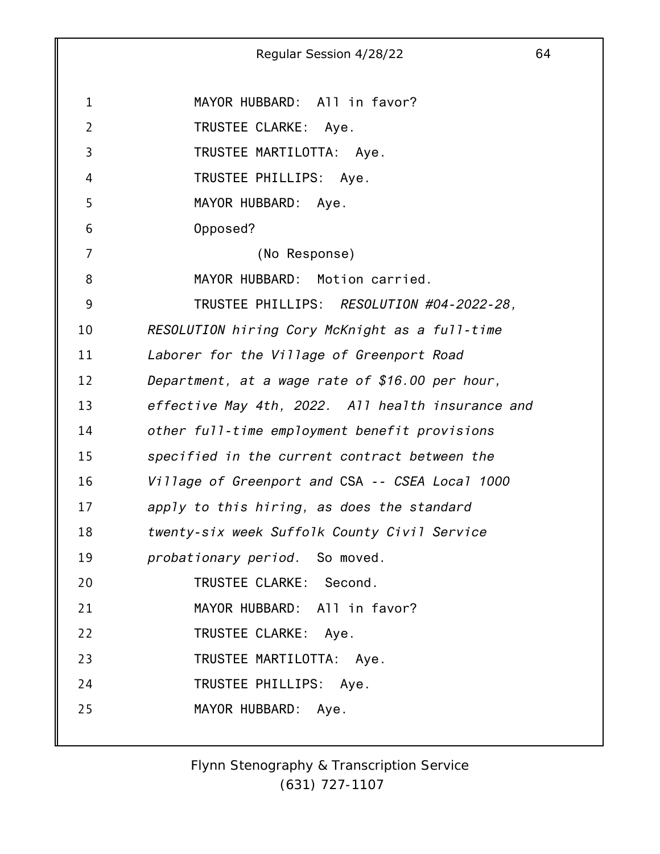1 2 3 4 5 6 7 8 9 10 11 12 13 14 15 16 17 18 19 20 21 22 23 24 25 Regular Session 4/28/22 64 MAYOR HUBBARD: All in favor? TRUSTEE CLARKE: Aye. TRUSTEE MARTILOTTA: Aye. TRUSTEE PHILLIPS: Aye. MAYOR HUBBARD: Aye. Opposed? (No Response) MAYOR HUBBARD: Motion carried. TRUSTEE PHILLIPS: *RESOLUTION #04-2022-28, RESOLUTION hiring Cory McKnight as a full-time Laborer for the Village of Greenport Road Department, at a wage rate of \$16.00 per hour, effective May 4th, 2022. All health insurance and other full-time employment benefit provisions specified in the current contract between the Village of Greenport and* CSA *-- CSEA Local 1000 apply to this hiring, as does the standard twenty-six week Suffolk County Civil Service probationary period.* So moved. TRUSTEE CLARKE: Second. MAYOR HUBBARD: All in favor? TRUSTEE CLARKE: Aye. TRUSTEE MARTILOTTA: Aye. TRUSTEE PHILLIPS: Aye. MAYOR HUBBARD: Aye.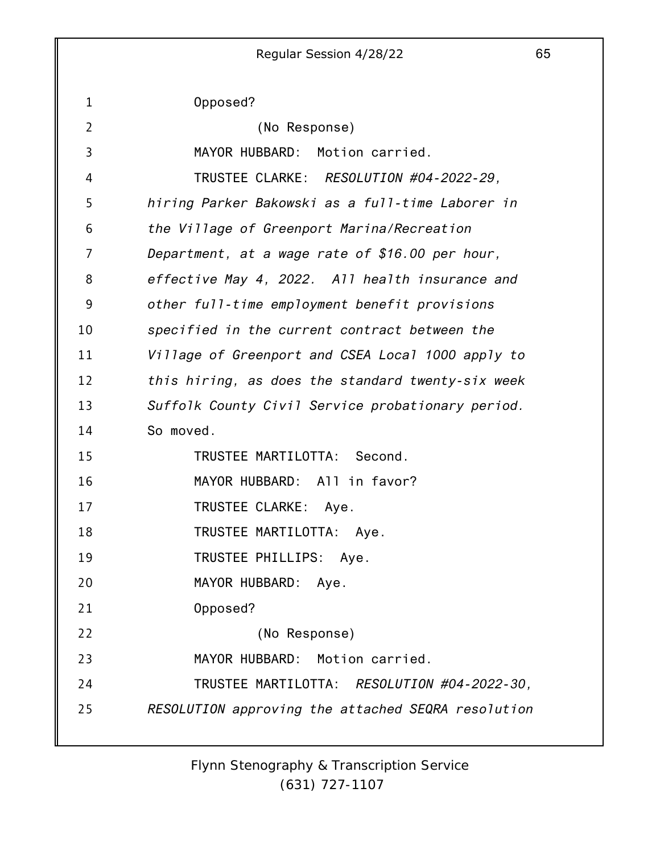Regular Session 4/28/22 65 Opposed? (No Response) MAYOR HUBBARD: Motion carried. TRUSTEE CLARKE: *RESOLUTION #04-2022-29, hiring Parker Bakowski as a full-time Laborer in the Village of Greenport Marina/Recreation Department, at a wage rate of \$16.00 per hour, effective May 4, 2022. All health insurance and other full-time employment benefit provisions specified in the current contract between the Village of Greenport and CSEA Local 1000 apply to this hiring, as does the standard twenty-six week Suffolk County Civil Service probationary period.* So moved. TRUSTEE MARTILOTTA: Second. MAYOR HUBBARD: All in favor? TRUSTEE CLARKE: Aye. TRUSTEE MARTILOTTA: Aye. TRUSTEE PHILLIPS: Aye.

20 MAYOR HUBBARD: Aye.

21 Opposed?

1

2

3

4

5

6

7

8

9

10

11

12

13

14

15

16

17

18

19

22 (No Response)

23 MAYOR HUBBARD: Motion carried.

24 TRUSTEE MARTILOTTA: *RESOLUTION #04-2022-30,*

25 *RESOLUTION approving the attached SEQRA resolution*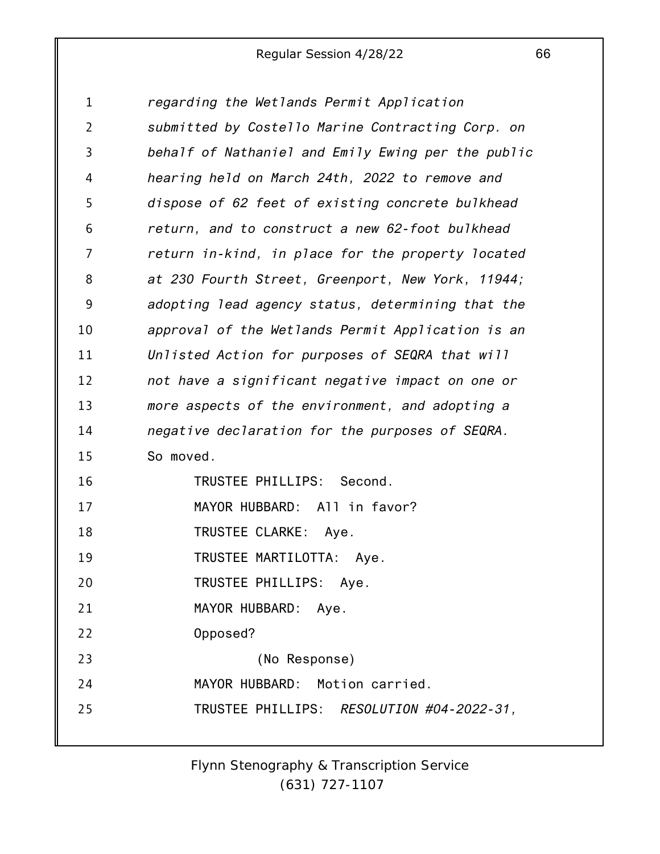| $\mathbf 1$    | regarding the Wetlands Permit Application          |
|----------------|----------------------------------------------------|
| $\overline{2}$ | submitted by Costello Marine Contracting Corp. on  |
| 3              | behalf of Nathaniel and Emily Ewing per the public |
| 4              | hearing held on March 24th, 2022 to remove and     |
| 5              | dispose of 62 feet of existing concrete bulkhead   |
| 6              | return, and to construct a new 62-foot bulkhead    |
| 7              | return in-kind, in place for the property located  |
| 8              | at 230 Fourth Street, Greenport, New York, 11944;  |
| 9              | adopting lead agency status, determining that the  |
| 10             | approval of the Wetlands Permit Application is an  |
| 11             | Unlisted Action for purposes of SEQRA that will    |
| 12             | not have a significant negative impact on one or   |
| 13             | more aspects of the environment, and adopting a    |
| 14             | negative declaration for the purposes of SEQRA.    |
| 15             | So moved.                                          |
| 16             | TRUSTEE PHILLIPS: Second.                          |
| 17             | MAYOR HUBBARD: All in favor?                       |
| 18             | TRUSTEE CLARKE: Aye.                               |
| 19             | TRUSTEE MARTILOTTA: Aye.                           |
| 20             | TRUSTEE PHILLIPS: Aye.                             |
| 21             | MAYOR HUBBARD: Aye.                                |
| 22             | Opposed?                                           |
| 23             | (No Response)                                      |
| 24             | MAYOR HUBBARD: Motion carried.                     |
| 25             | TRUSTEE PHILLIPS: RESOLUTION #04-2022-31,          |
|                |                                                    |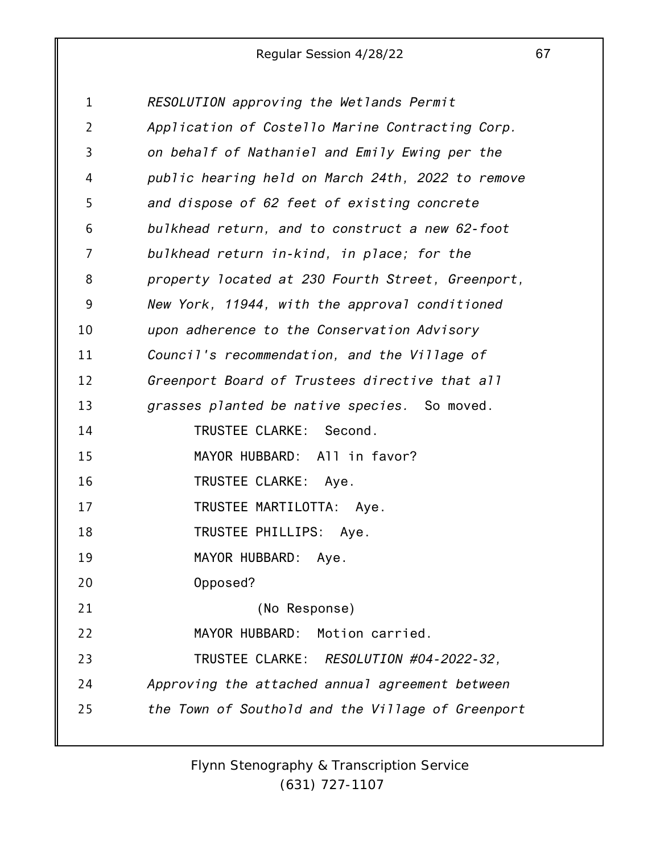| 1  | RESOLUTION approving the Wetlands Permit          |
|----|---------------------------------------------------|
| 2  | Application of Costello Marine Contracting Corp.  |
| 3  | on behalf of Nathaniel and Emily Ewing per the    |
| 4  | public hearing held on March 24th, 2022 to remove |
| 5  | and dispose of 62 feet of existing concrete       |
| 6  | bulkhead return, and to construct a new 62-foot   |
| 7  | bulkhead return in-kind, in place; for the        |
| 8  | property located at 230 Fourth Street, Greenport, |
| 9  | New York, 11944, with the approval conditioned    |
| 10 | upon adherence to the Conservation Advisory       |
| 11 | Council's recommendation, and the Village of      |
| 12 | Greenport Board of Trustees directive that all    |
| 13 | grasses planted be native species. So moved.      |
| 14 | TRUSTEE CLARKE: Second.                           |
| 15 | MAYOR HUBBARD: All in favor?                      |
| 16 | TRUSTEE CLARKE: Aye.                              |
| 17 | TRUSTEE MARTILOTTA: Aye.                          |
| 18 | TRUSTEE PHILLIPS: Aye.                            |
| 19 | MAYOR HUBBARD: Aye.                               |
| 20 | Opposed?                                          |
| 21 | (No Response)                                     |
| 22 | MAYOR HUBBARD:<br>Motion carried.                 |
| 23 | TRUSTEE CLARKE: RESOLUTION #04-2022-32,           |
| 24 | Approving the attached annual agreement between   |
| 25 | the Town of Southold and the Village of Greenport |
|    |                                                   |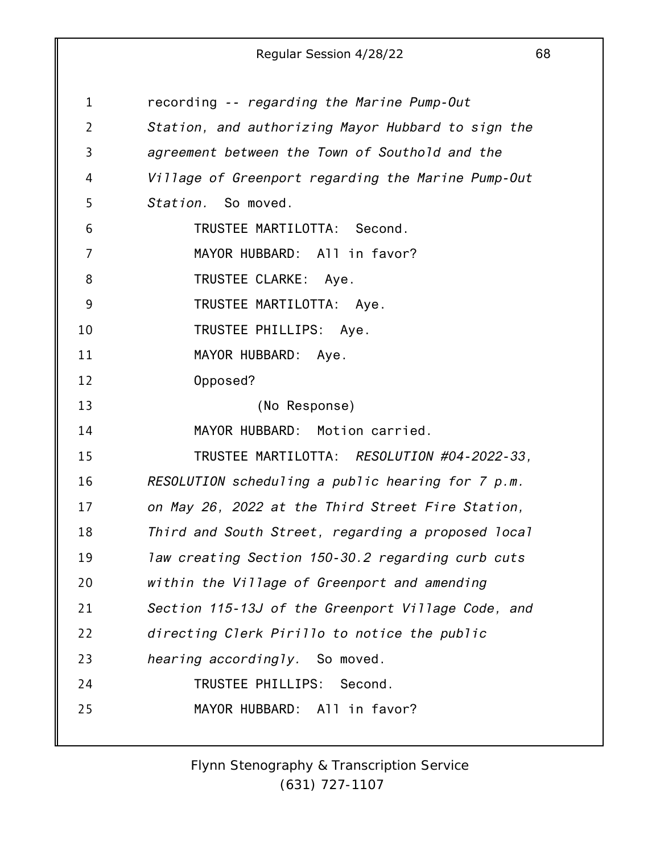| 1  | recording -- regarding the Marine Pump-Out         |
|----|----------------------------------------------------|
| 2  | Station, and authorizing Mayor Hubbard to sign the |
| 3  | agreement between the Town of Southold and the     |
| 4  | Village of Greenport regarding the Marine Pump-Out |
| 5  | Station. So moved.                                 |
| 6  | TRUSTEE MARTILOTTA: Second.                        |
| 7  | MAYOR HUBBARD: All in favor?                       |
| 8  | TRUSTEE CLARKE: Aye.                               |
| 9  | TRUSTEE MARTILOTTA: Aye.                           |
| 10 | TRUSTEE PHILLIPS: Aye.                             |
| 11 | MAYOR HUBBARD: Aye.                                |
| 12 | Opposed?                                           |
| 13 | (No Response)                                      |
| 14 | MAYOR HUBBARD: Motion carried.                     |
| 15 | TRUSTEE MARTILOTTA: RESOLUTION #04-2022-33,        |
| 16 | RESOLUTION scheduling a public hearing for 7 p.m.  |
| 17 | on May 26, 2022 at the Third Street Fire Station,  |
| 18 | Third and South Street, regarding a proposed local |
| 19 | law creating Section 150-30.2 regarding curb cuts  |
| 20 | within the Village of Greenport and amending       |
| 21 | Section 115-13J of the Greenport Village Code, and |
| 22 | directing Clerk Pirillo to notice the public       |
| 23 | hearing accordingly. So moved.                     |
| 24 | TRUSTEE PHILLIPS: Second.                          |
| 25 | MAYOR HUBBARD: All in favor?                       |
|    |                                                    |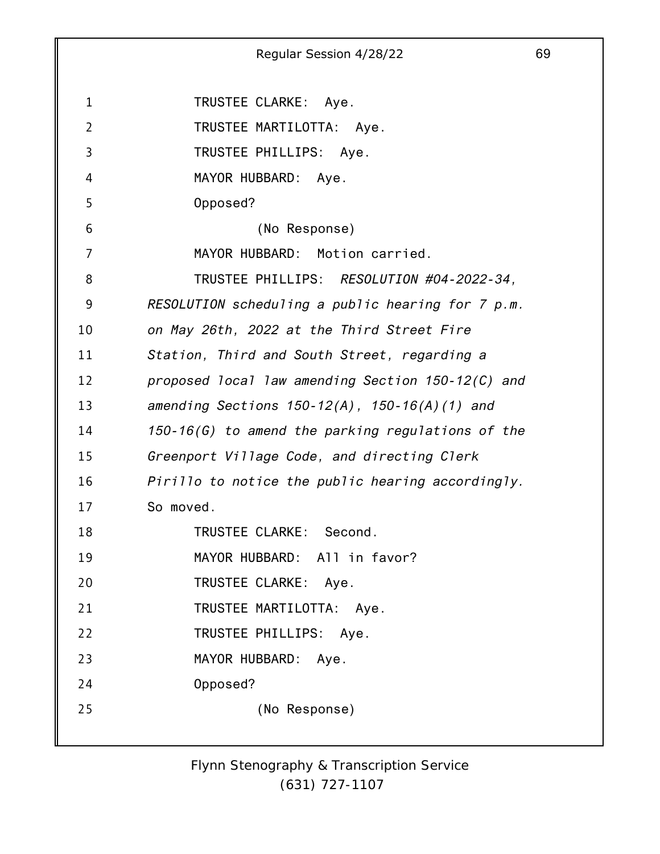1 2 3 4 5 6 7 8 9 10 11 12 13 14 15 16 17 18 19 20 21 22 23 24 25 Regular Session 4/28/22 69 TRUSTEE CLARKE: Aye. TRUSTEE MARTILOTTA: Aye. TRUSTEE PHILLIPS: Aye. MAYOR HUBBARD: Aye. Opposed? (No Response) MAYOR HUBBARD: Motion carried. TRUSTEE PHILLIPS: *RESOLUTION #04-2022-34, RESOLUTION scheduling a public hearing for 7 p.m. on May 26th, 2022 at the Third Street Fire Station, Third and South Street, regarding a proposed local law amending Section 150-12(C) and amending Sections 150-12(A), 150-16(A)(1) and 150-16(G) to amend the parking regulations of the Greenport Village Code, and directing Clerk Pirillo to notice the public hearing accordingly.* So moved. TRUSTEE CLARKE: Second. MAYOR HUBBARD: All in favor? TRUSTEE CLARKE: Aye. TRUSTEE MARTILOTTA: Aye. TRUSTEE PHILLIPS: Aye. MAYOR HUBBARD: Aye. Opposed? (No Response)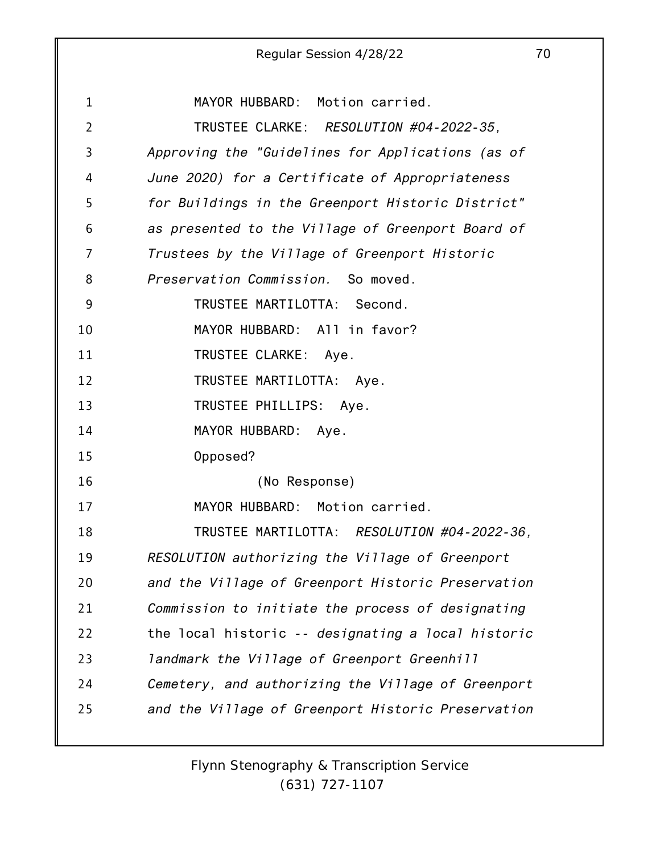|                | Regular Session 4/28/22                            | 70 |
|----------------|----------------------------------------------------|----|
|                |                                                    |    |
| $\mathbf{1}$   | MAYOR HUBBARD: Motion carried.                     |    |
| $\overline{2}$ | TRUSTEE CLARKE: RESOLUTION #04-2022-35,            |    |
| 3              | Approving the "Guidelines for Applications (as of  |    |
| 4              | June 2020) for a Certificate of Appropriateness    |    |
| 5              | for Buildings in the Greenport Historic District"  |    |
| 6              | as presented to the Village of Greenport Board of  |    |
| 7              | Trustees by the Village of Greenport Historic      |    |
| 8              | Preservation Commission. So moved.                 |    |
| 9              | TRUSTEE MARTILOTTA: Second.                        |    |
| 10             | MAYOR HUBBARD: All in favor?                       |    |
| 11             | TRUSTEE CLARKE: Aye.                               |    |
| 12             | TRUSTEE MARTILOTTA: Aye.                           |    |
| 13             | TRUSTEE PHILLIPS: Aye.                             |    |
| 14             | MAYOR HUBBARD:<br>Aye.                             |    |
| 15             | Opposed?                                           |    |
| 16             | (No Response)                                      |    |
| 17             | MAYOR HUBBARD: Motion carried.                     |    |
| 18             | TRUSTEE MARTILOTTA: RESOLUTION #04-2022-36,        |    |
| 19             | RESOLUTION authorizing the Village of Greenport    |    |
| 20             | and the Village of Greenport Historic Preservation |    |
| 21             | Commission to initiate the process of designating  |    |
| 22             | the local historic -- designating a local historic |    |
| 23             | landmark the Village of Greenport Greenhill        |    |
| 24             | Cemetery, and authorizing the Village of Greenport |    |
| 25             | and the Village of Greenport Historic Preservation |    |
|                |                                                    |    |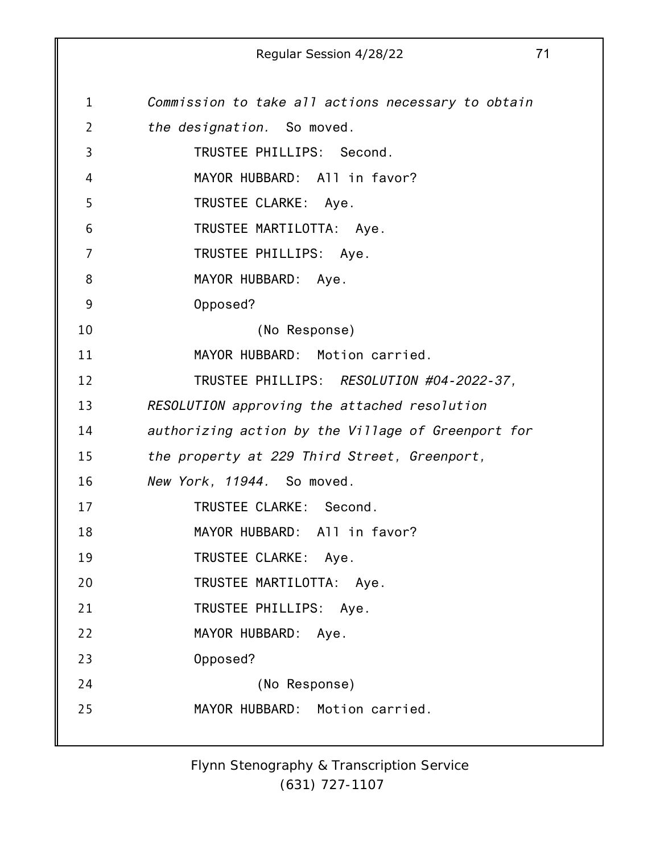1 2 3 4 5 6 7 8 9 10 11 12 13 14 15 16 17 18 19 20 21 22 23 24 25 Regular Session 4/28/22 71 *Commission to take all actions necessary to obtain the designation.* So moved. TRUSTEE PHILLIPS: Second. MAYOR HUBBARD: All in favor? TRUSTEE CLARKE: Aye. TRUSTEE MARTILOTTA: Aye. TRUSTEE PHILLIPS: Aye. MAYOR HUBBARD: Aye. Opposed? (No Response) MAYOR HUBBARD: Motion carried. TRUSTEE PHILLIPS: *RESOLUTION #04-2022-37, RESOLUTION approving the attached resolution authorizing action by the Village of Greenport for the property at 229 Third Street, Greenport, New York, 11944.* So moved. TRUSTEE CLARKE: Second. MAYOR HUBBARD: All in favor? TRUSTEE CLARKE: Aye. TRUSTEE MARTILOTTA: Aye. TRUSTEE PHILLIPS: Aye. MAYOR HUBBARD: Aye. Opposed? (No Response) MAYOR HUBBARD: Motion carried.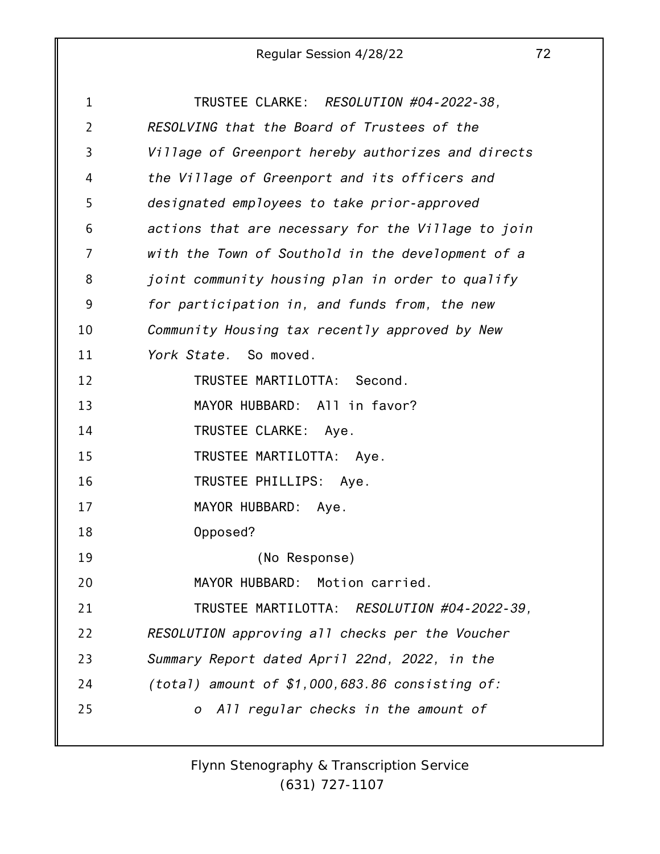| 1              | TRUSTEE CLARKE: RESOLUTION #04-2022-38,            |
|----------------|----------------------------------------------------|
| $\overline{2}$ | RESOLVING that the Board of Trustees of the        |
| 3              | Village of Greenport hereby authorizes and directs |
| 4              | the Village of Greenport and its officers and      |
| 5              | designated employees to take prior-approved        |
| 6              | actions that are necessary for the Village to join |
| 7              | with the Town of Southold in the development of a  |
| 8              | joint community housing plan in order to qualify   |
| 9              | for participation in, and funds from, the new      |
| 10             | Community Housing tax recently approved by New     |
| 11             | York State. So moved.                              |
| 12             | TRUSTEE MARTILOTTA: Second.                        |
| 13             | MAYOR HUBBARD: All in favor?                       |
| 14             | TRUSTEE CLARKE: Aye.                               |
| 15             | TRUSTEE MARTILOTTA: Aye.                           |
| 16             | TRUSTEE PHILLIPS: Aye.                             |
| 17             | MAYOR HUBBARD: Aye.                                |
| 18             | Opposed?                                           |
| 19             | (No Response)                                      |
| 20             | MAYOR HUBBARD: Motion carried.                     |
| 21             | TRUSTEE MARTILOTTA: RESOLUTION #04-2022-39,        |
| 22             | RESOLUTION approving all checks per the Voucher    |
| 23             | Summary Report dated April 22nd, 2022, in the      |
| 24             | (total) amount of $$1,000,683.86$ consisting of:   |
| 25             | o All regular checks in the amount of              |
|                |                                                    |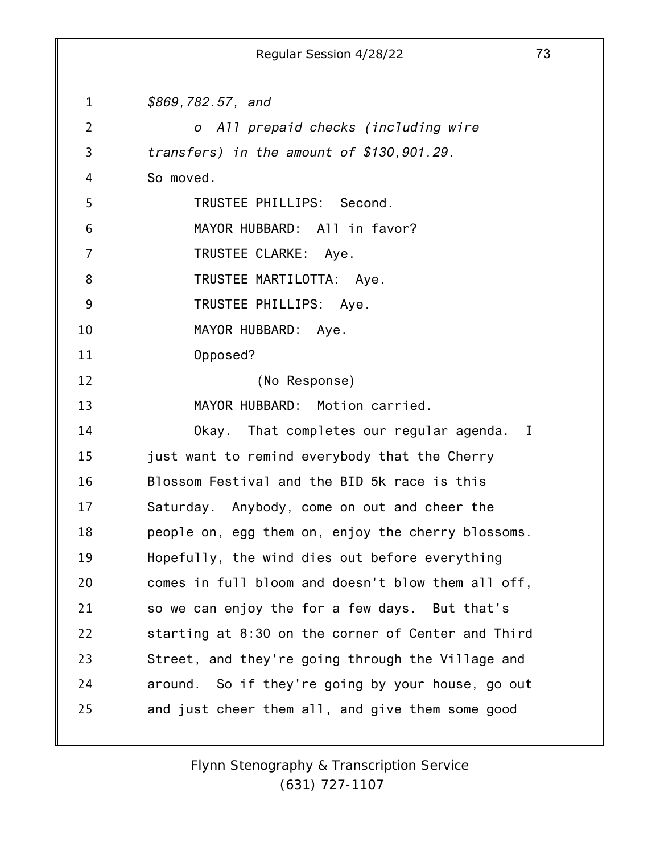1 2 3 4 5 6 7 8 9 10 11 12 13 14 15 16 17 18 19 20 21 22 23 24 25 Regular Session 4/28/22 73 *\$869,782.57, and o All prepaid checks (including wire transfers) in the amount of \$130,901.29.* So moved. TRUSTEE PHILLIPS: Second. MAYOR HUBBARD: All in favor? TRUSTEE CLARKE: Aye. TRUSTEE MARTILOTTA: Aye. TRUSTEE PHILLIPS: Aye. MAYOR HUBBARD: Aye. Opposed? (No Response) MAYOR HUBBARD: Motion carried. Okay. That completes our regular agenda. I just want to remind everybody that the Cherry Blossom Festival and the BID 5k race is this Saturday. Anybody, come on out and cheer the people on, egg them on, enjoy the cherry blossoms. Hopefully, the wind dies out before everything comes in full bloom and doesn't blow them all off, so we can enjoy the for a few days. But that's starting at 8:30 on the corner of Center and Third Street, and they're going through the Village and around. So if they're going by your house, go out and just cheer them all, and give them some good

> *Flynn Stenography & Transcription Service (631) 727-1107*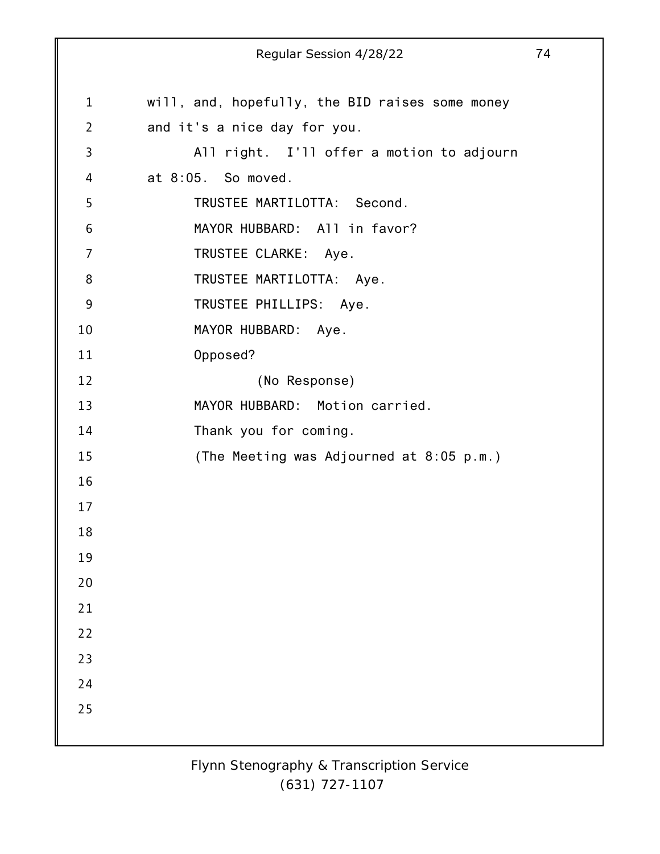1 2 3 4 5 6 7 8 9 10 11 12 13 14 15 16 17 18 19 20 21 22 23 24 25 Regular Session 4/28/22 74 will, and, hopefully, the BID raises some money and it's a nice day for you. All right. I'll offer a motion to adjourn at 8:05. So moved. TRUSTEE MARTILOTTA: Second. MAYOR HUBBARD: All in favor? TRUSTEE CLARKE: Aye. TRUSTEE MARTILOTTA: Aye. TRUSTEE PHILLIPS: Aye. MAYOR HUBBARD: Aye. Opposed? (No Response) MAYOR HUBBARD: Motion carried. Thank you for coming. (The Meeting was Adjourned at 8:05 p.m.)

> *Flynn Stenography & Transcription Service (631) 727-1107*